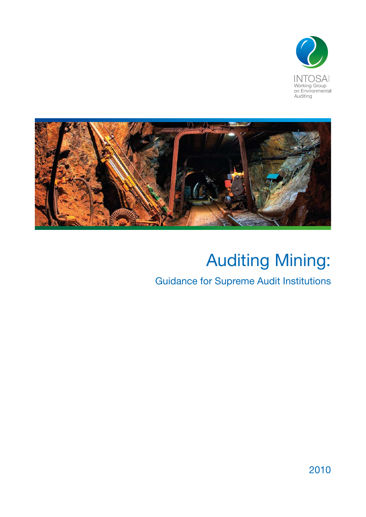



# Auditing Mining:

Guidance for Supreme Audit Institutions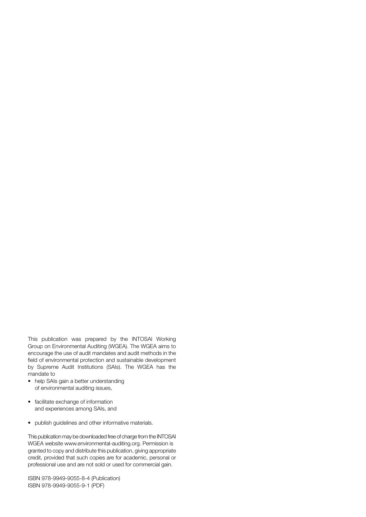This publication was prepared by the INTOSAI Working Group on Environmental Auditing (WGEA). The WGEA aims to encourage the use of audit mandates and audit methods in the field of environmental protection and sustainable development by Supreme Audit Institutions (SAIs). The WGEA has the mandate to

- help SAIs gain a better understanding of environmental auditing issues,
- facilitate exchange of information and experiences among SAIs, and
- • publish guidelines and other informative materials.

This publication may be downloaded free of charge from the INTOSAI WGEA website www.environmental-auditing.org. Permission is granted to copy and distribute this publication, giving appropriate credit, provided that such copies are for academic, personal or professional use and are not sold or used for commercial gain.

ISBN 978-9949-9055-8-4 (Publication) ISBN 978-9949-9055-9-1 (PDF)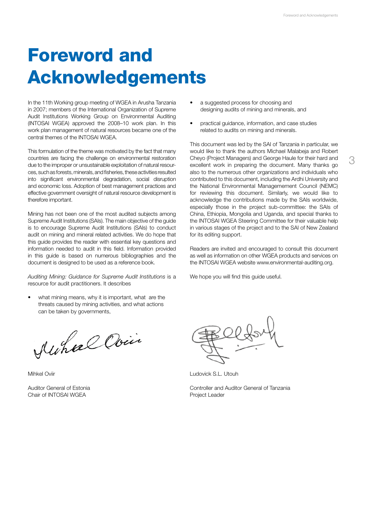# Foreword and Acknowledgements

In the 11th Working group meeting of WGEA in Arusha Tanzania in 2007; members of the International Organization of Supreme Audit Institutions Working Group on Environmental Auditing (INTOSAI WGEA) approved the 2008–10 work plan. In this work plan management of natural resources became one of the central themes of the INTOSAI WGEA.

This formulation of the theme was motivated by the fact that many countries are facing the challenge on environmental restoration due to the improper or unsustainable exploitation of natural resources, such as forests, minerals, and fisheries, these activities resulted into significant environmental degradation, social disruption and economic loss. Adoption of best management practices and effective government oversight of natural resource development is therefore important.

Mining has not been one of the most audited subjects among Supreme Audit Institutions (SAIs). The main objective of the guide is to encourage Supreme Audit Institutions (SAIs) to conduct audit on mining and mineral related activities. We do hope that this guide provides the reader with essential key questions and information needed to audit in this field. Information provided in this guide is based on numerous bibliographies and the document is designed to be used as a reference book.

*Auditing Mining: Guidance for Supreme Audit Institutions* is a resource for audit practitioners. It describes

what mining means, why it is important, what are the threats caused by mining activities, and what actions can be taken by governments,

Auhael Ovin

Mihkel Oviir

Auditor General of Estonia Chair of INTOSAI WGEA

- a suggested process for choosing and designing audits of mining and minerals, and
- practical guidance, information, and case studies related to audits on mining and minerals.

This document was led by the SAI of Tanzania in particular, we would like to thank the authors Michael Malabeja and Robert Cheyo (Project Managers) and George Haule for their hard and excellent work in preparing the document. Many thanks go also to the numerous other organizations and individuals who contributed to this document, including the Ardhi University and the National Environmental Managemement Council (NEMC) for reviewing this document. Similarly, we would like to acknowledge the contributions made by the SAIs worldwide, especially those in the project sub-committee: the SAIs of China, Ethiopia, Mongolia and Uganda, and special thanks to the INTOSAI WGEA Steering Committee for their valuable help in various stages of the project and to the SAI of New Zealand for its editing support.

Readers are invited and encouraged to consult this document as well as information on other WGEA products and services on the INTOSAI WGEA website www.environmental-auditing.org.

We hope you will find this guide useful.

Ludovick S.L. Utouh

Controller and Auditor General of Tanzania Project Leader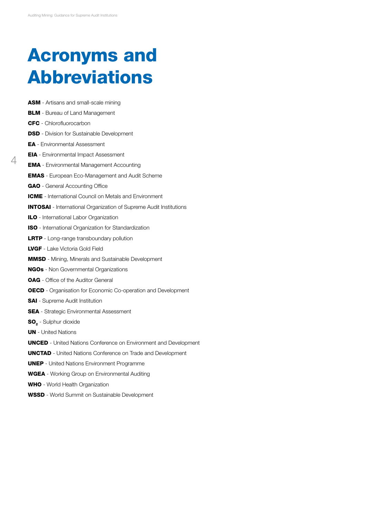ASM - Artisans and small-scale mining **BLM** - Bureau of Land Management

 $\Delta$ 

# Acronyms and Abbreviations

- CFC Chlorofluorocarbon **DSD** - Division for Sustainable Development EA - Environmental Assessment **EIA** - Environmental Impact Assessment EMA - Environmental Management Accounting EMAS - European Eco-Management and Audit Scheme GAO - General Accounting Office ICME - International Council on Metals and Environment INTOSAI - International Organization of Supreme Audit Institutions ILO - International Labor Organization ISO - International Organization for Standardization **LRTP** - Long-range transboundary pollution LVGF - Lake Victoria Gold Field MMSD - Mining, Minerals and Sustainable Development NGOs - Non Governmental Organizations OAG - Office of the Auditor General OECD - Organisation for Economic Co-operation and Development **SAI** - Supreme Audit Institution **SEA** - Strategic Environmental Assessment SO<sub>2</sub> - Sulphur dioxide **UN** - United Nations UNCED - United Nations Conference on Environment and Development UNCTAD - United Nations Conference on Trade and Development UNEP - United Nations Environment Programme WGEA - Working Group on Environmental Auditing WHO - World Health Organization
- WSSD World Summit on Sustainable Development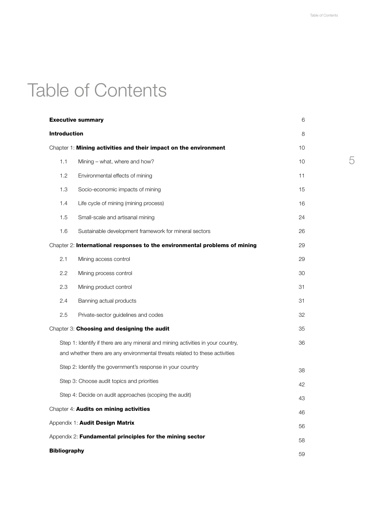# Table of Contents

| <b>Executive summary</b>                                                         | 6  |
|----------------------------------------------------------------------------------|----|
| <b>Introduction</b>                                                              | 8  |
| Chapter 1: Mining activities and their impact on the environment                 | 10 |
| 1.1<br>Mining – what, where and how?                                             | 10 |
| 1.2<br>Environmental effects of mining                                           | 11 |
| 1.3<br>Socio-economic impacts of mining                                          | 15 |
| Life cycle of mining (mining process)<br>1.4                                     | 16 |
| 1.5<br>Small-scale and artisanal mining                                          | 24 |
| 1.6<br>Sustainable development framework for mineral sectors                     | 26 |
| Chapter 2: International responses to the environmental problems of mining       | 29 |
| 2.1<br>Mining access control                                                     | 29 |
| 2.2<br>Mining process control                                                    | 30 |
| 2.3<br>Mining product control                                                    | 31 |
| 2.4<br>Banning actual products                                                   | 31 |
| 2.5<br>Private-sector guidelines and codes                                       | 32 |
| Chapter 3: Choosing and designing the audit                                      | 35 |
| Step 1: Identify if there are any mineral and mining activities in your country, | 36 |
| and whether there are any environmental threats related to these activities      |    |
| Step 2: Identify the government's response in your country                       | 38 |
| Step 3: Choose audit topics and priorities                                       | 42 |
| Step 4: Decide on audit approaches (scoping the audit)                           | 43 |
| Chapter 4: Audits on mining activities                                           | 46 |
| Appendix 1: Audit Design Matrix                                                  | 56 |
| Appendix 2: Fundamental principles for the mining sector                         | 58 |
| <b>Bibliography</b>                                                              | 59 |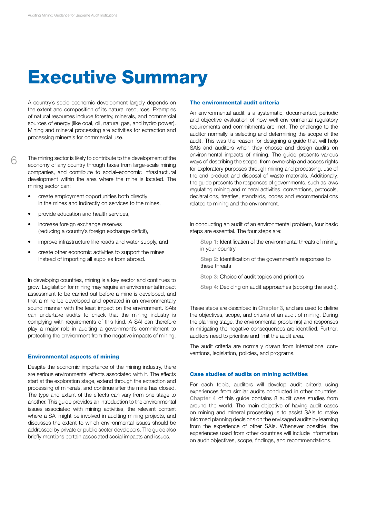# Executive Summary

A country's socio-economic development largely depends on the extent and composition of its natural resources. Examples of natural resources include forestry, minerals, and commercial sources of energy (like coal, oil, natural gas, and hydro power). Mining and mineral processing are activities for extraction and processing minerals for commercial use.

The mining sector is likely to contribute to the development of the economy of any country through taxes from large-scale mining companies, and contribute to social–economic infrastructural development within the area where the mine is located. The mining sector can:

- create employment opportunities both directly in the mines and indirectly on services to the mines,
- provide education and health services.
- • increase foreign exchange reserves (reducing a country's foreign exchange deficit),
- improve infrastructure like roads and water supply, and
- create other economic activities to support the mines Instead of importing all supplies from abroad.

In developing countries, mining is a key sector and continues to grow. Legislation for mining may require an environmental impact assessment to be carried out before a mine is developed, and that a mine be developed and operated in an environmentally sound manner with the least impact on the environment. SAIs can undertake audits to check that the mining industry is complying with requirements of this kind. A SAI can therefore play a major role in auditing a government's commitment to protecting the environment from the negative impacts of mining.

## Environmental aspects of mining

Despite the economic importance of the mining industry, there are serious environmental effects associated with it. The effects start at the exploration stage, extend through the extraction and processing of minerals, and continue after the mine has closed. The type and extent of the effects can vary from one stage to another. This guide provides an introduction to the environmental issues associated with mining activities, the relevant context where a SAI might be involved in auditing mining projects, and discusses the extent to which environmental issues should be addressed by private or public sector developers. The guide also briefly mentions certain associated social impacts and issues.

#### The environmental audit criteria

An environmental audit is a systematic, documented, periodic and objective evaluation of how well environmental regulatory requirements and commitments are met. The challenge to the auditor normally is selecting and determining the scope of the audit. This was the reason for designing a guide that will help SAIs and auditors when they choose and design audits on environmental impacts of mining. The guide presents various ways of describing the scope, from ownership and access rights for exploratory purposes through mining and processing, use of the end product and disposal of waste materials. Additionally, the guide presents the responses of governments, such as laws regulating mining and mineral activities, conventions, protocols, declarations, treaties, standards, codes and recommendations related to mining and the environment.

In conducting an audit of an environmental problem, four basic steps are essential. The four steps are:

- Step 1: Identification of the environmental threats of mining in your country
- Step 2: Identification of the government's responses to these threats
- Step 3: Choice of audit topics and priorities
- Step 4: Deciding on audit approaches (scoping the audit).

These steps are described in Chapter 3, and are used to define the objectives, scope, and criteria of an audit of mining. During the planning stage, the environmental problem(s) and responses in mitigating the negative consequences are identified. Further, auditors need to prioritise and limit the audit area.

The audit criteria are normally drawn from international conventions, legislation, policies, and programs.

### Case studies of audits on mining activities

For each topic, auditors will develop audit criteria using experiences from similar audits conducted in other countries. Chapter 4 of this guide contains 8 audit case studies from around the world. The main objective of having audit cases on mining and mineral processing is to assist SAIs to make informed planning decisions on the envisaged audits by learning from the experience of other SAIs. Whenever possible, the experiences used from other countries will include information on audit objectives, scope, findings, and recommendations.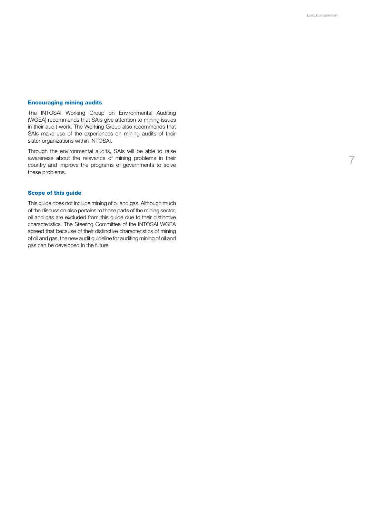7

# Encouraging mining audits

The INTOSAI Working Group on Environmental Auditing (WGEA) recommends that SAIs give attention to mining issues in their audit work. The Working Group also recommends that SAIs make use of the experiences on mining audits of their sister organizations within INTOSAI.

Through the environmental audits, SAIs will be able to raise awareness about the relevance of mining problems in their country and improve the programs of governments to solve these problems.

# Scope of this guide

This guide does not include mining of oil and gas. Although much of the discussion also pertains to those parts of the mining sector, oil and gas are excluded from this guide due to their distinctive characteristics. The Steering Committee of the INTOSAI WGEA agreed that because of their distinctive characteristics of mining of oil and gas, the new audit guideline for auditing mining of oil and gas can be developed in the future.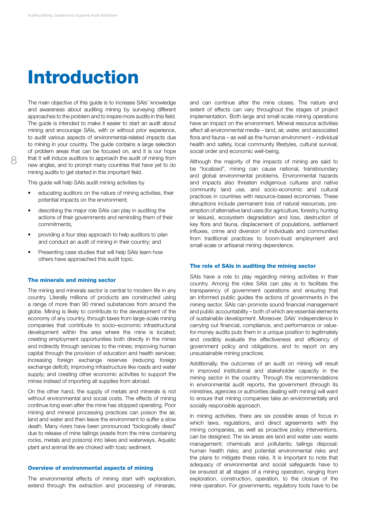# Introduction

The main objective of this guide is to increase SAIs' knowledge and awareness about auditing mining by surveying different approaches to the problem and to inspire more audits in this field. The guide is intended to make it easier to start an audit about mining and encourage SAIs, with or without prior experience, to audit various aspects of environmental-related impacts due to mining in your country. The guide contains a large selection of problem areas that can be focused on, and it is our hope that it will induce auditors to approach the audit of mining from new angles, and to prompt many countries that have yet to do mining audits to get started in this important field.

This guide will help SAIs audit mining activities by

- educating auditors on the nature of mining activities, their potential impacts on the environment;
- describing the major role SAIs can play in auditing the actions of their governments and reminding them of their commitments,
- providing a four step approach to help auditors to plan and conduct an audit of mining in their country; and
- Presenting case studies that will help SAIs learn how others have approached this audit topic.

#### The minerals and mining sector

The mining and minerals sector is central to modern life in any country. Literally millions of products are constructed using a range of more than 90 mined substances from around the globe. Mining is likely to contribute to the development of the economy of any country, through taxes from large-scale mining companies that contribute to socio–economic infrastructural development within the area where the mine is located; creating employment opportunities both directly in the mines and indirectly through services to the mines; improving human capital through the provision of education and health services; increasing foreign exchange reserves (reducing foreign exchange deficit); improving infrastructure like roads and water supply; and creating other economic activities to support the mines instead of importing all supplies from abroad.

On the other hand, the supply of metals and minerals is not without environmental and social costs. The effects of mining continue long even after the mine has stopped operating. Poor mining and mineral processing practices can poison the air, land and water and then leave the environment to suffer a slow death. Many rivers have been pronounced "biologically dead" due to release of mine tailings (waste from the mine containing rocks, metals and poisons) into lakes and waterways. Aquatic plant and animal life are choked with toxic sediment.

#### Overview of environmental aspects of mining

The environmental effects of mining start with exploration, extend through the extraction and processing of minerals, and can continue after the mine closes. The nature and extent of effects can vary throughout the stages of project implementation. Both large and small-scale mining operations have an impact on the environment. Mineral resource activities affect all environmental media – land, air, water, and associated flora and fauna – as well as the human environment – individual health and safety, local community lifestyles, cultural survival, social order and economic well-being.

Although the majority of the impacts of mining are said to be "localized", mining can cause national, transboundary and global environmental problems. Environmental hazards and impacts also threaten indigenous cultures and native community land use, and socio-economic and cultural practices in countries with resource-based economies. These disruptions include permanent loss of natural resources, preemption of alternative land uses (for agriculture, forestry, hunting or leisure), ecosystem degradation and loss, destruction of key flora and fauna, displacement of populations, settlement influxes, crime and diversion of individuals and communities from traditional practices to boom-bust employment and small-scale or artisanal mining dependence.

## The role of SAIs in auditing the mining sector

SAIs have a role to play regarding mining activities in their country. Among the roles SAIs can play is to facilitate the transparency of government operations and ensuring that an informed public guides the actions of governments in the mining sector. SAIs can promote sound financial management and public accountability – both of which are essential elements of sustainable development. Moreover, SAIs' independence in carrying out financial, compliance, and performance or valuefor-money audits puts them in a unique position to legitimately and credibly evaluate the effectiveness and efficiency of government policy and obligations, and to report on any unsustainable mining practices.

Additionally, the outcomes of an audit on mining will result in improved institutional and stakeholder capacity in the mining sector in the country. Through the recommendations in environmental audit reports, the government (through its ministries, agencies or authorities dealing with mining) will want to ensure that mining companies take an environmentally and socially responsible approach.

In mining activities, there are six possible areas of focus in which laws, regulations, and direct agreements with the mining companies, as well as proactive policy interventions, can be designed. The six areas are land and water use; waste management; chemicals and pollutants; tailings disposal; human health risks; and potential environmental risks and the plans to mitigate these risks. It is important to note that adequacy of environmental and social safeguards have to be ensured at all stages of a mining operation, ranging from exploration, construction, operation, to the closure of the mine operation. For governments, regulatory tools have to be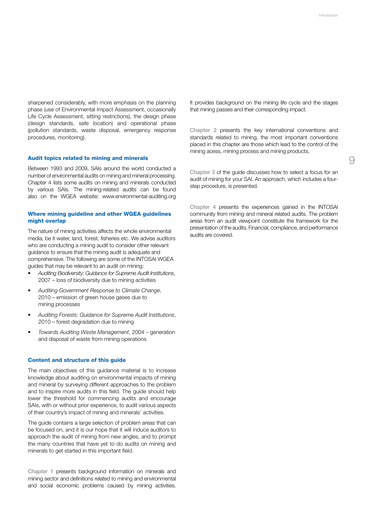sharpened considerably, with more emphasis on the planning phase (use of Environmental Impact Assessment, occasionally Life Cycle Assessment, sitting restrictions), the design phase (design standards, safe location) and operational phase (pollution standards, waste disposal, emergency response procedures, monitoring).

#### Audit topics related to mining and minerals

Between 1993 and 2009, SAIs around the world conducted a number of environmental audits on mining and mineral processing. Chapter 4 lists some audits on mining and minerals conducted by various SAIs. The mining-related audits can be found also on the WGEA website: www.environmental-auditing.org

# Where mining guideline and other WGEA guidelines might overlap

The nature of mining activities affects the whole environmental media, be it water, land, forest, fisheries etc. We advise auditors who are conducting a mining audit to consider other relevant guidance to ensure that the mining audit is adequate and comprehensive. The following are some of the INTOSAI WGEA guides that may be relevant to an audit on mining:

- • *Auditing Biodiversity: Guidance for Supreme Audit Institutions*, 2007 – loss of biodiversity due to mining activities
- Auditing Government Response to Climate Change, 2010 – emission of green house gases due to mining processes
- • *Auditing Forests: Guidance for Supreme Audit Institutions*, 2010 – forest degradation due to mining
- **Towards Auditing Waste Management, 2004 generation** and disposal of waste from mining operations

# Content and structure of this guide

The main objectives of this guidance material is to increase knowledge about auditing on environmental impacts of mining and mineral by surveying different approaches to the problem and to inspire more audits in this field. The guide should help lower the threshold for commencing audits and encourage SAIs, with or without prior experience, to audit various aspects of their country's impact of mining and minerals' activities.

The guide contains a large selection of problem areas that can be focused on, and it is our hope that it will induce auditors to approach the audit of mining from new angles, and to prompt the many countries that have yet to do audits on mining and minerals to get started in this important field.

Chapter 1 presents background information on minerals and mining sector and definitions related to mining and environmental and social economic problems caused by mining activities.

It provides background on the mining life cycle and the stages that mining passes and their corresponding impact.

Chapter 2 presents the key international conventions and standards related to mining, the most important conventions placed in this chapter are those which lead to the control of the mining acess, mining process and mining products.

Chapter 3 of the guide discusses how to select a focus for an audit of mining for your SAI. An approach, which includes a fourstep procedure, is presented.

Chapter 4 presents the experiences gained in the INTOSAI community from mining and mineral related audits. The problem areas from an audit viewpoint constitute the framework for the presentation of the audits. Financial, compliance, and performance audits are covered.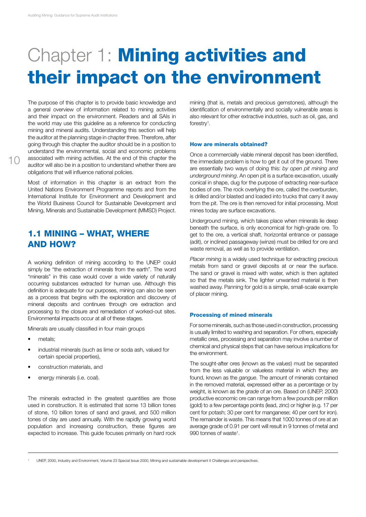# Chapter 1: Mining activities and their impact on the environment

The purpose of this chapter is to provide basic knowledge and a general overview of information related to mining activities and their impact on the environment. Readers and all SAIs in the world may use this guideline as a reference for conducting mining and mineral audits. Understanding this section will help the auditor at the planning stage in chapter three. Therefore, after going through this chapter the auditor should be in a position to understand the environmental, social and economic problems associated with mining activities. At the end of this chapter the auditor will also be in a position to understand whether there are obligations that will influence national policies.

Most of information in this chapter is an extract from the United Nations Environment Programme reports and from the International Institute for Environment and Development and the World Business Council for Sustainable Development and Mining, Minerals and Sustainable Development (MMSD) Project.

# 1.1 Mining – what, where and how?

A working definition of mining according to the UNEP could simply be "the extraction of minerals from the earth". The word "minerals" in this case would cover a wide variety of naturally occurring substances extracted for human use. Although this definition is adequate for our purposes, mining can also be seen as a process that begins with the exploration and discovery of mineral deposits and continues through ore extraction and processing to the closure and remediation of worked-out sites. Environmental impacts occur at all of these stages.

Minerals are usually classified in four main groups

- metals;
- industrial minerals (such as lime or soda ash, valued for certain special properties),
- construction materials, and
- energy minerals (i.e. coal).

The minerals extracted in the greatest quantities are those used in construction. It is estimated that some 13 billion tones of stone, 10 billion tones of sand and gravel, and 500 million tones of clay are used annually. With the rapidly growing world population and increasing construction, these figures are expected to increase. This guide focuses primarily on hard rock mining (that is, metals and precious gemstones), although the identification of environmentally and socially vulnerable areas is also relevant for other extractive industries, such as oil, gas, and forestry<sup>1</sup>.

# How are minerals obtained?

Once a commercially viable mineral deposit has been identified, the immediate problem is how to get it out of the ground. There are essentially two ways of doing this: *by open pit mining and underground mining*. An open pit is a surface excavation, usually conical in shape, dug for the purpose of extracting near-surface bodies of ore. The rock overlying the ore, called the *overburden*, is drilled and/or blasted and loaded into trucks that carry it away from the pit. The ore is then removed for initial processing. Most mines today are surface excavations.

Underground mining, which takes place when minerals lie deep beneath the surface, is only economical for high-grade ore. To get to the ore, a vertical shaft, horizontal entrance or passage (adit), or inclined passageway (winze) must be drilled for ore and waste removal, as well as to provide ventilation.

*Placer mining* is a widely used technique for extracting precious metals from sand or gravel deposits at or near the surface. The sand or gravel is mixed with water, which is then agitated so that the metals sink. The lighter unwanted material is then washed away. Panning for gold is a simple, small-scale example of placer mining.

## Processing of mined minerals

For some minerals, such as those used in construction, processing is usually limited to washing and separation. For others, especially metallic ores, processing and separation may involve a number of chemical and physical steps that can have serious implications for the environment.

The sought-after ores (known as the *values*) must be separated from the less valuable or valueless material in which they are found, known as the *gangue*. The amount of minerals contained in the removed material, expressed either as a percentage or by weight, is known as the *grade* of an ore. Based on (UNEP, 2000) productive economic ore can range from a few pounds per million (gold) to a few percentage points (lead, zinc) or higher (e.g. 17 per cent for potash; 30 per cent for manganese; 40 per cent for iron). The remainder is waste. This means that 1000 tonnes of ore at an average grade of 0.91 per cent will result in 9 tonnes of metal and 990 tonnes of waste<sup>1</sup>.

<sup>1</sup> UNEP, 2000, Industry and Environment, Volume 23 Special Issue 2000, Mining and sustainable development II Challenges and perspectives.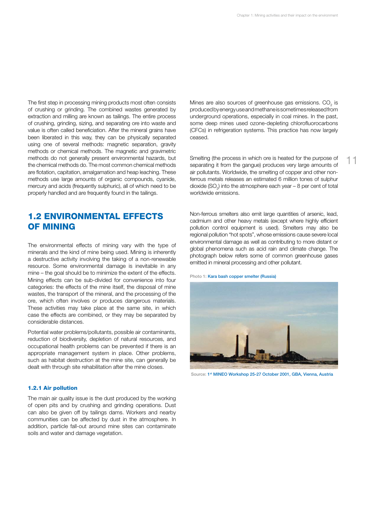The first step in processing mining products most often consists of crushing or grinding. The combined wastes generated by extraction and milling are known as tailings. The entire process of crushing, grinding, sizing, and separating ore into waste and value is often called beneficiation. After the mineral grains have been liberated in this way, they can be physically separated using one of several methods: magnetic separation, gravity methods or chemical methods. The magnetic and gravimetric methods do not generally present environmental hazards, but the chemical methods do. The most common chemical methods are flotation, capitation, amalgamation and heap leaching. These methods use large amounts of organic compounds, cyanide, mercury and acids (frequently sulphuric), all of which need to be properly handled and are frequently found in the tailings.

# 1.2 Environmental effects of mining

The environmental effects of mining vary with the type of minerals and the kind of mine being used. Mining is inherently a destructive activity involving the taking of a non-renewable resource. Some environmental damage is inevitable in any mine – the goal should be to minimize the extent of the effects. Mining effects can be sub-divided for convenience into four categories: the effects of the mine itself, the disposal of mine wastes, the transport of the mineral, and the processing of the ore, which often involves or produces dangerous materials. These activities may take place at the same site, in which case the effects are combined, or they may be separated by considerable distances.

Potential water problems/pollutants, possible air contaminants, reduction of biodiversity, depletion of natural resources, and occupational health problems can be prevented if there is an appropriate management system in place. Other problems, such as habitat destruction at the mine site, can generally be dealt with through site rehabilitation after the mine closes.

# 1.2.1 Air pollution

The main air quality issue is the dust produced by the working of open pits and by crushing and grinding operations. Dust can also be given off by tailings dams. Workers and nearby communities can be affected by dust in the atmosphere. In addition, particle fall-out around mine sites can contaminate soils and water and damage vegetation.

Mines are also sources of greenhouse gas emissions.  $CO_{2}$  is produced by energy use and methane is sometimes released from underground operations, especially in coal mines. In the past, some deep mines used ozone-depleting chlorofluorocarbons (CFCs) in refrigeration systems. This practice has now largely ceased.

Smelting (the process in which ore is heated for the purpose of separating it from the gangue) produces very large amounts of air pollutants. Worldwide, the smelting of copper and other nonferrous metals releases an estimated 6 million tones of sulphur dioxide (SO<sub>2</sub>) into the atmosphere each year  $-$  8 per cent of total worldwide emissions.

11

Non-ferrous smelters also emit large quantities of arsenic, lead, cadmium and other heavy metals (except where highly efficient pollution control equipment is used). Smelters may also be regional pollution "hot spots", whose emissions cause severe local environmental damage as well as contributing to more distant or global phenomena such as acid rain and climate change. The photograph below refers some of common greenhouse gases emitted in mineral processing and other pollutant.

Photo 1: Kara bash copper smelter (Russia)



Source: 1st MINEO Workshop 25-27 October 2001, GBA, Vienna, Austria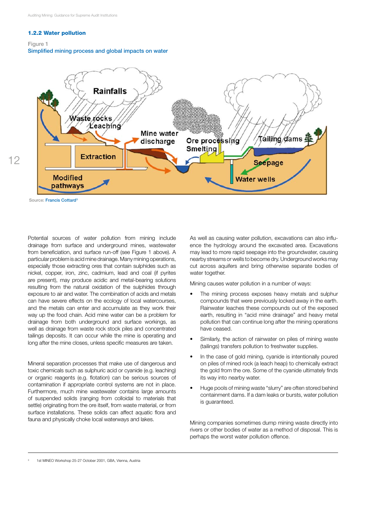# 1.2.2 Water pollution

# Figure 1 Simplified mining process and global impacts on water



Source: Francis Cottard<sup>3</sup>

Potential sources of water pollution from mining include drainage from surface and underground mines, wastewater from beneficiation, and surface run-off (see Figure 1 above). A particular problem is acid mine drainage. Many mining operations, especially those extracting ores that contain sulphides such as nickel, copper, iron, zinc, cadmium, lead and coal (if pyrites are present), may produce acidic and metal-bearing solutions resulting from the natural oxidation of the sulphides through exposure to air and water. The combination of acids and metals can have severe effects on the ecology of local watercourses, and the metals can enter and accumulate as they work their way up the food chain. Acid mine water can be a problem for drainage from both underground and surface workings, as well as drainage from waste rock stock piles and concentrated tailings deposits. It can occur while the mine is operating and long after the mine closes, unless specific measures are taken.

Mineral separation processes that make use of dangerous and toxic chemicals such as sulphuric acid or cyanide (e.g. leaching) or organic reagents (e.g. flotation) can be serious sources of contamination if appropriate control systems are not in place. Furthermore, much mine wastewater contains large amounts of suspended solids (ranging from colloidal to materials that settle) originating from the ore itself, from waste material, or from surface installations. These solids can affect aquatic flora and fauna and physically choke local waterways and lakes.

As well as causing water pollution, excavations can also influence the hydrology around the excavated area. Excavations may lead to more rapid seepage into the groundwater, causing nearby streams or wells to become dry. Underground works may cut across aquifers and bring otherwise separate bodies of water together.

Mining causes water pollution in a number of ways:

- The mining process exposes heavy metals and sulphur compounds that were previously locked away in the earth. Rainwater leaches these compounds out of the exposed earth, resulting in "acid mine drainage" and heavy metal pollution that can continue long after the mining operations have ceased.
- Similarly, the action of rainwater on piles of mining waste (tailings) transfers pollution to freshwater supplies.
- In the case of gold mining, cyanide is intentionally poured on piles of mined rock (a leach heap) to chemically extract the gold from the ore. Some of the cyanide ultimately finds its way into nearby water.
- Huge pools of mining waste "slurry" are often stored behind containment dams. If a dam leaks or bursts, water pollution is guaranteed.

Mining companies sometimes dump mining waste directly into rivers or other bodies of water as a method of disposal. This is perhaps the worst water pollution offence.

<sup>3</sup> 1st MINEO Workshop 25-27 October 2001, GBA, Vienna, Austria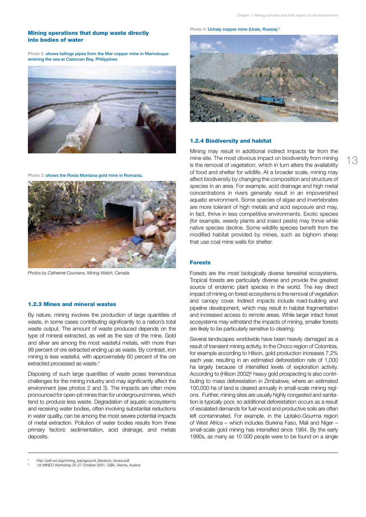### Mining operations that dump waste directly into bodies of water

Photo 2: shows tailings pipes from the Mar copper mine in Marinduque entering the sea at Calancan Bay, Philippines



Photo 3: shows the Rosia Montana gold mine in Romania.



*Photos by Catherine Coumans, Mining Watch, Canada*

# 1.2.3 Mines and mineral wastes

By nature, mining involves the production of large quantities of waste, in some cases contributing significantly to a nation's total waste output. The amount of waste produced depends on the type of mineral extracted, as well as the size of the mine. Gold and silver are among the most wasteful metals, with more than 99 percent of ore extracted ending up as waste. By contrast, iron mining is less wasteful, with approximately 60 percent of the ore extracted processed as waste.<sup>4</sup>

Disposing of such large quantities of waste poses tremendous challenges for the mining industry and may significantly affect the environment (see photos 2 and 3). The impacts are often more pronounced for open-pit mines than for underground mines, which tend to produce less waste. Degradation of aquatic ecosystems and receiving water bodies, often involving substantial reductions in water quality, can be among the most severe potential impacts of metal extraction. Pollution of water bodies results from three primary factors: sedimentation, acid drainage, and metals deposits.

Photo 4: Uchaly copper mine (Urals, Russia).<sup>5</sup>



#### 1.2.4 Biodiversity and habitat

Mining may result in additional indirect impacts far from the mine site. The most obvious impact on biodiversity from mining is the removal of vegetation, which in turn alters the availability of food and shelter for wildlife. At a broader scale, mining may affect biodiversity by changing the composition and structure of species in an area. For example, acid drainage and high metal concentrations in rivers generally result in an impoverished aquatic environment. Some species of algae and invertebrates are more tolerant of high metals and acid exposure and may, in fact, thrive in less competitive environments. Exotic species (for example, weedy plants and insect pests) may thrive while native species decline. Some wildlife species benefit from the modified habitat provided by mines, such as bighorn sheep that use coal mine walls for shelter.

#### **Forests**

Forests are the most biologically diverse terrestrial ecosystems. Tropical forests are particularly diverse and provide the greatest source of endemic plant species in the world. The key direct impact of mining on forest ecosystems is the removal of vegetation and canopy cover. Indirect impacts include road-building and pipeline development, which may result in habitat fragmentation and increased access to remote areas. While larger intact forest ecosystems may withstand the impacts of mining, smaller forests are likely to be particularly sensitive to clearing.

Several landscapes worldwide have been heavily damaged as a result of transient mining activity. In the Choco region of Colombia, for example according to Hilson, gold production increases 7.2% each year, resulting in an estimated deforestation rate of 1,000 ha largely because of intensified levels of exploration activity. According to (Hilson 2002)<sup>6</sup> heavy gold prospecting is also contributing to mass deforestation in Zimbabwe, where an estimated 100,000 ha of land is cleared annually in small-scale mining regions. Further, mining sites are usually highly congested and sanitation is typically poor, so additional deforestation occurs as a result of escalated demands for fuel wood and productive soils are often left contaminated. For example, in the Liptako-Gourma region of West Africa – which includes Burkina Faso, Mali and Niger – small-scale gold mining has intensified since 1984. By the early 1990s, as many as 10 000 people were to be found on a single

http://pdf.wri.org/mining\_background\_literature\_review.pdf <sup>5</sup> 1st MINEO Workshop 25-27 October 2001, GBA, Vienna, Austria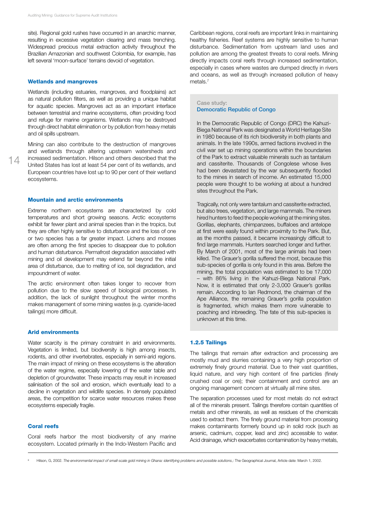site). Regional gold rushes have occurred in an anarchic manner, resulting in excessive vegetation clearing and mass trenching. Widespread precious metal extraction activity throughout the Brazilian Amazonian and southwest Colombia, for example, has left several 'moon-surface' terrains devoid of vegetation.

### Wetlands and mangroves

Wetlands (including estuaries, mangroves, and floodplains) act as natural pollution filters, as well as providing a unique habitat for aquatic species. Mangroves act as an important interface between terrestrial and marine ecosystems, often providing food and refuge for marine organisms. Wetlands may be destroyed through direct habitat elimination or by pollution from heavy metals and oil spills upstream.

Mining can also contribute to the destruction of mangroves and wetlands through altering upstream watersheds and increased sedimentation. Hilson and others described that the United States has lost at least 54 per cent of its wetlands, and European countries have lost up to 90 per cent of their wetland ecosystems.

# Mountain and arctic environments

Extreme northern ecosystems are characterized by cold temperatures and short growing seasons. Arctic ecosystems exhibit far fewer plant and animal species than in the tropics, but they are often highly sensitive to disturbance and the loss of one or two species has a far greater impact. Lichens and mosses are often among the first species to disappear due to pollution and human disturbance. Permafrost degradation associated with mining and oil development may extend far beyond the initial area of disturbance, due to melting of ice, soil degradation, and impoundment of water.

The arctic environment often takes longer to recover from pollution due to the slow speed of biological processes. In addition, the lack of sunlight throughout the winter months makes management of some mining wastes (e.g. cyanide-laced tailings) more difficult.

### Arid environments

Water scarcity is the primary constraint in arid environments. Vegetation is limited, but biodiversity is high among insects, rodents, and other invertebrates, especially in semi-arid regions. The main impact of mining on these ecosystems is the alteration of the water regime, especially lowering of the water table and depletion of groundwater. These impacts may result in increased salinisation of the soil and erosion, which eventually lead to a decline in vegetation and wildlife species. In densely populated areas, the competition for scarce water resources makes these ecosystems especially fragile.

# Coral reefs

Coral reefs harbor the most biodiversity of any marine ecosystem. Located primarily in the Indo-Western Pacific and

Caribbean regions, coral reefs are important links in maintaining healthy fisheries. Reef systems are highly sensitive to human disturbance. Sedimentation from upstream land uses and pollution are among the greatest threats to coral reefs. Mining directly impacts coral reefs through increased sedimentation, especially in cases where wastes are dumped directly in rivers and oceans, as well as through increased pollution of heavy metals<sup>7</sup>

# Case study: Democratic Republic of Congo

In the Democratic Republic of Congo (DRC) the Kahuzi-Biega National Park was designated a World Heritage Site in 1980 because of its rich biodiversity in both plants and animals. In the late 1990s, armed factions involved in the civil war set up mining operations within the boundaries of the Park to extract valuable minerals such as tantalum and cassiterite. Thousands of Congolese whose lives had been devastated by the war subsequently flooded to the mines in search of income. An estimated 15,000 people were thought to be working at about a hundred sites throughout the Park.

Tragically, not only were tantalum and cassiterite extracted, but also trees, vegetation, and large mammals. The miners hired hunters to feed the people working at the mining sites. Gorillas, elephants, chimpanzees, buffaloes and antelope at first were easily found within proximity to the Park. But, as the months passed, it became increasingly difficult to find large mammals. Hunters searched longer and further. By March of 2001, most of the large animals had been killed. The Grauer's gorilla suffered the most, because this sub-species of gorilla is only found in this area. Before the mining, the total population was estimated to be 17,000 – with 86% living in the Kahuzi-Biega National Park. Now, it is estimated that only 2-3,000 Grauer's gorillas remain. According to Ian Redmond, the chairman of the Ape Alliance, the remaining Grauer's gorilla population is fragmented, which makes them more vulnerable to poaching and inbreeding. The fate of this sub-species is unknown at this time.

# 1.2.5 Tailings

The tailings that remain after extraction and processing are mostly mud and slurries containing a very high proportion of extremely finely ground material. Due to their vast quantities, liquid nature, and very high content of fine particles (finely crushed coal or ore); their containment and control are an ongoing management concern at virtually all mine sites.

The separation processes used for most metals do not extract all of the minerals present. Tailings therefore contain quantities of metals and other minerals, as well as residues of the chemicals used to extract them. The finely ground material from processing makes contaminants formerly bound up in solid rock (such as arsenic, cadmium, copper, lead and zinc) accessible to water. Acid drainage, which exacerbates contamination by heavy metals,

<sup>6</sup> Hilson, G, 2002. *The environmental impact of small-scale gold mining in Ghana: identifying problems and possible solutions*,: The Geographical Journal, Article date: March 1, 2002.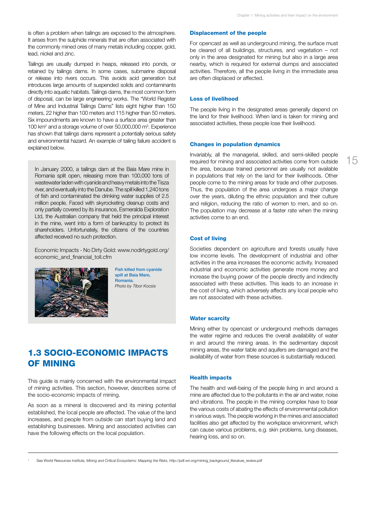is often a problem when tailings are exposed to the atmosphere. It arises from the sulphide minerals that are often associated with the commonly mined ores of many metals including copper, gold, lead, nickel and zinc.

Tailings are usually dumped in heaps, released into ponds, or retained by tailings dams. In some cases, submarine disposal or release into rivers occurs. This avoids acid generation but introduces large amounts of suspended solids and contaminants directly into aquatic habitats. Tailings dams, the most common form of disposal, can be large engineering works. The "World Register of Mine and Industrial Tailings Dams" lists eight higher than 150 meters, 22 higher than 100 meters and 115 higher than 50 meters. Six impoundments are known to have a surface area greater than 100 km2 and a storage volume of over 50,000,000 m3 . Experience has shown that tailings dams represent a potentially serious safety and environmental hazard. An example of tailing failure accident is explained below.

In January 2000, a tailings dam at the Baia Mare mine in Romania split open, releasing more than 100,000 tons of wastewater laden with cyanide and heavy metals into the Tisza river, and eventually into the Danube. The spill killed 1,240 tons of fish and contaminated the drinking water supplies of 2.5 million people. Faced with skyrocketing cleanup costs and only partially covered by its insurance, Esmeralda Exploration Ltd, the Australian company that held the principal interest in the mine, went into a form of bankruptcy to protect its shareholders. Unfortunately, the citizens of the countries affected received no such protection.

Economic Impacts - No Dirty Gold: www.nodirtygold.org/ economic\_and\_financial\_toll.cfm



Fish killed from cyanide spill at Baia Mare, Romania. *Photo by Tibor Kocsis*

# 1.3 Socio-economic impacts **OF MINING**

This guide is mainly concerned with the environmental impact of mining activities. This section, however, describes some of the socio-economic impacts of mining.

As soon as a mineral is discovered and its mining potential established, the local people are affected. The value of the land increases, and people from outside can start buying land and establishing businesses. Mining and associated activities can have the following effects on the local population.

## Displacement of the people

For opencast as well as underground mining, the surface must be cleared of all buildings, structures, and vegetation – not only in the area designated for mining but also in a large area nearby, which is required for external dumps and associated activities. Therefore, all the people living in the immediate area are often displaced or affected.

# Loss of livelihood

The people living in the designated areas generally depend on the land for their livelihood. When land is taken for mining and associated activities, these people lose their livelihood.

#### Changes in population dynamics

Invariably, all the managerial, skilled, and semi-skilled people required for mining and associated activities come from outside the area, because trained personnel are usually not available in populations that rely on the land for their livelihoods. Other people come to the mining areas for trade and other purposes. Thus, the population of the area undergoes a major change over the years, diluting the ethnic population and their culture and religion, reducing the ratio of women to men, and so on. The population may decrease at a faster rate when the mining activities come to an end.

15

# Cost of living

Societies dependent on agriculture and forests usually have low income levels. The development of industrial and other activities in the area increases the economic activity. Increased industrial and economic activities generate more money and increase the buying power of the people directly and indirectly associated with these activities. This leads to an increase in the cost of living, which adversely affects any local people who are not associated with these activities.

#### Water scarcity

Mining either by opencast or underground methods damages the water regime and reduces the overall availability of water in and around the mining areas. In the sedimentary deposit mining areas, the water table and aquifers are damaged and the availability of water from these sources is substantially reduced.

## Health impacts

The health and well-being of the people living in and around a mine are affected due to the pollutants in the air and water, noise and vibrations. The people in the mining complex have to bear the various costs of abating the effects of environmental pollution in various ways. The people working in the mines and associated facilities also get affected by the workplace environment, which can cause various problems, e.g. skin problems, lung diseases, hearing loss, and so on.

See World Resources Institute, *Mining and Critical Ecosystems: Mapping the Risks*, http://pdf.wri.org/mining\_background\_literature\_review.pdf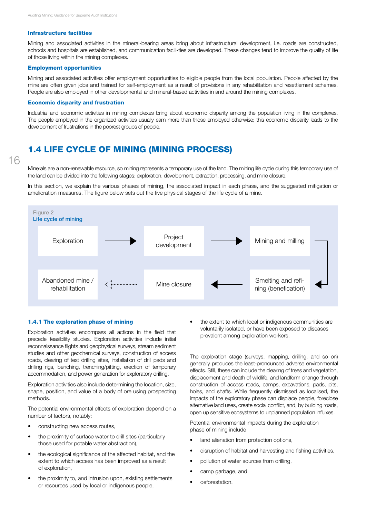#### Infrastructure facilities

Mining and associated activities in the mineral-bearing areas bring about infrastructural development, i.e. roads are constructed, schools and hospitals are established, and communication facili-ties are developed. These changes tend to improve the quality of life of those living within the mining complexes.

#### Employment opportunities

Mining and associated activities offer employment opportunities to eligible people from the local population. People affected by the mine are often given jobs and trained for self-employment as a result of provisions in any rehabilitation and resettlement schemes. People are also employed in other developmental and mineral-based activities in and around the mining complexes.

### Economic disparity and frustration

Industrial and economic activities in mining complexes bring about economic disparity among the population living in the complexes. The people employed in the organized activities usually earn more than those employed otherwise; this economic disparity leads to the development of frustrations in the poorest groups of people.

# 1.4 Life cycle of mining (mining process)

# 16

Minerals are a non-renewable resource, so mining represents a temporary use of the land. The mining life cycle during this temporary use of the land can be divided into the following stages: exploration, development, extraction, processing, and mine closure.

In this section, we explain the various phases of mining, the associated impact in each phase, and the suggested mitigation or amelioration measures. The figure below sets out the five physical stages of the life cycle of a mine.



### 1.4.1 The exploration phase of mining

Exploration activities encompass all actions in the field that precede feasibility studies. Exploration activities include initial reconnaissance flights and geophysical surveys, stream sediment studies and other geochemical surveys, construction of access roads, clearing of test drilling sites, installation of drill pads and drilling rigs, benching, trenching/pitting, erection of temporary accommodation, and power generation for exploratory drilling.

Exploration activities also include determining the location, size, shape, position, and value of a body of ore using prospecting methods.

The potential environmental effects of exploration depend on a number of factors, notably:

- constructing new access routes,
- the proximity of surface water to drill sites (particularly those used for potable water abstraction),
- the ecological significance of the affected habitat, and the extent to which access has been improved as a result of exploration,
- the proximity to, and intrusion upon, existing settlements or resources used by local or indigenous people,

• the extent to which local or indigenous communities are voluntarily isolated, or have been exposed to diseases prevalent among exploration workers.

The exploration stage (surveys, mapping, drilling, and so on) generally produces the least-pronounced adverse environmental effects. Still, these can include the clearing of trees and vegetation, displacement and death of wildlife, and landform change through construction of access roads, camps, excavations, pads, pits, holes, and shafts. While frequently dismissed as localised, the impacts of the exploratory phase can displace people, foreclose alternative land uses, create social conflict, and, by building roads, open up sensitive ecosystems to unplanned population influxes.

Potential environmental impacts during the exploration phase of mining include

- land alienation from protection options,
- disruption of habitat and harvesting and fishing activities,
- pollution of water sources from drilling,
- camp garbage, and
- deforestation.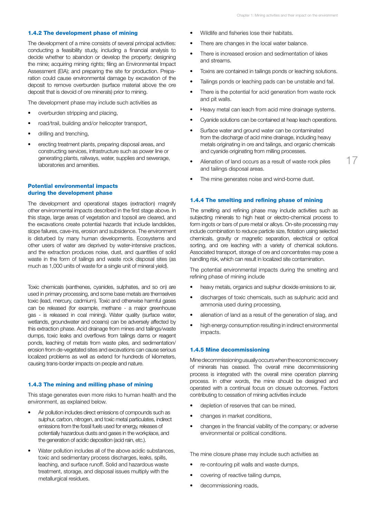# 1.4.2 The development phase of mining

The development of a mine consists of several principal activities: conducting a feasibility study, including a financial analysis to decide whether to abandon or develop the property; designing the mine; acquiring mining rights; filing an Environmental Impact Assessment (EIA); and preparing the site for production. Preparation could cause environmental damage by excavation of the deposit to remove overburden (surface material above the ore deposit that is devoid of ore minerals) prior to mining.

The development phase may include such activities as

- overburden stripping and placing,
- road/trail, building and/or helicopter transport,
- drilling and trenching,
- erecting treatment plants, preparing disposal areas, and constructing services, infrastructure such as power line or generating plants, railways, water, supplies and sewerage, laboratories and amenities.

# Potential environmental impacts during the development phase

The development and operational stages (extraction) magnify other environmental impacts described in the first stage above. In this stage, large areas of vegetation and topsoil are cleared, and the excavations create potential hazards that include landslides, slope failures, cave-ins, erosion and subsidence. The environment is disturbed by many human developments. Ecosystems and other users of water are deprived by water-intensive practices, and the extraction produces noise, dust, and quantities of solid waste in the form of tailings and waste rock disposal sites (as much as 1,000 units of waste for a single unit of mineral yield).

Toxic chemicals (xanthenes, cyanides, sulphates, and so on) are used in primary processing, and some base metals are themselves toxic (lead, mercury, cadmium). Toxic and otherwise harmful gases can be released (for example, methane - a major greenhouse gas - is released in coal mining). Water quality (surface water, wetlands, groundwater and oceans) can be adversely affected by this extraction phase. Acid drainage from mines and tailings/waste dumps, toxic leaks and overflows from tailings dams or reagent ponds, leaching of metals from waste piles, and sedimentation/ erosion from de-vegetated sites and excavations can cause serious localized problems as well as extend for hundreds of kilometers, causing trans-border impacts on people and nature.

# 1.4.3 The mining and milling phase of mining

This stage generates even more risks to human health and the environment, as explained below.

- Air pollution includes direct emissions of compounds such as sulphur, carbon, nitrogen, and toxic metal particulates, indirect emissions from the fossil fuels used for energy, releases of potentially hazardous dusts and gases in the workplace, and the generation of acidic deposition (acid rain, etc.).
- Water pollution includes all of the above acidic substances, toxic and sedimentary process discharges, leaks, spills, leaching, and surface runoff. Solid and hazardous waste treatment, storage, and disposal issues multiply with the metallurgical residues.
- Wildlife and fisheries lose their habitats.
- There are changes in the local water balance.
- There is increased erosion and sedimentation of lakes and streams.
- Toxins are contained in tailings ponds or leaching solutions.
- • Tailings ponds or leaching pads can be unstable and fail.
- There is the potential for acid generation from waste rock and pit walls.
- Heavy metal can leach from acid mine drainage systems.
- Cyanide solutions can be contained at heap leach operations.
- Surface water and ground water can be contaminated from the discharge of acid mine drainage, including heavy metals originating in ore and tailings, and organic chemicals and cyanide originating from milling processes.

17

- Alienation of land occurs as a result of waste rock piles and tailings disposal areas.
- The mine generates noise and wind-borne dust.

# 1.4.4 The smelting and refining phase of mining

The smelting and refining phase may include activities such as subjecting minerals to high heat or electro-chemical process to form ingots or bars of pure metal or alloys. On-site processing may include combination to reduce particle size, flotation using selected chemicals, gravity or magnetic separation, electrical or optical sorting, and ore leaching with a variety of chemical solutions. Associated transport, storage of ore and concentrates may pose a handling risk, which can result in localized site contamination.

The potential environmental impacts during the smelting and refining phase of mining include

- heavy metals, organics and sulphur dioxide emissions to air,
- discharges of toxic chemicals, such as sulphuric acid and ammonia used during processing,
- alienation of land as a result of the generation of slag, and
- high energy consumption resulting in indirect environmental impacts.

# 1.4.5 Mine decommissioning

Mine decommissioning usually occurs when the economic recovery of minerals has ceased. The overall mine decommissioning process is integrated with the overall mine operation planning process. In other words, the mine should be designed and operated with a continual focus on closure outcomes. Factors contributing to cessation of mining activities include

- depletion of reserves that can be mined,
- changes in market conditions,
- changes in the financial viability of the company; or adverse environmental or political conditions.

The mine closure phase may include such activities as

- re-contouring pit walls and waste dumps,
- covering of reactive tailing dumps.
- decommissioning roads,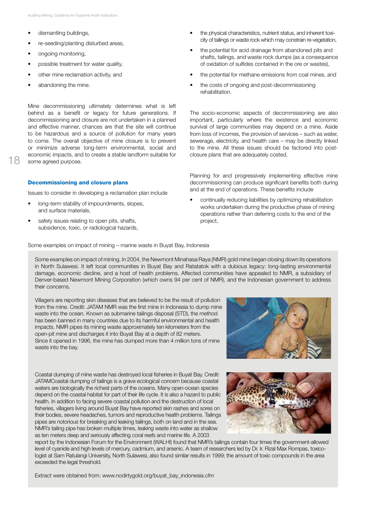- dismantling buildings,
- re-seeding/planting disturbed areas,
- ongoing monitoring,
- possible treatment for water quality,
- other mine reclamation activity, and
- abandoning the mine.

Mine decommissioning ultimately determines what is left behind as a benefit or legacy for future generations. If decommissioning and closure are not undertaken in a planned and effective manner, chances are that the site will continue to be hazardous and a source of pollution for many years to come. The overall objective of mine closure is to prevent or minimize adverse long-term environmental, social and economic impacts, and to create a stable landform suitable for some agreed purpose.

Decommissioning and closure plans

Issues to consider in developing a reclamation plan include

- long-term stability of impoundments, slopes, and surface materials,
- safety issues relating to open pits, shafts, subsidence, toxic, or radiological hazards,
- the physical characteristics, nutrient status, and inherent toxicity of tailings or waste rock which may constrain re-vegetation,
- the potential for acid drainage from abandoned pits and shafts, tailings, and waste rock dumps (as a consequence of oxidation of sulfides contained in the ore or wastes),
- the potential for methane emissions from coal mines, and
- the costs of ongoing and post-decommissioning rehabilitation.

The socio-economic aspects of decommissioning are also important, particularly where the existence and economic survival of large communities may depend on a mine. Aside from loss of incomes, the provision of services – such as water, sewerage, electricity, and health care – may be directly linked to the mine. All these issues should be factored into postclosure plans that are adequately costed.

Planning for and progressively implementing effective mine decommissioning can produce significant benefits both during and at the end of operations. These benefits include

continually reducing liabilities by optimizing rehabilitation works undertaken during the productive phase of mining operations rather than deferring costs to the end of the project,

Some examples on impact of mining – marine waste in Buyat Bay, Indonesia

Some examples on impact of mining. In 2004, the Newmont Minahasa Raya (NMR) gold mine began closing down its operations in North Sulawesi. It left local communities in Buyat Bay and Ratatatok with a dubious legacy: long-lasting environmental damage, economic decline, and a host of health problems. Affected communities have appealed to NMR, a subsidiary of Denver-based Newmont Mining Corporation (which owns 94 per cent of NMR), and the Indonesian government to address their concerns.

Villagers are reporting skin diseases that are believed to be the result of pollution from the mine. Credit: JATAM NMR was the first mine in Indonesia to dump mine waste into the ocean. Known as submarine tailings disposal (STD), the method has been banned in many countries due to its harmful environmental and health impacts. NMR pipes its mining waste approximately ten kilometers from the open-pit mine and discharges it into Buyat Bay at a depth of 82 meters. Since it opened in 1996, the mine has dumped more than 4 million tons of mine waste into the bay.

Coastal dumping of mine waste has destroyed local fisheries in Buyat Bay. Credit: JATAMCoastal dumping of tailings is a grave ecological concern because coastal waters are biologically the richest parts of the oceans. Many open-ocean species depend on the coastal habitat for part of their life cycle. It is also a hazard to public health. In addition to facing severe coastal pollution and the destruction of local fisheries, villagers living around Buyat Bay have reported skin rashes and sores on their bodies, severe headaches, tumors and reproductive health problems. Tailings pipes are notorious for breaking and leaking tailings, both on land and in the sea. NMR's tailing pipe has broken multiple times, leaking waste into water as shallow as ten meters deep and seriously affecting coral reefs and marine life. A 2003

report by the Indonesian Forum for the Environment (WALHI) found that NMR's tailings contain four times the government-allowed level of cyanide and high levels of mercury, cadmium, and arsenic. A team of researchers led by Dr. Ir. Rizal Max Rompas, toxicologist at Sam Ratulangi University, North Sulawesi, also found similar results in 1999; the amount of toxic compounds in the area exceeded the legal threshold.

Extract were obtained from: www.nodirtygold.org/buyat\_bay\_indonesia.cfm





18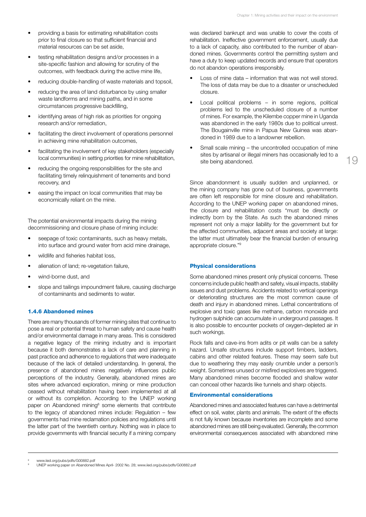- providing a basis for estimating rehabilitation costs prior to final closure so that sufficient financial and material resources can be set aside,
- testing rehabilitation designs and/or processes in a site-specific fashion and allowing for scrutiny of the outcomes, with feedback during the active mine life,
- reducing double-handling of waste materials and topsoil,
- reducing the area of land disturbance by using smaller waste landforms and mining paths, and in some circumstances progressive backfilling,
- identifying areas of high risk as priorities for ongoing research and/or remediation,
- facilitating the direct involvement of operations personnel in achieving mine rehabilitation outcomes,
- facilitating the involvement of key stakeholders (especially local communities) in setting priorities for mine rehabilitation,
- reducing the ongoing responsibilities for the site and facilitating timely relinquishment of tenements and bond recovery, and
- easing the impact on local communities that may be economically reliant on the mine.

The potential environmental impacts during the mining decommissioning and closure phase of mining include:

- seepage of toxic contaminants, such as heavy metals, into surface and ground water from acid mine drainage,
- wildlife and fisheries habitat loss,
- alienation of land; re-vegetation failure,
- wind-borne dust, and
- slope and tailings impoundment failure, causing discharge of contaminants and sediments to water.

# 1.4.6 Abandoned mines

There are many thousands of former mining sites that continue to pose a real or potential threat to human safety and cause health and/or environmental damage in many areas. This is considered a negative legacy of the mining industry and is important because it both demonstrates a lack of care and planning in past practice and adherence to regulations that were inadequate because of the lack of detailed understanding. In general, the presence of abandoned mines negatively influences public perceptions of the industry. Generally, abandoned mines are sites where advanced exploration, mining or mine production ceased without rehabilitation having been implemented at all or without its completion. According to the UNEP working paper on Abandoned mining<sup>8</sup> some elements that contribute to the legacy of abandoned mines include: Regulation – few governments had mine reclamation policies and regulations until the latter part of the twentieth century. Nothing was in place to provide governments with financial security if a mining company was declared bankrupt and was unable to cover the costs of rehabilitation. Ineffective government enforcement, usually due to a lack of capacity, also contributed to the number of abandoned mines. Governments control the permitting system and have a duty to keep updated records and ensure that operators do not abandon operations irresponsibly.

- Loss of mine data information that was not well stored. The loss of data may be due to a disaster or unscheduled closure.
- Local political problems  $-$  in some regions, political problems led to the unscheduled closure of a number of mines. For example, the Kilembe copper mine in Uganda was abandoned in the early 1980s due to political unrest. The Bougainville mine in Papua New Guinea was abandoned in 1989 due to a landowner rebellion.
- Small scale mining the uncontrolled occupation of mine sites by artisanal or illegal miners has occasionally led to a site being abandoned.

1 O

Since abandonment is usually sudden and unplanned, or the mining company has gone out of business, governments are often left responsible for mine closure and rehabilitation. According to the UNEP working paper on abandoned mines, the closure and rehabilitation costs "must be directly or indirectly born by the State. As such the abandoned mines represent not only a major liability for the government but for the affected communities, adjacent areas and society at large: the latter must ultimately bear the financial burden of ensuring appropriate closure."9

# Physical considerations

Some abandoned mines present only physical concerns. These concerns include public health and safety, visual impacts, stability issues and dust problems. Accidents related to vertical openings or deteriorating structures are the most common cause of death and injury in abandoned mines. Lethal concentrations of explosive and toxic gases like methane, carbon monoxide and hydrogen sulphide can accumulate in underground passages. It is also possible to encounter pockets of oxygen-depleted air in such workings.

Rock falls and cave-ins from adits or pit walls can be a safety hazard. Unsafe structures include support timbers, ladders, cabins and other related features. These may seem safe but due to weathering they may easily crumble under a person's weight. Sometimes unused or misfired explosives are triggered. Many abandoned mines become flooded and shallow water can conceal other hazards like tunnels and sharp objects.

# Environmental considerations

Abandoned mines and associated features can have a detrimental effect on soil, water, plants and animals. The extent of the effects is not fully known because inventories are incomplete and some abandoned mines are still being evaluated. Generally, the common environmental consequences associated with abandoned mine

www.iied.org/pubs/pdfs/G00882.pdf<br>UNEP working paper on Abandoned Mines April- 2002 No. 28; www.iied.org/pubs/pdfs/G00882.pdf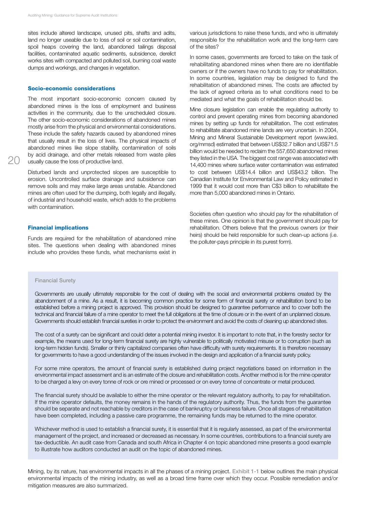sites include altered landscape, unused pits, shafts and adits, land no longer useable due to loss of soil or soil contamination, spoil heaps covering the land, abandoned tailings disposal facilities, contaminated aquatic sediments, subsidence, derelict works sites with compacted and polluted soil, burning coal waste dumps and workings, and changes in vegetation.

#### Socio-economic considerations

The most important socio-economic concern caused by abandoned mines is the loss of employment and business activities in the community, due to the unscheduled closure. The other socio-economic considerations of abandoned mines mostly arise from the physical and environmental considerations. These include the safety hazards caused by abandoned mines that usually result in the loss of lives. The physical impacts of abandoned mines like slope stability, contamination of soils by acid drainage, and other metals released from waste piles usually cause the loss of productive land.

Disturbed lands and unprotected slopes are susceptible to erosion. Uncontrolled surface drainage and subsidence can remove soils and may make large areas unstable. Abandoned mines are often used for the dumping, both legally and illegally, of industrial and household waste, which adds to the problems with contamination.

#### Financial implications

Funds are required for the rehabilitation of abandoned mine sites. The questions when dealing with abandoned mines include who provides these funds, what mechanisms exist in various jurisdictions to raise these funds, and who is ultimately responsible for the rehabilitation work and the long-term care of the sites?

In some cases, governments are forced to take on the task of rehabilitating abandoned mines when there are no identifiable owners or if the owners have no funds to pay for rehabilitation. In some countries, legislation may be designed to fund the rehabilitation of abandoned mines. The costs are affected by the lack of agreed criteria as to what conditions need to be mediated and what the goals of rehabilitation should be.

Mine closure legislation can enable the regulating authority to control and prevent operating mines from becoming abandoned mines by setting up funds for rehabilitation. The cost estimates to rehabilitate abandoned mine lands are very uncertain. In 2004, Mining and Mineral Sustainable Development report (www.iied. org/mmsd) estimated that between US\$32.7 billion and US\$71.5 billion would be needed to reclaim the 557,650 abandoned mines they listed in the USA. The biggest cost range was associated with 14,400 mines where surface water contamination was estimated to cost between US\$14.4 billion and US\$43.2 billion. The Canadian Institute for Environmental Law and Policy estimated in 1999 that it would cost more than C\$3 billion to rehabilitate the more than 5,000 abandoned mines in Ontario.

Societies often question who should pay for the rehabilitation of these mines. One opinion is that the government should pay for rehabilitation. Others believe that the previous owners (or their heirs) should be held responsible for such clean-up actions (i.e. the polluter-pays principle in its purest form).

## Financial Surety

Governments are usually ultimately responsible for the cost of dealing with the social and environmental problems created by the abandonment of a mine. As a result, it is becoming common practice for some form of financial surety or rehabilitation bond to be established before a mining project is approved. This provision should be designed to guarantee performance and to cover both the technical and financial failure of a mine operator to meet the full obligations at the time of closure or in the event of an unplanned closure. Governments should establish financial sureties in order to protect the environment and avoid the costs of cleaning up abandoned sites.

The cost of a surety can be significant and could deter a potential mining investor. It is important to note that, in the forestry sector for example, the means used for long-term financial surety are highly vulnerable to politically motivated misuse or to corruption (such as long-term hidden funds). Smaller or thinly capitalized companies often have difficulty with surety requirements. It is therefore necessary for governments to have a good understanding of the issues involved in the design and application of a financial surety policy.

For some mine operators, the amount of financial surety is established during project negotiations based on information in the environmental impact assessment and is an estimate of the closure and rehabilitation costs. Another method is for the mine operator to be charged a levy on every tonne of rock or ore mined or processed or on every tonne of concentrate or metal produced.

The financial surety should be available to either the mine operator or the relevant regulatory authority, to pay for rehabilitation. If the mine operator defaults, the money remains in the hands of the regulatory authority. Thus, the funds from the guarantee should be separate and not reachable by creditors in the case of bankruptcy or business failure. Once all stages of rehabilitation have been completed, including a passive care programme, the remaining funds may be returned to the mine operator.

Whichever method is used to establish a financial surety, it is essential that it is regularly assessed, as part of the environmental management of the project, and increased or decreased as necessary. In some countries, contributions to a financial surety are tax-deductible. An audit case from Canada and south Africa in Chapter 4 on topic abandoned mine presents a good example to illustrate how auditors conducted an audit on the topic of abandoned mines.

Mining, by its nature, has environmental impacts in all the phases of a mining project. Exhibit 1-1 below outlines the main physical environmental impacts of the mining industry, as well as a broad time frame over which they occur. Possible remediation and/or mitigation measures are also summarized.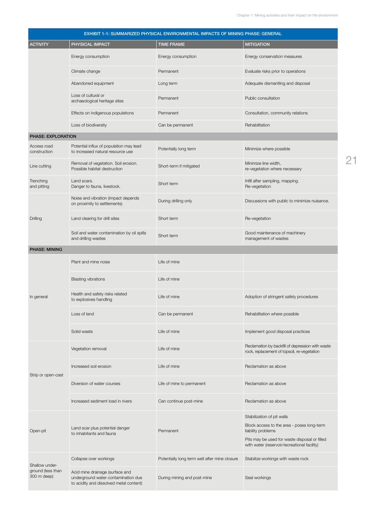| EXHIBIT 1-1: SUMMARIZED PHYSICAL ENVIRONMENTAL IMPACTS OF MINING PHASE: GENERAL |                                                                                                                   |                                               |                                                                                                                                                                                                 |  |  |
|---------------------------------------------------------------------------------|-------------------------------------------------------------------------------------------------------------------|-----------------------------------------------|-------------------------------------------------------------------------------------------------------------------------------------------------------------------------------------------------|--|--|
| <b>ACTIVITY</b>                                                                 | PHYSICAL IMPACT                                                                                                   | <b>TIME FRAME</b>                             | <b>MITIGATION</b>                                                                                                                                                                               |  |  |
|                                                                                 | Energy consumption                                                                                                | Energy consumption                            | Energy conservation measures                                                                                                                                                                    |  |  |
|                                                                                 | Climate change                                                                                                    | Permanent                                     | Evaluate risks prior to operations                                                                                                                                                              |  |  |
|                                                                                 | Abandoned equipment                                                                                               | Long term                                     | Adequate dismantling and disposal                                                                                                                                                               |  |  |
|                                                                                 | Loss of cultural or<br>archaeological heritage sites                                                              | Permanent                                     | Public consultation                                                                                                                                                                             |  |  |
|                                                                                 | Effects on indigenous populations                                                                                 | Permanent                                     | Consultation, community relations                                                                                                                                                               |  |  |
|                                                                                 | Loss of biodiversity                                                                                              | Can be permanent                              | Rehabilitation                                                                                                                                                                                  |  |  |
| PHASE: EXPLORATION                                                              |                                                                                                                   |                                               |                                                                                                                                                                                                 |  |  |
| Access road<br>construction                                                     | Potential influx of population may lead<br>to increased natural resource use                                      | Potentially long term                         | Minimize where possible                                                                                                                                                                         |  |  |
| Line cutting                                                                    | Removal of vegetation. Soil erosion.<br>Possible habitat destruction                                              | Short-term if mitigated                       | Minimize line width,<br>re-vegetation where necessary                                                                                                                                           |  |  |
| Trenching<br>and pitting                                                        | Land scars.<br>Danger to fauna, livestock.                                                                        | Short term                                    | Infill after sampling, mapping.<br>Re-vegetation                                                                                                                                                |  |  |
|                                                                                 | Noise and vibration (impact depends<br>on proximity to settlements)                                               | During drilling only                          | Discussions with public to minimize nuisance.                                                                                                                                                   |  |  |
| Drilling                                                                        | Land clearing for drill sites                                                                                     | Short term                                    | Re-vegetation                                                                                                                                                                                   |  |  |
|                                                                                 | Soil and water contamination by oil spills<br>and drilling wastes                                                 | Short term                                    | Good maintenance of machinery<br>management of wastes                                                                                                                                           |  |  |
| <b>PHASE: MINING</b>                                                            |                                                                                                                   |                                               |                                                                                                                                                                                                 |  |  |
|                                                                                 | Plant and mine noise                                                                                              | Life of mine                                  |                                                                                                                                                                                                 |  |  |
|                                                                                 | <b>Blasting vibrations</b>                                                                                        | Life of mine                                  |                                                                                                                                                                                                 |  |  |
| In general                                                                      | Health and safety risks related<br>to explosives handling                                                         | Life of mine                                  | Adoption of stringent safety procedures                                                                                                                                                         |  |  |
|                                                                                 | Loss of land                                                                                                      | Can be permanent                              | Rehabilitation where possible                                                                                                                                                                   |  |  |
|                                                                                 | Solid waste                                                                                                       | Life of mine                                  | Implement good disposal practices                                                                                                                                                               |  |  |
|                                                                                 | Vegetation removal                                                                                                | Life of mine                                  | Reclamation by backfill of depression with waste<br>rock, replacement of topsoil, re-vegetation                                                                                                 |  |  |
| Strip or open-cast                                                              | Increased soil erosion                                                                                            | Life of mine                                  | Reclamation as above                                                                                                                                                                            |  |  |
|                                                                                 | Diversion of water courses                                                                                        | Life of mine to permanent                     | Reclamation as above                                                                                                                                                                            |  |  |
|                                                                                 | Increased sediment load in rivers                                                                                 | Can continue post-mine                        | Reclamation as above                                                                                                                                                                            |  |  |
| Open-pit                                                                        | Land scar plus potential danger<br>to inhabitants and fauna                                                       | Permanent                                     | Stabilization of pit walls<br>Block access to the area - poses long-term<br>liability problems<br>Pits may be used for waste disposal or filled<br>with water (reservoir/recreational facility) |  |  |
| Shallow under-                                                                  | Collapse over workings                                                                                            | Potentially long term well after mine closure | Stabilize workings with waste rock                                                                                                                                                              |  |  |
| ground (less than<br>300 m deep)                                                | Acid mine drainage (surface and<br>underground water contamination due<br>to acidity and dissolved metal content) | During mining and post-mine                   | Seal workings                                                                                                                                                                                   |  |  |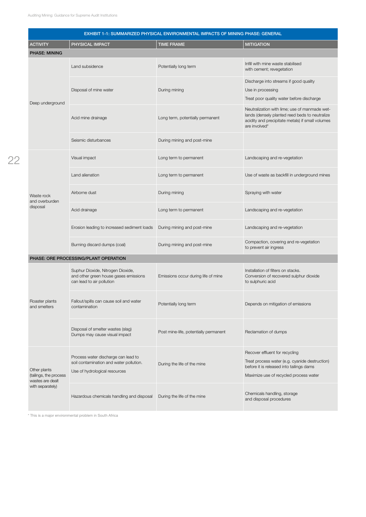| EXHIBIT 1-1: SUMMARIZED PHYSICAL ENVIRONMENTAL IMPACTS OF MINING PHASE: GENERAL |                                                                                                                 |                                       |                                                                                                                                                                        |  |  |
|---------------------------------------------------------------------------------|-----------------------------------------------------------------------------------------------------------------|---------------------------------------|------------------------------------------------------------------------------------------------------------------------------------------------------------------------|--|--|
| <b>ACTIVITY</b>                                                                 | PHYSICAL IMPACT                                                                                                 | <b>TIME FRAME</b>                     | <b>MITIGATION</b>                                                                                                                                                      |  |  |
| <b>PHASE: MINING</b>                                                            |                                                                                                                 |                                       |                                                                                                                                                                        |  |  |
| Deep underground                                                                | Land subsidence                                                                                                 | Potentially long term                 | Infill with mine waste stabilised<br>with cement; revegetation                                                                                                         |  |  |
|                                                                                 | Disposal of mine water                                                                                          | During mining                         | Discharge into streams if good quality<br>Use in processing<br>Treat poor quality water before discharge                                                               |  |  |
|                                                                                 | Acid mine drainage                                                                                              | Long term, potentially permanent      | Neutralization with lime; use of manmade wet-<br>lands (densely planted reed beds to neutralize<br>acidity and precipitate metals) if small volumes<br>are involved*   |  |  |
|                                                                                 | Seismic disturbances                                                                                            | During mining and post-mine           |                                                                                                                                                                        |  |  |
|                                                                                 | Visual impact                                                                                                   | Long term to permanent                | Landscaping and re-vegetation                                                                                                                                          |  |  |
|                                                                                 | Land alienation                                                                                                 | Long term to permanent                | Use of waste as backfill in underground mines                                                                                                                          |  |  |
| Waste rock<br>and overburden                                                    | Airborne dust                                                                                                   | During mining                         | Spraying with water                                                                                                                                                    |  |  |
| disposal                                                                        | Acid drainage                                                                                                   | Long term to permanent                | Landscaping and re-vegetation                                                                                                                                          |  |  |
|                                                                                 | Erosion leading to increased sediment loads                                                                     | During mining and post-mine           | Landscaping and re-vegetation                                                                                                                                          |  |  |
|                                                                                 | Burning discard dumps (coal)                                                                                    | During mining and post-mine           | Compaction, covering and re-vegetation<br>to prevent air ingress                                                                                                       |  |  |
|                                                                                 | PHASE: ORE PROCESSING/PLANT OPERATION                                                                           |                                       |                                                                                                                                                                        |  |  |
|                                                                                 | Suphur Dioxide, Nitrogen Dioxide,<br>and other green house gases emissions<br>can lead to air pollution         | Emissions occur during life of mine   | Installation of filters on stacks.<br>Conversion of recovered sulphur dioxide<br>to sulphuric acid                                                                     |  |  |
| Roaster plants<br>and smelters                                                  | Fallout/spills can cause soil and water<br>contamination                                                        | Potentially long term                 | Depends on mitigation of emissions                                                                                                                                     |  |  |
|                                                                                 | Disposal of smelter wastes (slag)<br>Dumps may cause visual impact                                              | Post mine-life, potentially permanent | Reclamation of dumps                                                                                                                                                   |  |  |
| Other plants<br>(tailings, the process<br>wastes are dealt<br>with separately)  | Process water discharge can lead to<br>soil contamination and water pollution.<br>Use of hydrological resources | During the life of the mine           | Recover effluent for recycling<br>Treat process water (e.g. cyanide destruction)<br>before it is released into tailings dams<br>Maximize use of recycled process water |  |  |
|                                                                                 | Hazardous chemicals handling and disposal                                                                       | During the life of the mine           | Chemicals handling, storage<br>and disposal procedures                                                                                                                 |  |  |

\* This is a major environmental problem in South Africa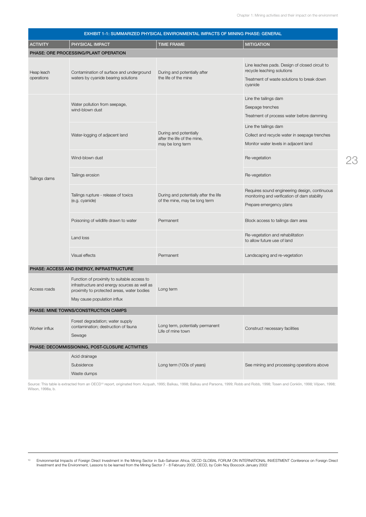| EXHIBIT 1-1: SUMMARIZED PHYSICAL ENVIRONMENTAL IMPACTS OF MINING PHASE: GENERAL                                                                                                          |                                                                                                                                  |                                                                           |                                                                                                                                       |  |  |  |
|------------------------------------------------------------------------------------------------------------------------------------------------------------------------------------------|----------------------------------------------------------------------------------------------------------------------------------|---------------------------------------------------------------------------|---------------------------------------------------------------------------------------------------------------------------------------|--|--|--|
| <b>ACTIVITY</b>                                                                                                                                                                          | PHYSICAL IMPACT                                                                                                                  | <b>TIME FRAME</b>                                                         | <b>MITIGATION</b>                                                                                                                     |  |  |  |
| PHASE: ORE PROCESSING/PLANT OPERATION                                                                                                                                                    |                                                                                                                                  |                                                                           |                                                                                                                                       |  |  |  |
| Heap leach<br>operations                                                                                                                                                                 | Contamination of surface and underground<br>waters by cyanide bearing solutions                                                  | During and potentially after<br>the life of the mine                      | Line leaches pads. Design of closed circuit to<br>recycle leaching solutions<br>Treatment of waste solutions to break down<br>cyanide |  |  |  |
|                                                                                                                                                                                          | Water pollution from seepage,<br>wind-blown dust                                                                                 |                                                                           | Line the tailings dam<br>Seepage trenches<br>Treatment of process water before damming                                                |  |  |  |
|                                                                                                                                                                                          | Water-logging of adjacent land                                                                                                   | During and potentially<br>after the life of the mine,<br>may be long term | Line the tailings dam<br>Collect and recycle water in seepage trenches<br>Monitor water levels in adjacent land                       |  |  |  |
|                                                                                                                                                                                          | Wind-blown dust                                                                                                                  |                                                                           | Re-vegetation                                                                                                                         |  |  |  |
| Tailings dams                                                                                                                                                                            | Tailings erosion                                                                                                                 |                                                                           | Re-vegetation                                                                                                                         |  |  |  |
|                                                                                                                                                                                          | Tailings rupture - release of toxics<br>During and potentially after the life<br>(e.g. cyanide)<br>of the mine, may be long term |                                                                           | Requires sound engineering design, continuous<br>monitoring and verification of dam stability<br>Prepare emergency plans              |  |  |  |
|                                                                                                                                                                                          | Poisoning of wildlife drawn to water<br>Permanent                                                                                |                                                                           | Block access to tailings dam area                                                                                                     |  |  |  |
|                                                                                                                                                                                          | Land loss                                                                                                                        |                                                                           | Re-vegetation and rehabilitation<br>to allow future use of land                                                                       |  |  |  |
|                                                                                                                                                                                          | Visual effects                                                                                                                   | Permanent                                                                 | Landscaping and re-vegetation                                                                                                         |  |  |  |
|                                                                                                                                                                                          | PHASE: ACCESS AND ENERGY, INFRASTRUCTURE                                                                                         |                                                                           |                                                                                                                                       |  |  |  |
| Function of proximity to suitable access to<br>infrastructure and energy sources as well as<br>Access roads<br>proximity to protected areas, water bodies<br>May cause population influx |                                                                                                                                  | Long term                                                                 |                                                                                                                                       |  |  |  |
|                                                                                                                                                                                          | PHASE: MINE TOWNS/CONSTRUCTION CAMPS                                                                                             |                                                                           |                                                                                                                                       |  |  |  |
| Worker influx                                                                                                                                                                            | Forest degradation; water supply<br>contamination; destruction of fauna<br>Sewage                                                | Long term, potentially permanent<br>Life of mine town                     | Construct necessary facilities                                                                                                        |  |  |  |
|                                                                                                                                                                                          | PHASE: DECOMMISSIONING, POST-CLOSURE ACTIVITIES                                                                                  |                                                                           |                                                                                                                                       |  |  |  |
|                                                                                                                                                                                          | Acid drainage<br>Subsidence<br>Waste dumps                                                                                       | Long term (100s of years)                                                 | See mining and processing operations above                                                                                            |  |  |  |

Source: This table is extracted from an OECD<sup>10</sup> report, originated from: Acquah, 1995; Balkau, 1998; Balkau and Parsons, 1999; Robb and Robb, 1998; Tosen and Conklin, 1998; Viljoen, 1998;<br>Wilson, 1998a, b.

Environmental Impacts of Foreign Direct Investment in the Mining Sector in Sub-Saharan Africa, OECD GLOBAL FORUM ON INTERNATIONAL INVESTMENT Conference on Foreign Direct<br>Investment and the Environment, Lessons to be learne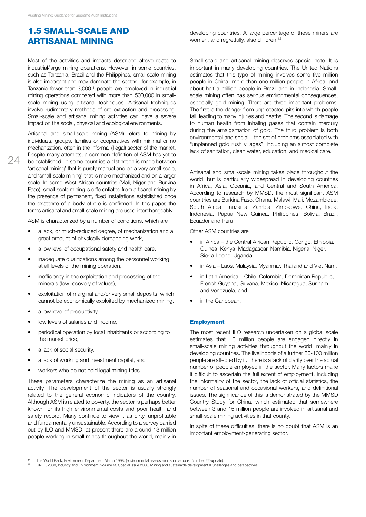# 1.5 Small-scale and artisanal mining

Most of the activities and impacts described above relate to industrial/large mining operations. However, in some countries, such as Tanzania, Brazil and the Philippines, small-scale mining is also important and may dominate the sector—for example, in Tanzania fewer than 3,000<sup>11</sup> people are employed in industrial mining operations compared with more than 500,000 in smallscale mining using artisanal techniques. Artisanal techniques involve rudimentary methods of ore extraction and processing. Small-scale and artisanal mining activities can have a severe impact on the social, physical and ecological environments.

Artisanal and small-scale mining (ASM) refers to mining by individuals, groups, families or cooperatives with minimal or no mechanization, often in the informal (illegal) sector of the market. Despite many attempts, a common definition of ASM has yet to be established. In some countries a distinction is made between 'artisanal mining' that is purely manual and on a very small scale, and 'small-scale mining' that is more mechanized and on a larger scale. In some West African countries (Mali, Niger and Burkina Faso), small-scale mining is differentiated from artisanal mining by the presence of permanent, fixed installations established once the existence of a body of ore is confirmed. In this paper, the terms artisanal and small-scale mining are used interchangeably.

ASM is characterized by a number of conditions, which are

- • a lack, or much-reduced degree, of mechanization and a great amount of physically demanding work,
- a low level of occupational safety and health care,
- inadequate qualifications among the personnel working at all levels of the mining operation,
- inefficiency in the exploitation and processing of the minerals (low recovery of values),
- exploitation of marginal and/or very small deposits, which cannot be economically exploited by mechanized mining,
- a low level of productivity,
- low levels of salaries and income.
- periodical operation by local inhabitants or according to the market price,
- a lack of social security,
- a lack of working and investment capital, and
- workers who do not hold legal mining titles.

These parameters characterize the mining as an artisanal activity. The development of the sector is usually strongly related to the general economic indicators of the country. Although ASM is related to poverty, the sector is perhaps better known for its high environmental costs and poor health and safety record. Many continue to view it as dirty, unprofitable and fundamentally unsustainable. According to a survey carried out by ILO and MMSD, at present there are around 13 million people working in small mines throughout the world, mainly in developing countries. A large percentage of these miners are women, and regretfully, also children.<sup>12</sup>

Small-scale and artisanal mining deserves special note. It is important in many developing countries. The United Nations estimates that this type of mining involves some five million people in China, more than one million people in Africa, and about half a million people in Brazil and in Indonesia. Smallscale mining often has serious environmental consequences, especially gold mining. There are three important problems. The first is the danger from unprotected pits into which people fall, leading to many injuries and deaths. The second is damage to human health from inhaling gases that contain mercury during the amalgamation of gold. The third problem is both environmental and social – the set of problems associated with "unplanned gold rush villages", including an almost complete lack of sanitation, clean water, education, and medical care.

Artisanal and small-scale mining takes place throughout the world, but is particularly widespread in developing countries in Africa, Asia, Oceania, and Central and South America. According to research by MMSD, the most significant ASM countries are Burkina Faso, Ghana, Malawi, Mali, Mozambique, South Africa, Tanzania, Zambia, Zimbabwe, China, India, Indonesia, Papua New Guinea, Philippines, Bolivia, Brazil, Ecuador and Peru.

Other ASM countries are

- in Africa the Central African Republic, Congo, Ethiopia, Guinea, Kenya, Madagascar, Namibia, Nigeria, Niger, Sierra Leone, Uganda,
- in Asia Laos, Malaysia, Myanmar, Thailand and Viet Nam,
- in Latin America Chile, Colombia, Dominican Republic, French Guyana, Guyana, Mexico, Nicaragua, Surinam and Venezuela, and
- in the Caribbean.

### Employment

The most recent ILO research undertaken on a global scale estimates that 13 million people are engaged directly in small-scale mining activities throughout the world, mainly in developing countries. The livelihoods of a further 80-100 million people are affected by it. There is a lack of clarity over the actual number of people employed in the sector. Many factors make it difficult to ascertain the full extent of employment, including the informality of the sector, the lack of official statistics, the number of seasonal and occasional workers, and definitional issues. The significance of this is demonstrated by the MMSD Country Study for China, which estimated that somewhere between 3 and 15 million people are involved in artisanal and small-scale mining activities in that county.

In spite of these difficulties, there is no doubt that ASM is an important employment-generating sector.

The World Bank, Environment Department March 1998. (environmental assessment source book, Number 22-update).<br>UNEP, 2000, Industry and Environment, Volume 23 Special Issue 2000, Mining and sustainable development II Challen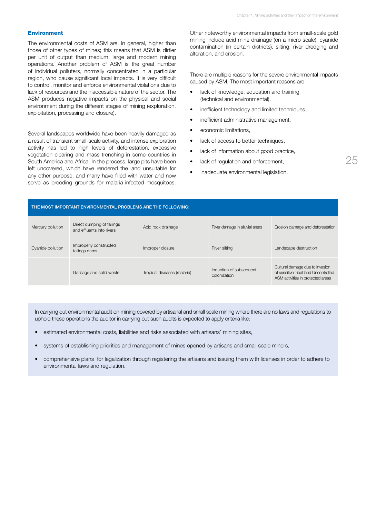# Environment

The environmental costs of ASM are, in general, higher than those of other types of mines; this means that ASM is dirtier per unit of output than medium, large and modern mining operations. Another problem of ASM is the great number of individual polluters, normally concentrated in a particular region, who cause significant local impacts. It is very difficult to control, monitor and enforce environmental violations due to lack of resources and the inaccessible nature of the sector. The ASM produces negative impacts on the physical and social environment during the different stages of mining (exploration, exploitation, processing and closure).

Several landscapes worldwide have been heavily damaged as a result of transient small-scale activity, and intense exploration activity has led to high levels of deforestation, excessive vegetation clearing and mass trenching in some countries in South America and Africa. In the process, large pits have been left uncovered, which have rendered the land unsuitable for any other purpose, and many have filled with water and now serve as breeding grounds for malaria-infected mosquitoes.

Other noteworthy environmental impacts from small-scale gold mining include acid mine drainage (on a micro scale), cyanide contamination (in certain districts), silting, river dredging and alteration, and erosion.

There are multiple reasons for the severe environmental impacts caused by ASM. The most important reasons are

- lack of knowledge, education and training (technical and environmental),
- inefficient technology and limited techniques,
- inefficient administrative management,
- • economic limitations,
- lack of access to better techniques,
- lack of information about good practice,
- lack of regulation and enforcement,
- Inadequate environmental legislation.

# The most important environmental problems are the following:

| Mercury pollution | Direct dumping of tailings<br>and effluents into rivers | Acid rock drainage          | River damage in alluvial areas          | Erosion damage and deforestation                                                                              |
|-------------------|---------------------------------------------------------|-----------------------------|-----------------------------------------|---------------------------------------------------------------------------------------------------------------|
| Cyanide pollution | Improperly constructed<br>tailings dams                 | Improper closure            | River silting                           | Landscape destruction                                                                                         |
|                   | Garbage and solid waste                                 | Tropical diseases (malaria) | Induction of subsequent<br>colonization | Cultural damage due to invasion<br>of sensitive tribal land Uncontrolled<br>ASM activities in protected areas |

In carrying out environmental audit on mining covered by artisanal and small scale mining where there are no laws and regulations to uphold these operations the auditor in carrying out such audits is expected to apply criteria like:

- estimated environmental costs, liabilities and risks associated with artisans' mining sites,
- systems of establishing priorities and management of mines opened by artisans and small scale miners,
- • comprehensive plans for legalization through registering the artisans and issuing them with licenses in order to adhere to environmental laws and regulation.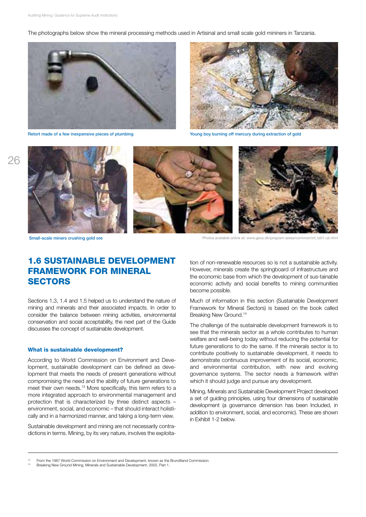The photographs below show the mineral processing methods used in Artisinal and small scale gold mininers in Tanzania.



Retort made of a few inexpensive pieces of plumbing



Young boy burning off mercury during extraction of gold



# 1.6 Sustainable development framework for mineral **SECTORS**

Sections 1.3, 1.4 and 1.5 helped us to understand the nature of mining and minerals and their associated impacts. In order to consider the balance between mining activities, environmental conservation and social acceptability, the next part of the Guide discusses the concept of sustainable development.

#### What is sustainable development?

According to World Commission on Environment and Development, sustainable development can be defined as development that meets the needs of present generations without compromising the need and the ability of future generations to meet their own needs.13 More specifically, this term refers to a more integrated approach to environmental management and protection that is characterized by three distinct aspects – environment, social, and economic – that should interact holistically and in a harmonized manner, and taking a long-term view.

Sustainable development and mining are not necessarily contradictions in terms. Mining, by its very nature, involves the exploitation of non-renewable resources so is not a sustainable activity. However, minerals create the springboard of infrastructure and the economic base from which the development of sus-tainable economic activity and social benefits to mining communities become possible.

Much of information in this section (Sustainable Development Framework for Mineral Sectors) is based on the book called Breaking New Ground.<sup>14</sup>

The challenge of the sustainable development framework is to see that the minerals sector as a whole contributes to human welfare and well-being today without reducing the potential for future generations to do the same. If the minerals sector is to contribute positively to sustainable development, it needs to demonstrate continuous improvement of its social, economic, and environmental contribution, with new and evolving governance systems. The sector needs a framework within which it should judge and pursue any development.

Mining, Minerals and Sustainable Development Project developed a set of guiding principles, using four dimensions of sustainable development (a governance dimension has been Included, in addition to environment, social, and economic). These are shown in Exhibit 1-2 below.

<sup>13</sup> From the 1987 World Commission on Environment and Development, known as the Brundtland Commission.<br>14 Breaking New Ground Mining, Minerals and Sustainable Development, 2002, Part 1.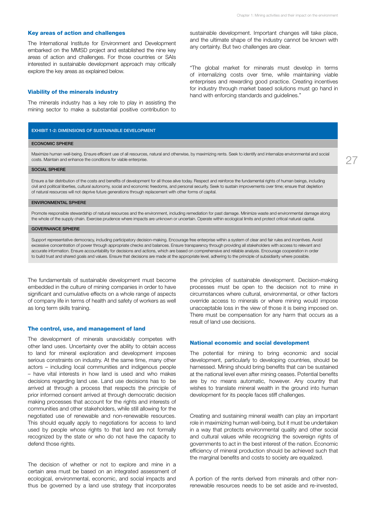#### Key areas of action and challenges

The International Institute for Environment and Development embarked on the MMSD project and established the nine key areas of action and challenges. For those countries or SAIs interested in sustainable development approach may critically explore the key areas as explained below.

#### Viability of the minerals industry

The minerals industry has a key role to play in assisting the mining sector to make a substantial positive contribution to

#### Exhibit 1-2: Dimensions of sustainable development

#### Economic sphere

Maximize human well-being. Ensure efficient use of all resources, natural and otherwise, by maximizing rents. Seek to identify and internalize environmental and social costs. Maintain and enhance the conditions for viable enterprise.

#### social sphere

Ensure a fair distribution of the costs and benefits of development for all those alive today. Respect and reinforce the fundamental rights of human beings, including civil and political liberties, cultural autonomy, social and economic freedoms, and personal security. Seek to sustain improvements over time; ensure that depletion of natural resources will not deprive future generations through replacement with other forms of capital.

#### environmental sphere

Promote responsible stewardship of natural resources and the environment, including remediation for past damage. Minimize waste and environmental damage along the whole of the supply chain. Exercise prudence where impacts are unknown or uncertain. Operate within ecological limits and protect critical natural capital.

#### governance sphere

Support representative democracy, including participatory decision-making. Encourage free enterprise within a system of clear and fair rules and incentives. Avoid excessive concentration of power through appropriate checks and balances. Ensure transparency through providing all stakeholders with access to relevant and accurate information. Ensure accountability for decisions and actions, which are based on comprehensive and reliable analysis. Encourage cooperation in order to build trust and shared goals and values. Ensure that decisions are made at the appropriate level, adhering to the principle of subsidiarity where possible.

The fundamentals of sustainable development must become embedded in the culture of mining companies in order to have significant and cumulative effects on a whole range of aspects of company life in terms of health and safety of workers as well as long term skills training.

#### The control, use, and management of land

The development of minerals unavoidably competes with other land uses. Uncertainty over the ability to obtain access to land for mineral exploration and development imposes serious constraints on industry. At the same time, many other actors – including local communities and indigenous people – have vital interests in how land is used and who makes decisions regarding land use. Land use decisions has to be arrived at through a process that respects the principle of prior informed consent arrived at through democratic decision making processes that account for the rights and interests of communities and other stakeholders, while still allowing for the negotiated use of renewable and non-renewable resources. This should equally apply to negotiations for access to land used by people whose rights to that land are not formally recognized by the state or who do not have the capacity to defend those rights.

The decision of whether or not to explore and mine in a certain area must be based on an integrated assessment of ecological, environmental, economic, and social impacts and thus be governed by a land use strategy that incorporates the principles of sustainable development. Decision-making processes must be open to the decision not to mine in circumstances where cultural, environmental, or other factors override access to minerals or where mining would impose unacceptable loss in the view of those it is being imposed on. There must be compensation for any harm that occurs as a result of land use decisions.

#### National economic and social development

The potential for mining to bring economic and social development, particularly to developing countries, should be harnessed. Mining should bring benefits that can be sustained at the national level even after mining ceases. Potential benefits are by no means automatic, however. Any country that wishes to translate mineral wealth in the ground into human development for its people faces stiff challenges.

Creating and sustaining mineral wealth can play an important role in maximizing human well-being, but it must be undertaken in a way that protects environmental quality and other social and cultural values while recognizing the sovereign rights of governments to act in the best interest of the nation. Economic efficiency of mineral production should be achieved such that the marginal benefits and costs to society are equalized.

A portion of the rents derived from minerals and other nonrenewable resources needs to be set aside and re-invested,

sustainable development. Important changes will take place, and the ultimate shape of the industry cannot be known with any certainty. But two challenges are clear.

"The global market for minerals must develop in terms of internalizing costs over time, while maintaining viable enterprises and rewarding good practice. Creating incentives for industry through market based solutions must go hand in hand with enforcing standards and guidelines."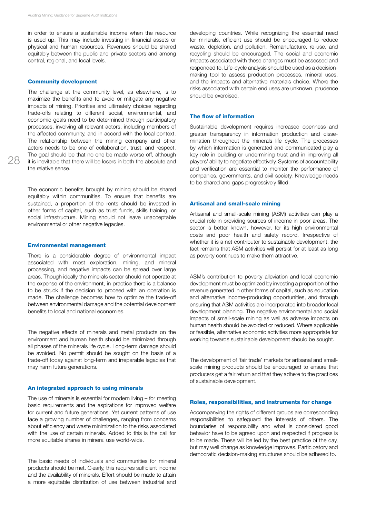in order to ensure a sustainable income when the resource is used up. This may include investing in financial assets or physical and human resources. Revenues should be shared equitably between the public and private sectors and among central, regional, and local levels.

#### Community development

The challenge at the community level, as elsewhere, is to maximize the benefits and to avoid or mitigate any negative impacts of mining. Priorities and ultimately choices regarding trade-offs relating to different social, environmental, and economic goals need to be determined through participatory processes, involving all relevant actors, including members of the affected community, and in accord with the local context. The relationship between the mining company and other actors needs to be one of collaboration, trust, and respect. The goal should be that no one be made worse off, although it is inevitable that there will be losers in both the absolute and the relative sense.

The economic benefits brought by mining should be shared equitably within communities. To ensure that benefits are sustained, a proportion of the rents should be invested in other forms of capital, such as trust funds, skills training, or social infrastructure. Mining should not leave unacceptable environmental or other negative legacies.

## Environmental management

There is a considerable degree of environmental impact associated with most exploration, mining, and mineral processing, and negative impacts can be spread over large areas. Though ideally the minerals sector should not operate at the expense of the environment, in practice there is a balance to be struck if the decision to proceed with an operation is made. The challenge becomes how to optimize the trade-off between environmental damage and the potential development benefits to local and national economies.

The negative effects of minerals and metal products on the environment and human health should be minimized through all phases of the minerals life cycle. Long-term damage should be avoided. No permit should be sought on the basis of a trade-off today against long-term and irreparable legacies that may harm future generations.

#### An integrated approach to using minerals

The use of minerals is essential for modern living – for meeting basic requirements and the aspirations for improved welfare for current and future generations. Yet current patterns of use face a growing number of challenges, ranging from concerns about efficiency and waste minimization to the risks associated with the use of certain minerals. Added to this is the call for more equitable shares in mineral use world-wide.

The basic needs of individuals and communities for mineral products should be met. Clearly, this requires sufficient income and the availability of minerals. Effort should be made to attain a more equitable distribution of use between industrial and

developing countries. While recognizing the essential need for minerals, efficient use should be encouraged to reduce waste, depletion, and pollution. Remanufacture, re-use, and recycling should be encouraged. The social and economic impacts associated with these changes must be assessed and responded to. Life-cycle analysis should be used as a decisionmaking tool to assess production processes, mineral uses, and the impacts and alternative materials choice. Where the risks associated with certain end uses are unknown, prudence should be exercised.

#### The flow of information

Sustainable development requires increased openness and greater transparency in information production and dissemination throughout the minerals life cycle. The processes by which information is generated and communicated play a key role in building or undermining trust and in improving all players' ability to negotiate effectively. Systems of accountability and verification are essential to monitor the performance of companies, governments, and civil society. Knowledge needs to be shared and gaps progressively filled.

#### Artisanal and small-scale mining

Artisanal and small-scale mining (ASM) activities can play a crucial role in providing sources of income in poor areas. The sector is better known, however, for its high environmental costs and poor health and safety record. Irrespective of whether it is a net contributor to sustainable development, the fact remains that ASM activities will persist for at least as long as poverty continues to make them attractive.

ASM's contribution to poverty alleviation and local economic development must be optimized by investing a proportion of the revenue generated in other forms of capital, such as education and alternative income-producing opportunities, and through ensuring that ASM activities are incorporated into broader local development planning. The negative environmental and social impacts of small-scale mining as well as adverse impacts on human health should be avoided or reduced. Where applicable or feasible, alternative economic activities more appropriate for working towards sustainable development should be sought.

The development of 'fair trade' markets for artisanal and smallscale mining products should be encouraged to ensure that producers get a fair return and that they adhere to the practices of sustainable development.

#### Roles, responsibilities, and instruments for change

Accompanying the rights of different groups are corresponding responsibilities to safeguard the interests of others. The boundaries of responsibility and what is considered good behavior have to be agreed upon and respected if progress is to be made. These will be led by the best practice of the day, but may well change as knowledge improves. Participatory and democratic decision-making structures should be adhered to.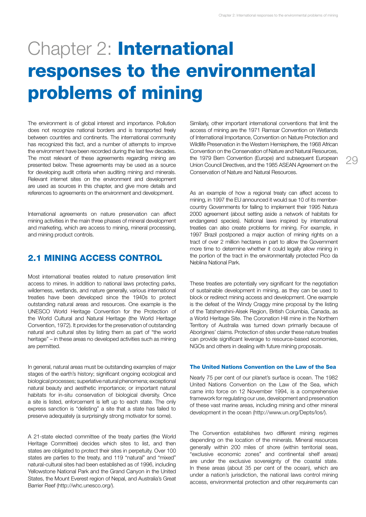# Chapter 2: **International** responses to the environmental problems of mining

The environment is of global interest and importance. Pollution does not recognize national borders and is transported freely between countries and continents. The international community has recognized this fact, and a number of attempts to improve the environment have been recorded during the last few decades. The most relevant of these agreements regarding mining are presented below. These agreements may be used as a source for developing audit criteria when auditing mining and minerals. Relevant internet sites on the environment and development are used as sources in this chapter, and give more details and references to agreements on the environment and development.

International agreements on nature preservation can affect mining activities in the main three phases of mineral development and marketing, which are access to mining, mineral processing, and mining product controls.

# 2.1 Mining access control

Most international treaties related to nature preservation limit access to mines. In addition to national laws protecting parks, wilderness, wetlands, and nature generally, various international treaties have been developed since the 1940s to protect outstanding natural areas and resources. One example is the UNESCO World Heritage Convention for the Protection of the World Cultural and Natural Heritage (the World Heritage Convention, 1972). It provides for the preservation of outstanding natural and cultural sites by listing them as part of "the world heritage" – in these areas no developed activities such as mining are permitted.

In general, natural areas must be outstanding examples of major stages of the earth's history; significant ongoing ecological and biological processes; superlative natural phenomena; exceptional natural beauty and aesthetic importance; or important natural habitats for in-situ conservation of biological diversity. Once a site is listed, enforcement is left up to each state. The only express sanction is "delisting" a site that a state has failed to preserve adequately (a surprisingly strong motivator for some).

A 21-state elected committee of the treaty parties (the World Heritage Committee) decides which sites to list, and then states are obligated to protect their sites in perpetuity. Over 100 states are parties to the treaty, and 119 "natural" and "mixed" natural-cultural sites had been established as of 1996, including Yellowstone National Park and the Grand Canyon in the United States, the Mount Everest region of Nepal, and Australia's Great Barrier Reef (http://whc.unesco.org/).

Similarly, other important international conventions that limit the access of mining are the 1971 Ramsar Convention on Wetlands of International Importance, Convention on Nature Protection and Wildlife Preservation in the Western Hemisphere, the 1968 African Convention on the Conservation of Nature and Natural Resources, the 1979 Bern Convention (Europe) and subsequent European Union Council Directives, and the 1985 ASEAN Agreement on the Conservation of Nature and Natural Resources.

As an example of how a regional treaty can affect access to mining, in 1997 the EU announced it would sue 10 of its membercountry Governments for failing to implement their 1995 Natura 2000 agreement (about setting aside a network of habitats for endangered species). National laws inspired by international treaties can also create problems for mining. For example, in 1997 Brazil postponed a major auction of mining rights on a tract of over 2 million hectares in part to allow the Government more time to determine whether it could legally allow mining in the portion of the tract in the environmentally protected Pico da Neblina National Park.

These treaties are potentially very significant for the negotiation of sustainable development in mining, as they can be used to block or redirect mining access and development. One example is the defeat of the Windy Craggy mine proposal by the listing of the Tatshenshini-Alsek Region, British Columbia, Canada, as a World Heritage Site. The Coronation Hill mine in the Northern Territory of Australia was turned down primarily because of Aborigines' claims. Protection of sites under these nature treaties can provide significant leverage to resource-based economies, NGOs and others in dealing with future mining proposals.

# The United Nations Convention on the Law of the Sea

Nearly 75 per cent of our planet's surface is ocean. The 1982 United Nations Convention on the Law of the Sea, which came into force on 12 November 1994, is a comprehensive framework for regulating our use, development and preservation of these vast marine areas, including mining and other mineral development in the ocean (http://www.un.org/Depts/los/).

The Convention establishes two different mining regimes depending on the location of the minerals. Mineral resources generally within 200 miles of shore (within territorial seas, "exclusive economic zones" and continental shelf areas) are under the exclusive sovereignty of the coastal state. In these areas (about 35 per cent of the ocean), which are under a nation's jurisdiction, the national laws control mining access, environmental protection and other requirements can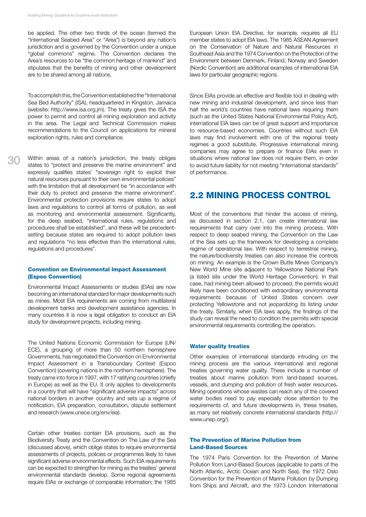30

be applied. The other two thirds of the ocean (termed the "International Seabed Area" or "Area") is beyond any nation's jurisdiction and is governed by the Convention under a unique "global commons" regime. The Convention declares the Area's resources to be "the common heritage of mankind" and stipulates that the benefits of mining and other development are to be shared among all nations.

To accomplish this, the Convention established the "International Sea Bed Authority" (ISA), headquartered in Kingston, Jamaica (website: http://www.isa.org.jm). The treaty gives the ISA the power to permit and control all mining exploration and activity in the area. The Legal and Technical Commission makes recommendations to the Council on applications for mineral exploration rights, rules and compliance.

Within areas of a nation's jurisdiction, the treaty obliges states to "protect and preserve the marine environment" and expressly qualifies states' "sovereign right to exploit their natural resources pursuant to their own environmental policies" with the limitation that all development be "in accordance with their duty to protect and preserve the marine environment". Environmental protection provisions require states to adopt laws and regulations to control all forms of pollution, as well as monitoring and environmental assessment. Significantly, for the deep seabed, "international rules, regulations and procedures shall be established", and these will be precedentsetting because states are required to adopt pollution laws and regulations "no less effective than the international rules, regulations and procedures".

# Convention on Environmental Impact Assessment (Espoo Convention)

Environmental Impact Assessments or studies (EIAs) are now becoming an international standard for major developments such as mines. Most EIA requirements are coming from multilateral development banks and development assistance agencies. In many countries it is now a legal obligation to conduct an EIA study for development projects, including mining.

The United Nations Economic Commission for Europe (UN/ ECE), a grouping of more than 50 northern hemisphere Governments, has negotiated the Convention on Environmental Impact Assessment in a Transboundary Context (Espoo Convention) (covering nations in the northern hemisphere). The treaty came into force in 1997, with 17 ratifying countries (chiefly in Europe) as well as the EU. It only applies to developments in a country that will have "significant adverse impacts" across national borders in another country and sets up a regime of notification, EIA preparation, consultation, dispute settlement and research (www.unece.org/env/eia).

Certain other treaties contain EIA provisions, such as the Biodiversity Treaty and the Convention on The Law of the Sea (discussed above), which oblige states to require environmental assessments of projects, policies or programmes likely to have significant adverse environmental effects. Such EIA requirements can be expected to strengthen for mining as the treaties' general environmental standards develop. Some regional agreements require EIAs or exchange of comparable information; the 1985 European Union EIA Directive, for example, requires all EU member states to adopt EIA laws. The 1985 ASEAN Agreement on the Conservation of Nature and Natural Resources in Southeast Asia and the 1974 Convention on the Protection of the Environment between Denmark, Finland, Norway and Sweden (Nordic Convention) are additional examples of international EIA laws for particular geographic regions.

Since EIAs provide an effective and flexible tool in dealing with new mining and industrial development, and since less than half the world's countries have national laws requiring them (such as the United States National Environmental Policy Act), international EIA laws can be of great support and importance to resource-based economies. Countries without such EIA laws may find involvement with one of the regional treaty regimes a good substitute. Progressive international mining companies may agree to prepare or finance EIAs even in situations where national law does not require them, in order to avoid future liability for not meeting "international standards" of performance.

# 2.2 Mining process control

Most of the conventions that hinder the access of mining, as discussed in section 2.1, can create international law requirements that carry over into the mining process. With respect to deep seabed mining, the Convention on the Law of the Sea sets up the framework for developing a complete regime of operational law. With respect to terrestrial mining, the nature/biodiversity treaties can also increase the controls on mining. An example is the Crown Butte Mines Company's New World Mine site adjacent to Yellowstone National Park (a listed site under the World Heritage Convention). In that case, had mining been allowed to proceed, the permits would likely have been conditioned with extraordinary environmental requirements because of United States concern over protecting Yellowstone and not jeopardizing its listing under the treaty. Similarly, when EIA laws apply, the findings of the study can reveal the need to condition the permits with special environmental requirements controlling the operation.

#### Water quality treaties

Other examples of international standards intruding on the mining process are the various international and regional treaties governing water quality. These include a number of treaties about marine pollution from land-based sources, vessels, and dumping and pollution of fresh water resources. Mining operations whose wastes can reach any of the covered water bodies need to pay especially close attention to the requirements of, and future developments in, these treaties, as many set relatively concrete international standards (http:// www.unep.org/).

# The Prevention of Marine Pollution from Land-Based Sources

The 1974 Paris Convention for the Prevention of Marine Pollution from Land-Based Sources (applicable to parts of the North Atlantic, Arctic Ocean and North Sea), the 1972 Oslo Convention for the Prevention of Marine Pollution by Dumping from Ships and Aircraft, and the 1973 London International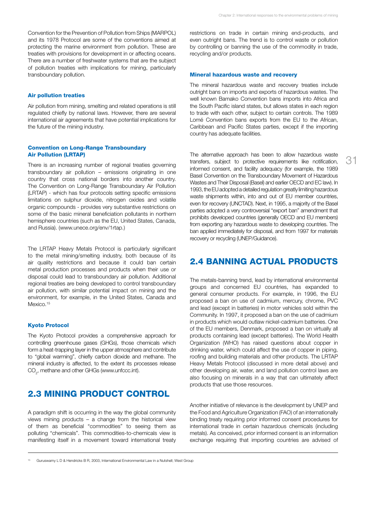#### Air pollution treaties

Air pollution from mining, smelting and related operations is still regulated chiefly by national laws. However, there are several international air agreements that have potential implications for the future of the mining industry.

## Convention on Long-Range Transboundary Air Pollution (LRTAP)

There is an increasing number of regional treaties governing transboundary air pollution – emissions originating in one country that cross national borders into another country. The Convention on Long-Range Transboundary Air Pollution (LRTAP) - which has four protocols setting specific emissions limitations on sulphur dioxide, nitrogen oxides and volatile organic compounds - provides very substantive restrictions on some of the basic mineral beneficiation pollutants in northern hemisphere countries (such as the EU, United States, Canada, and Russia). (www.unece.org/env/1rtap.)

The LRTAP Heavy Metals Protocol is particularly significant to the metal mining/smelting industry, both because of its air quality restrictions and because it could ban certain metal production processes and products when their use or disposal could lead to transboundary air pollution. Additional regional treaties are being developed to control transboundary air pollution, with similar potential impact on mining and the environment, for example, in the United States, Canada and Mexico.<sup>15</sup>

## Kyoto Protocol

The Kyoto Protocol provides a comprehensive approach for controlling greenhouse gases (GHGs), those chemicals which form a heat-trapping layer in the upper atmosphere and contribute to "global warming", chiefly carbon dioxide and methane. The mineral industry is affected, to the extent its processes release  $CO_{2}$ , methane and other GHGs (www.unfccc.int).

# 2.3 Mining product control

A paradigm shift is occurring in the way the global community views mining products – a change from the historical view of them as beneficial "commodities" to seeing them as polluting "chemicals". This commodities-to-chemicals view is manifesting itself in a movement toward international treaty

restrictions on trade in certain mining end-products, and even outright bans. The trend is to control waste or pollution by controlling or banning the use of the commodity in trade, recycling and/or products.

#### Mineral hazardous waste and recovery

The mineral hazardous waste and recovery treaties include outright bans on imports and exports of hazardous wastes. The well known Bamako Convention bans imports into Africa and the South Pacific island states, but allows states in each region to trade with each other, subject to certain controls. The 1989 Lomé Convention bans exports from the EU to the African, Caribbean and Pacific States parties, except if the importing country has adequate facilities.

The alternative approach has been to allow hazardous waste transfers, subject to protective requirements like notification, informed consent, and facility adequacy (for example, the 1989 Basel Convention on the Transboundary Movement of Hazardous Wastes and Their Disposal (Basel) and earlier OECD and EC law). In 1993, the EU adopted a detailed regulation greatly limiting hazardous waste shipments within, into and out of EU member countries, even for recovery (UNCTAD). Next, in 1995, a majority of the Basel parties adopted a very controversial "export ban" amendment that prohibits developed countries (generally OECD and EU members) from exporting any hazardous waste to developing countries. The ban applied immediately for disposal, and from 1997 for materials recovery or recycling (UNEP/Guidance).

31

# 2.4 Banning actual products

The metals-banning trend, lead by international environmental groups and concerned EU countries, has expanded to general consumer products. For example, in 1996, the EU proposed a ban on use of cadmium, mercury, chrome, PVC and lead (except in batteries) in motor vehicles sold within the Community. In 1997, it proposed a ban on the use of cadmium in products which would outlaw nickel-cadmium batteries. One of the EU members, Denmark, proposed a ban on virtually all products containing lead (except batteries). The World Health Organization (WHO) has raised questions about copper in drinking water, which could affect the use of copper in piping, roofing and building materials and other products. The LRTAP Heavy Metals Protocol (discussed in more detail above) and other developing air, water, and land pollution control laws are also focusing on minerals in a way that can ultimately affect products that use those resources.

Another initiative of relevance is the development by UNEP and the Food and Agriculture Organization (FAO) of an internationally binding treaty requiring prior informed consent procedures for international trade in certain hazardous chemicals (including metals). As conceived, prior informed consent is an information exchange requiring that importing countries are advised of

<sup>15</sup> Guruswamy L D & Hendricks B R, 2003, International Environmental Law in a Nutshell; West Group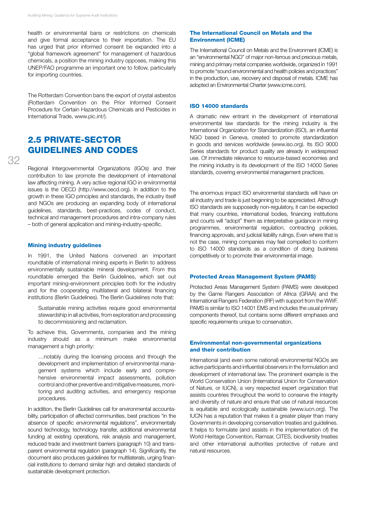health or environmental bans or restrictions on chemicals and give formal acceptance to their importation. The EU has urged that prior informed consent be expanded into a "global framework agreement" for management of hazardous chemicals, a position the mining industry opposes, making this UNEP/FAO programme an important one to follow, particularly for importing countries.

The Rotterdam Convention bans the export of crystal asbestos (Rotterdam Convention on the Prior Informed Consent Procedure for Certain Hazardous Chemicals and Pesticides in International Trade, www.pic.int/).

# 2.5 Private-sector guidelines and codes

Regional Intergovernmental Organizations (IGOs) and their contribution to law promote the development of international law affecting mining. A very active regional IGO in environmental issues is the OECD (http://www.oecd.org). In addition to the growth in these IGO principles and standards, the industry itself and NGOs are producing an expanding body of international guidelines, standards, best-practices, codes of conduct, technical and management procedures and intra-company rules – both of general application and mining-industry-specific.

# Mining industry guidelines

In 1991, the United Nations convened an important roundtable of international mining experts in Berlin to address environmentally sustainable mineral development. From this roundtable emerged the Berlin Guidelines, which set out important mining-environment principles both for the industry and for the cooperating multilateral and bilateral financing institutions (Berlin Guidelines). The Berlin Guidelines note that:

Sustainable mining activities require good environmental stewardship in all activities, from exploration and processing to decommissioning and reclamation.

To achieve this, Governments, companies and the mining industry should as a minimum make environmental management a high priority:

…notably during the licensing process and through the development and implementation of environmental management systems which include early and comprehensive environmental impact assessments, pollution control and other preventive and mitigative measures, monitoring and auditing activities, and emergency response procedures.

In addition, the Berlin Guidelines call for environmental accountability, participation of affected communities, best practices "in the absence of specific environmental regulations", environmentally sound technology, technology transfer, additional environmental funding at existing operations, risk analysis and management, reduced trade and investment barriers (paragraph 10) and transparent environmental regulation (paragraph 14). Significantly, the document also produces guidelines for multilaterals, urging financial institutions to demand similar high and detailed standards of sustainable development protection.

# The International Council on Metals and the Environment (ICME)

The International Council on Metals and the Environment (ICME) is an "environmental NGO" of major non-ferrous and precious metals, mining and primary metal companies worldwide, organized in 1991 to promote "sound environmental and health policies and practices" in the production, use, recovery and disposal of metals. ICME has adopted an Environmental Charter (www.icme.com).

# ISO 14000 standards

A dramatic new entrant in the development of international environmental law standards for the mining industry is the International Organization for Standardization (ISO), an influential NGO based in Geneva, created to promote standardization in goods and services worldwide (www.iso.org). Its ISO 9000 Series standards for product quality are already in widespread use. Of immediate relevance to resource-based economies and the mining industry is its development of the ISO 14000 Series standards, covering environmental management practices.

The enormous impact ISO environmental standards will have on all industry and trade is just beginning to be appreciated. Although ISO standards are supposedly non-regulatory, it can be expected that many countries, international bodies, financing institutions and courts will "adopt" them as interpretative guidance in mining programmes, environmental regulation, contracting policies, financing approvals, and judicial liability rulings. Even where that is not the case, mining companies may feel compelled to conform to ISO 14000 standards as a condition of doing business competitively or to promote their environmental image.

#### Protected Areas Management System (PAMS)

Protected Areas Management System (PAMS) were developed by the Game Rangers Association of Africa (GRAA) and the International Rangers Federation (IRF) with support from the WWF. PAMS is similar to ISO 14001 EMS and includes the usual primary components thereof, but contains some different emphases and specific requirements unique to conservation.

## Environmental non-governmental organizations and their contribution

International (and even some national) environmental NGOs are active participants and influential observers in the formulation and development of international law. The prominent example is the World Conservation Union (International Union for Conservation of Nature, or IUCN), a very respected expert organization that assists countries throughout the world to conserve the integrity and diversity of nature and ensure that use of natural resources is equitable and ecologically sustainable (www.iucn.org). The IUCN has a reputation that makes it a greater player than many Governments in developing conservation treaties and guidelines. It helps to formulate (and assists in the implementation of) the World Heritage Convention, Ramsar, CITES, biodiversity treaties and other international authorities protective of nature and natural resources.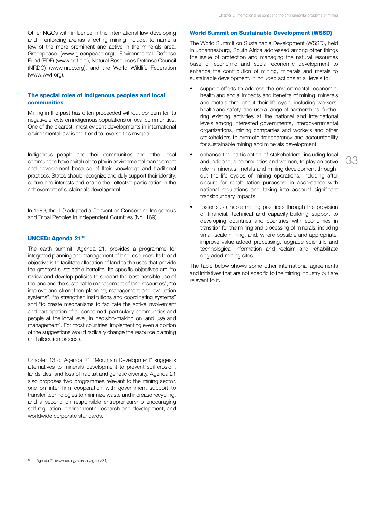Other NGOs with influence in the international law-developing and - enforcing arenas affecting mining include, to name a few of the more prominent and active in the minerals area, Greenpeace (www.greenpeace.org), Environmental Defense Fund (EDF) (www.edf.org), Natural Resources Defense Council (NRDC) (www.nrdc.org), and the World Wildlife Federation (www.wwf.org).

# The special roles of indigenous peoples and local communities

Mining in the past has often proceeded without concern for its negative effects on indigenous populations or local communities. One of the clearest, most evident developments in international environmental law is the trend to reverse this myopia.

Indigenous people and their communities and other local communities have a vital role to play in environmental management and development because of their knowledge and traditional practices. States should recognize and duly support their identity, culture and interests and enable their effective participation in the achievement of sustainable development.

In 1989, the ILO adopted a Convention Concerning Indigenous and Tribal Peoples in Independent Countries (No. 169).

# UNCED: Agenda 2116

The earth summit, Agenda 21, provides a programme for integrated planning and management of land resources. Its broad objective is to facilitate allocation of land to the uses that provide the greatest sustainable benefits. Its specific objectives are "to review and develop policies to support the best possible use of the land and the sustainable management of land resources", "to improve and strengthen planning, management and evaluation systems", "to strengthen institutions and coordinating systems" and "to create mechanisms to facilitate the active involvement and participation of all concerned, particularly communities and people at the local level, in decision-making on land use and management". For most countries, implementing even a portion of the suggestions would radically change the resource planning and allocation process.

Chapter 13 of Agenda 21 "Mountain Development" suggests alternatives to minerals development to prevent soil erosion, landslides, and loss of habitat and genetic diversity. Agenda 21 also proposes two programmes relevant to the mining sector, one on inter firm cooperation with government support to transfer technologies to minimize waste and increase recycling, and a second on responsible entrepreneurship encouraging self-regulation, environmental research and development, and worldwide corporate standards.

# World Summit on Sustainable Development (WSSD)

The World Summit on Sustainable Development (WSSD), held in Johannesburg, South Africa addressed among other things the issue of protection and managing the natural resources base of economic and social economic development to enhance the contribution of mining, minerals and metals to sustainable development. It included actions at all levels to:

- support efforts to address the environmental, economic, health and social impacts and benefits of mining, minerals and metals throughout their life cycle, including workers' health and safety, and use a range of partnerships, furthe- ring existing activities at the national and international levels among interested governments, intergovernmental organizations, mining companies and workers and other stakeholders to promote transparency and accountability for sustainable mining and minerals development;
- enhance the participation of stakeholders, including local and indigenous communities and women, to play an active role in minerals, metals and mining development throughout the life cycles of mining operations, including after closure for rehabilitation purposes, in accordance with national regulations and taking into account significant transboundary impacts;

33

foster sustainable mining practices through the provision of financial, technical and capacity-building support to developing countries and countries with economies in transition for the mining and processing of minerals, including small-scale mining, and, where possible and appropriate, improve value-added processing, upgrade scientific and technological information and reclaim and rehabilitate degraded mining sites.

The table below shows some other international agreements and initiatives that are not specific to the mining industry but are relevant to it.

<sup>16</sup> Agenda 21 (www.un.org/esa/dsd/agenda21)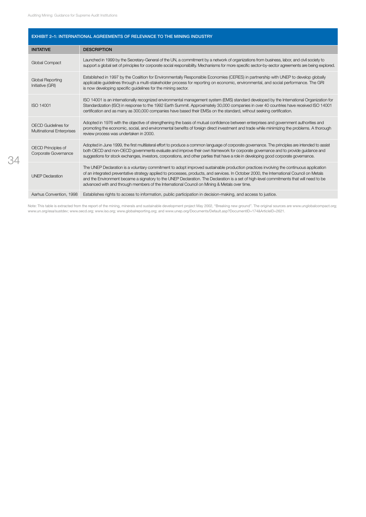| <b>EXHIBIT 2-1: INTERNATIONAL AGREEMENTS OF RELEVANCE TO THE MINING INDUSTRY</b> |                                                                                                                                                                                                                                                                                                                                                                                                                                                                                                                                |  |  |  |
|----------------------------------------------------------------------------------|--------------------------------------------------------------------------------------------------------------------------------------------------------------------------------------------------------------------------------------------------------------------------------------------------------------------------------------------------------------------------------------------------------------------------------------------------------------------------------------------------------------------------------|--|--|--|
| <b>INITATIVE</b>                                                                 | <b>DESCRIPTION</b>                                                                                                                                                                                                                                                                                                                                                                                                                                                                                                             |  |  |  |
| Global Compact                                                                   | Launched in 1999 by the Secretary-General of the UN, a commitment by a network of organizations from business, labor, and civil society to<br>support a global set of principles for corporate social responsibility. Mechanisms for more specific sector-by-sector agreements are being explored.                                                                                                                                                                                                                             |  |  |  |
| Global Reporting<br>Initiative (GRI)                                             | Established in 1997 by the Coalition for Environmentally Responsible Economies (CERES) in partnership with UNEP to develop globally<br>applicable guidelines through a multi-stakeholder process for reporting on economic, environmental, and social performance. The GRI<br>is now developing specific quidelines for the mining sector.                                                                                                                                                                                     |  |  |  |
| ISO 14001                                                                        | ISO 14001 is an internationally recognized environmental management system (EMS) standard developed by the International Organization for<br>Standardization (ISO) in response to the 1992 Earth Summit. Approximately 30,000 companies in over 40 countries have received ISO 14001<br>certification and as many as 300,000 companies have based their EMSs on the standard, without seeking certification.                                                                                                                   |  |  |  |
| <b>OECD</b> Guidelines for<br><b>Multinational Enterprises</b>                   | Adopted in 1976 with the objective of strengthening the basis of mutual confidence between enterprises and government authorities and<br>promoting the economic, social, and environmental benefits of foreign direct investment and trade while minimizing the problems. A thorough<br>review process was undertaken in 2000.                                                                                                                                                                                                 |  |  |  |
| OECD Principles of<br>Corporate Governance                                       | Adopted in June 1999, the first multilateral effort to produce a common language of corporate governance. The principles are intended to assist<br>both OECD and non-OECD governments evaluate and improve their own framework for corporate governance and to provide quidance and<br>suggestions for stock exchanges, investors, corporations, and other parties that have a role in developing good corporate governance.                                                                                                   |  |  |  |
| <b>UNEP Declaration</b>                                                          | The UNEP Declaration is a voluntary commitment to adopt improved sustainable production practices involving the continuous application<br>of an integrated preventative strategy applied to processes, products, and services. In October 2000, the International Council on Metals<br>and the Environment became a signatory to the UNEP Declaration. The Declaration is a set of high-level commitments that will need to be<br>advanced with and through members of the International Council on Mining & Metals over time. |  |  |  |
| Aarhus Convention, 1998                                                          | Establishes rights to access to information, public participation in decision-making, and access to justice.                                                                                                                                                                                                                                                                                                                                                                                                                   |  |  |  |

Note: This table is extracted from the report of the mining, minerals and sustainable development project May 2002, "Breaking new ground". The original sources are www.unglobalcompact.org;<br>www.un.org/esa/sustdev; www.oecd.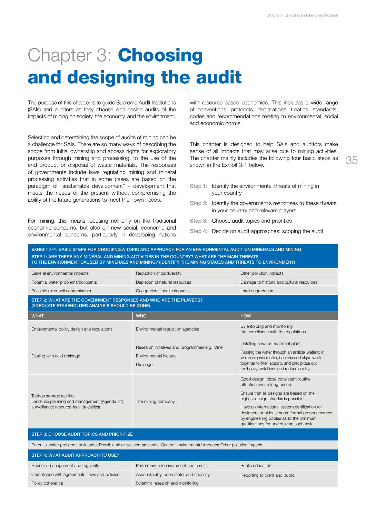# Chapter 3: **Choosing** and designing the audit

The purpose of this chapter is to guide Supreme Audit Institutions (SAIs) and auditors as they choose and design audits of the impacts of mining on society, the economy, and the environment.

Selecting and determining the scope of audits of mining can be a challenge for SAIs. There are so many ways of describing the scope from initial ownership and access rights for exploratory purposes through mining and processing, to the use of the end product or disposal of waste materials. The responses of governments include laws regulating mining and mineral processing activities that in some cases are based on the paradigm of "sustainable development" – development that meets the needs of the present without compromising the ability of the future generations to meet their own needs.

For mining, this means focusing not only on the traditional economic concerns, but also on new social, economic and environmental concerns, particularly in developing nations

with resource-based economies. This includes a wide range of conventions, protocols, declarations, treaties, standards, codes and recommendations relating to environmental, social and economic norms.

This chapter is designed to help SAIs and auditors make sense of all impacts that may arise due to mining activities. The chapter mainly includes the following four basic steps as shown in the Exhibit 3-1 below.

- Step 1: Identify the environmental threats of mining in your country
- Step 2: Identity the government's responses to these threats in your country and relevant players
- Step 3: Choose audit topics and priorities
- Step 4: Decide on audit approaches: scoping the audit

Exhibit 3–1. Basic steps for choosing a topic and approach for an environmental audit on minerals and mining step 1: Are there any mineral and mining activities in the country? What are the main threats to the environment caused by minerals and mining? (Identify the mining stages and threats to environment)

| General environmental impacts                                                                                             | Reduction of biodiversity                                                                 | Other pollution impacts                                                                                                                                                                                                                                                                                                                               |
|---------------------------------------------------------------------------------------------------------------------------|-------------------------------------------------------------------------------------------|-------------------------------------------------------------------------------------------------------------------------------------------------------------------------------------------------------------------------------------------------------------------------------------------------------------------------------------------------------|
| Potential water problems/pollutants                                                                                       | Depletion of natural resources                                                            | Damage to historic and cultural resources                                                                                                                                                                                                                                                                                                             |
| Possible air or soil contaminants                                                                                         | Occupational health impacts                                                               | Land degradation                                                                                                                                                                                                                                                                                                                                      |
| STEP 2: WHAT ARE THE GOVERNMENT RESPONSES AND WHO ARE THE PLAYERS?<br>(ADEQUATE STAKEHOLDER ANALYSIS SHOULD BE DONE)      |                                                                                           |                                                                                                                                                                                                                                                                                                                                                       |
| <b>WHAT</b>                                                                                                               | <b>WHO</b>                                                                                | <b>HOW</b>                                                                                                                                                                                                                                                                                                                                            |
| Environmental policy design and regulations                                                                               | Environmental regulation agencies                                                         | By enforcing and monitoring<br>the compliance with the regulations                                                                                                                                                                                                                                                                                    |
| Dealing with acid drainage                                                                                                | Research initiatives and programmes e.g. Mine<br><b>Environmental Neutral</b><br>Drainage | Installing a water treatment plant.<br>Passing the water through an artificial wetland in<br>which organic matter, bacteria and algae work<br>together to filter, absorb, and precipitate out<br>the heavy metal ions and reduce acidity.                                                                                                             |
| Tailings storage facilities.<br>Land-use planning and management (Agenda 21);<br>surveillance; resource-fees, (royalties) | The mining company                                                                        | Good design, close consistent routine<br>attention over a long period.<br>Ensure that all designs are based on the<br>highest design standards possible.<br>Have an international system certification for<br>designers or at least some formal pronouncement<br>by engineering bodies as to the minimum<br>qualifications for undertaking such task. |

# STEP 3: CHOOSE AUDIT TOPICS AND PRIORITIZE

Potential water problems pollutants; Possible air or soil contaminants; General environmental impacts; Other pollution impacts

| STEP 4: WHAT AUDIT APPROACH TO USE?           |                                          |                                |  |  |  |
|-----------------------------------------------|------------------------------------------|--------------------------------|--|--|--|
| Financial management and regularity           | Performance measurement and results      | Public education               |  |  |  |
| Compliance with agreements, laws and policies | Accountability, coordinator and capacity | Reporting to client and public |  |  |  |
| Policy coherence                              | Scientific research and monitoring       |                                |  |  |  |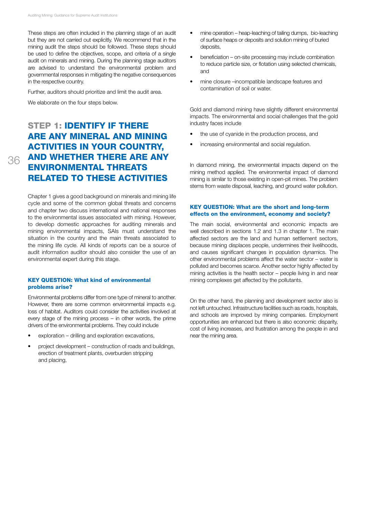These steps are often included in the planning stage of an audit but they are not carried out explicitly. We recommend that in the mining audit the steps should be followed. These steps should be used to define the objectives, scope, and criteria of a single audit on minerals and mining. During the planning stage auditors are advised to understand the environmental problem and governmental responses in mitigating the negative consequences in the respective country.

Further, auditors should prioritize and limit the audit area.

We elaborate on the four steps below.

# Step 1: Identify if there are any mineral and mining activities in your country, and whether there are any environmental threats related to these activities

Chapter 1 gives a good background on minerals and mining life cycle and some of the common global threats and concerns and chapter two discuss international and national responses to the environmental issues associated with mining. However, to develop domestic approaches for auditing minerals and mining environmental impacts, SAIs must understand the situation in the country and the main threats associated to the mining life cycle. All kinds of reports can be a source of audit information auditor should also consider the use of an environmental expert during this stage.

# Key Question: What kind of environmental problems arise?

Environmental problems differ from one type of mineral to another. However, there are some common environmental impacts e.g. loss of habitat. Auditors could consider the activities involved at every stage of the mining process – in other words, the prime drivers of the environmental problems. They could include

- $exploration drilling and exploration excavations,$
- project development construction of roads and buildings, erection of treatment plants, overburden stripping and placing,
- mine operation heap-leaching of tailing dumps, bio-leaching of surface heaps or deposits and solution mining of buried deposits,
- beneficiation on-site processing may include combination to reduce particle size, or flotation using selected chemicals, and
- mine closure –incompatible landscape features and contamination of soil or water.

Gold and diamond mining have slightly different environmental impacts. The environmental and social challenges that the gold industry faces include

- the use of cyanide in the production process, and
- increasing environmental and social regulation.

In diamond mining, the environmental impacts depend on the mining method applied. The environmental impact of diamond mining is similar to those existing in open-pit mines. The problem stems from waste disposal, leaching, and ground water pollution.

# Key Question: What are the short and long-term effects on the environment, economy and society?

The main social, environmental and economic impacts are well described in sections 1.2 and 1.3 in chapter 1. The main affected sectors are the land and human settlement sectors, because mining displaces people, undermines their livelihoods, and causes significant changes in population dynamics. The other environmental problems affect the water sector – water is polluted and becomes scarce. Another sector highly affected by mining activities is the health sector – people living in and near mining complexes get affected by the pollutants.

On the other hand, the planning and development sector also is not left untouched. Infrastructure facilities such as roads, hospitals, and schools are improved by mining companies. Employment opportunities are enhanced but there is also economic disparity, cost of living increases, and frustration among the people in and near the mining area.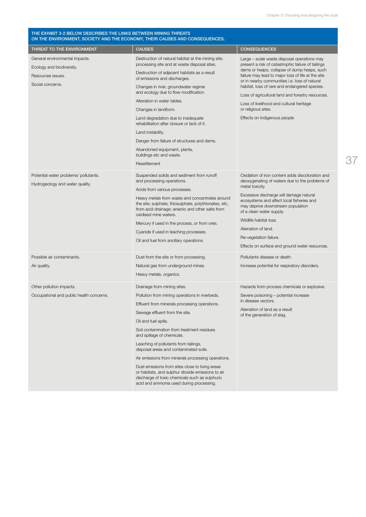| THE EXHIBIT 3-2 BELOW DESCRIBES THE LINKS BETWEEN MINING THREATS<br>ON THE ENVIRONMENT, SOCIETY AND THE ECONOMY, THEIR CAUSES AND CONSEQUENCES. |                                                                                                                                                                                                                                                                                                                                                                                                                                                                                                                                                                                                                     |                                                                                                                                                                                                                                                                                                                                                                                                                                                                  |  |  |
|-------------------------------------------------------------------------------------------------------------------------------------------------|---------------------------------------------------------------------------------------------------------------------------------------------------------------------------------------------------------------------------------------------------------------------------------------------------------------------------------------------------------------------------------------------------------------------------------------------------------------------------------------------------------------------------------------------------------------------------------------------------------------------|------------------------------------------------------------------------------------------------------------------------------------------------------------------------------------------------------------------------------------------------------------------------------------------------------------------------------------------------------------------------------------------------------------------------------------------------------------------|--|--|
| THREAT TO THE ENVIRONMENT                                                                                                                       | <b>CAUSES</b>                                                                                                                                                                                                                                                                                                                                                                                                                                                                                                                                                                                                       | <b>CONSEQUENCES</b>                                                                                                                                                                                                                                                                                                                                                                                                                                              |  |  |
| General environmental impacts.<br>Ecology and biodiversity.<br>Resources issues.<br>Social concerns.                                            | Destruction of natural habitat at the mining site,<br>processing site and at waste disposal sites.<br>Destruction of adjacent habitats as a result<br>of emissions and discharges.<br>Changes in river, groundwater regime<br>and ecology due to flow modification.<br>Alteration in water tables.<br>Changes in landform.<br>Land degradation due to inadequate<br>rehabilitation after closure or lack of it.<br>Land instability.<br>Danger from failure of structures and dams.<br>Abandoned equipment, plants,<br>buildings etc and waste.<br>Resettlement                                                     | Large - scale waste disposal operations may<br>present a risk of catastrophic failure of tailings<br>dams or heaps, collapse of dump heaps, such<br>failure may lead to major loss of life at the site<br>or in nearby communities i.e. loss of natural<br>habitat, loss of rare and endangered species.<br>Loss of agricultural land and forestry resources.<br>Loss of livelihood and cultural heritage<br>or religious sites.<br>Effects on indigenous people |  |  |
| Potential water problems/ pollutants.<br>Hydrogeology and water quality.                                                                        | Suspended solids and sediment from runoff<br>and processing operations.<br>Acids from various processes.<br>Heavy metals from waste and concentrates around<br>the site; sulphate, thiosulphate, polythionates, etc,<br>from acid drainage; arsenic and other salts from<br>oxidised mine waters.<br>Mercury if used in the process, or from ores.<br>Cyanide if used in leaching processes.<br>Oil and fuel from ancillary operations                                                                                                                                                                              | Oxidation of iron content adds discoloration and<br>deoxygenating of waters due to the problems of<br>metal toxicity.<br>Excessive discharge will damage natural<br>ecosystems and affect local fisheries and<br>may deprive downstream population<br>of a clean water supply.<br>Wildlife habitat loss.<br>Alienation of land.<br>Re-vegetation failure.<br>Effects on surface and ground water resources.                                                      |  |  |
| Possible air contaminants.<br>Air quality.                                                                                                      | Dust from the site or from processing.<br>Natural gas from underground mines.<br>Heavy metals, organics.                                                                                                                                                                                                                                                                                                                                                                                                                                                                                                            | Pollutants disease or death.<br>Increase potential for respiratory disorders.                                                                                                                                                                                                                                                                                                                                                                                    |  |  |
| Other pollution impacts.<br>Occupational and public health concerns.                                                                            | Drainage from mining sites.<br>Pollution from mining operations in riverbeds.<br>Effluent from minerals processing operations.<br>Sewage effluent from the site.<br>Oil and fuel spills.<br>Soil contamination from treatment residues<br>and spillage of chemicals.<br>Leaching of pollutants from tailings,<br>disposal areas and contaminated soils.<br>Air emissions from minerals processing operations.<br>Dust emissions from sites close to living areas<br>or habitats, and sulphur dioxide emissions to air<br>discharge of toxic chemicals such as sulphuric<br>acid and ammonia used during processing. | Hazards from process chemicals or explosive.<br>Severe poisoning - potential increase<br>in disease vectors.<br>Alienation of land as a result<br>of the generation of slag.                                                                                                                                                                                                                                                                                     |  |  |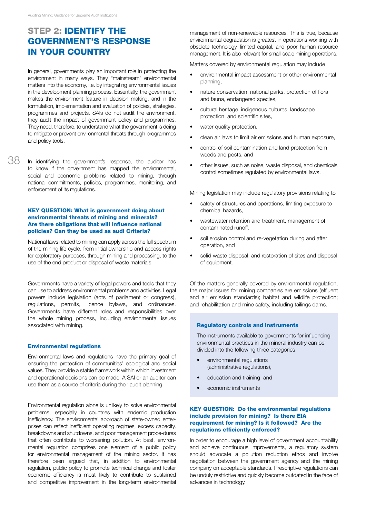# Step 2: Identify the government's response in your country

In general, governments play an important role in protecting the environment in many ways. They "mainstream" environmental matters into the economy, i.e. by integrating environmental issues in the development planning process. Essentially, the government makes the environment feature in decision making, and in the formulation, implementation and evaluation of policies, strategies, programmes and projects. SAIs do not audit the environment, they audit the impact of government policy and programmes. They need, therefore, to understand what the government is doing to mitigate or prevent environmental threats through programmes and policy tools.

38

In identifying the government's response, the auditor has to know if the government has mapped the environmental, social and economic problems related to mining, through national commitments, policies, programmes, monitoring, and enforcement of its regulations.

# KEY QUESTION: What is government doing about environmental threats of mining and minerals? Are there obligations that will influence national policies? Can they be used as audi Criteria?

National laws related to mining can apply across the full spectrum of the mining life cycle, from initial ownership and access rights for exploratory purposes, through mining and processing, to the use of the end product or disposal of waste materials.

Governments have a variety of legal powers and tools that they can use to address environmental problems and activities. Legal powers include legislation (acts of parliament or congress), regulations, permits, licence bylaws, and ordinances. Governments have different roles and responsibilities over the whole mining process, including environmental issues associated with mining.

# Environmental regulations

Environmental laws and regulations have the primary goal of ensuring the protection of communities' ecological and social values. They provide a stable framework within which investment and operational decisions can be made. A SAI or an auditor can use them as a source of criteria during their audit planning.

Environmental regulation alone is unlikely to solve environmental problems, especially in countries with endemic production inefficiency. The environmental approach of state-owned enterprises can reflect inefficient operating regimes, excess capacity, breakdowns and shutdowns, and poor management proce-dures that often contribute to worsening pollution. At best, environmental regulation comprises one element of a public policy for environmental management of the mining sector. It has therefore been argued that, in addition to environmental regulation, public policy to promote technical change and foster economic efficiency is most likely to contribute to sustained and competitive improvement in the long-term environmental

management of non-renewable resources. This is true, because environmental degradation is greatest in operations working with obsolete technology, limited capital, and poor human resource management. It is also relevant for small-scale mining operations.

Matters covered by environmental regulation may include

- environmental impact assessment or other environmental planning,
- nature conservation, national parks, protection of flora and fauna, endangered species,
- cultural heritage, indigenous cultures, landscape protection, and scientific sites,
- water quality protection,
- • clean air laws to limit air emissions and human exposure,
- control of soil contamination and land protection from weeds and pests, and
- other issues, such as noise, waste disposal, and chemicals control sometimes regulated by environmental laws.

Mining legislation may include regulatory provisions relating to

- safety of structures and operations, limiting exposure to chemical hazards,
- wastewater retention and treatment, management of contaminated runoff,
- soil erosion control and re-vegetation during and after operation, and
- solid waste disposal; and restoration of sites and disposal of equipment.

Of the matters generally covered by environmental regulation, the major issues for mining companies are emissions (effluent and air emission standards); habitat and wildlife protection; and rehabilitation and mine safety, including tailings dams.

# Regulatory controls and instruments

The instruments available to governments for influencing environmental practices in the mineral industry can be divided into the following three categories

- environmental regulations (administrative regulations),
- education and training, and
- economic instruments

# **KEY QUESTION: Do the environmental regulations** include provision for mining? Is there EIA requirement for mining? Is it followed? Are the regulations efficiently enforced?

In order to encourage a high level of government accountability and achieve continuous improvements, a regulatory system should advocate a pollution reduction ethos and involve negotiation between the government agency and the mining company on acceptable standards. Prescriptive regulations can be unduly restrictive and quickly become outdated in the face of advances in technology.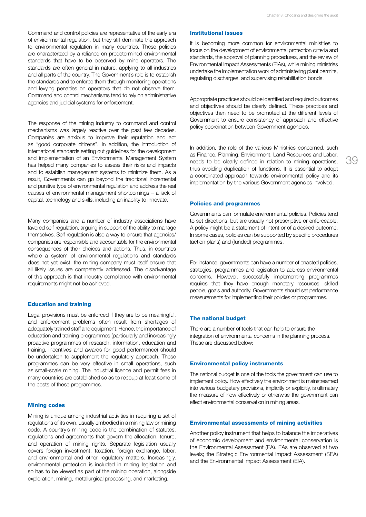Command and control policies are representative of the early era of environmental regulation, but they still dominate the approach to environmental regulation in many countries. These policies are characterized by a reliance on predetermined environmental standards that have to be observed by mine operators. The standards are often general in nature, applying to all industries and all parts of the country. The Government's role is to establish the standards and to enforce them through monitoring operations and levying penalties on operators that do not observe them. Command and control mechanisms tend to rely on administrative agencies and judicial systems for enforcement.

The response of the mining industry to command and control mechanisms was largely reactive over the past few decades. Companies are anxious to improve their reputation and act as "good corporate citizens". In addition, the introduction of international standards setting out guidelines for the development and implementation of an Environmental Management System has helped many companies to assess their risks and impacts and to establish management systems to minimize them. As a result, Governments can go beyond the traditional incremental and punitive type of environmental regulation and address the real causes of environmental management shortcomings – a lack of capital, technology and skills, including an inability to innovate.

Many companies and a number of industry associations have favored self-regulation, arguing in support of the ability to manage themselves. Self-regulation is also a way to ensure that agencies/ companies are responsible and accountable for the environmental consequences of their choices and actions. Thus, in countries where a system of environmental regulations and standards does not yet exist, the mining company must itself ensure that all likely issues are competently addressed. The disadvantage of this approach is that industry compliance with environmental requirements might not be achieved.

## Education and training

Legal provisions must be enforced if they are to be meaningful, and enforcement problems often result from shortages of adequately trained staff and equipment. Hence, the importance of education and training programmes (particularly and increasingly proactive programmes of research, information, education and training, incentives and awards for good performance) should be undertaken to supplement the regulatory approach. These programmes can be very effective in small operations, such as small-scale mining. The industrial licence and permit fees in many countries are established so as to recoup at least some of the costs of these programmes.

### Mining codes

Mining is unique among industrial activities in requiring a set of regulations of its own, usually embodied in a mining law or mining code. A country's mining code is the combination of statutes, regulations and agreements that govern the allocation, tenure, and operation of mining rights. Separate legislation usually covers foreign investment, taxation, foreign exchange, labor, and environmental and other regulatory matters. Increasingly, environmental protection is included in mining legislation and so has to be viewed as part of the mining operation, alongside exploration, mining, metallurgical processing, and marketing.

## Institutional issues

It is becoming more common for environmental ministries to focus on the development of environmental protection criteria and standards, the approval of planning procedures, and the review of Environmental Impact Assessments (EIAs), while mining ministries undertake the implementation work of administering plant permits, regulating discharges, and supervising rehabilitation bonds.

Appropriate practices should be identified and required outcomes and objectives should be clearly defined. These practices and objectives then need to be promoted at the different levels of Government to ensure consistency of approach and effective policy coordination between Government agencies.

In addition, the role of the various Ministries concerned, such as Finance, Planning, Environment, Land Resources and Labor, needs to be clearly defined in relation to mining operations, thus avoiding duplication of functions. It is essential to adopt a coordinated approach towards environmental policy and its implementation by the various Government agencies involved.

### Policies and programmes

Governments can formulate environmental policies. Policies tend to set directions, but are usually not prescriptive or enforceable. A policy might be a statement of intent or of a desired outcome. In some cases, policies can be supported by specific procedures (action plans) and (funded) programmes.

For instance, governments can have a number of enacted policies, strategies, programmes and legislation to address environmental concerns. However, successfully implementing programmes requires that they have enough monetary resources, skilled people, goals and authority. Governments should set performance measurements for implementing their policies or programmes.

#### The national budget

There are a number of tools that can help to ensure the integration of environmental concerns in the planning process. These are discussed below:

### Environmental policy instruments

The national budget is one of the tools the government can use to implement policy. How effectively the environment is mainstreamed into various budgetary provisions, implicitly or explicitly, is ultimately the measure of how effectively or otherwise the government can effect environmental conservation in mining areas.

#### Environmental assessments of mining activities

Another policy instrument that helps to balance the imperatives of economic development and environmental conservation is the Environmental Assessment (EA). EAs are observed at two levels; the Strategic Environmental Impact Assessment (SEA) and the Environmental Impact Assessment (EIA).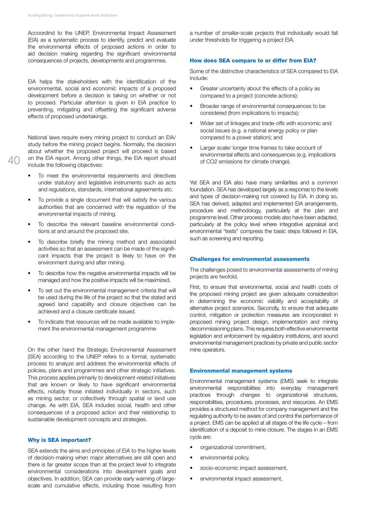$\Delta\cap$ 

Accoordind to the UNEP, Environmental Impact Assessment (EIA) as a systematic process to identify, predict and evaluate the environmental effects of proposed actions in order to aid decision making regarding the significant environmental consequences of projects, developments and programmes.

EIA helps the stakeholders with the identification of the environmental, social and economic impacts of a proposed development before a decision is taking on whether or not to proceed. Particular attention is given in EIA practice to preventing, mitigating and offsetting the significant adverse effects of proposed undertakings.

National laws require every mining project to conduct an EIA/ study before the mining project begins. Normally, the decision about whether the proposed project will proceed is based on the EIA report. Among other things, the EIA report should include the following objectives:

- To meet the environmental requirements and directives under statutory and legislative instruments such as acts and regulations, standards, international agreements etc.
- To provide a single document that will satisfy the various authorities that are concerned with the regulation of the environmental impacts of mining.
- • To describe the relevant baseline environmental conditions at and around the proposed site.
- To describe briefly the mining method and associated activities so that an assessment can be made of the significant impacts that the project is likely to have on the environment during and after mining.
- To describe how the negative environmental impacts will be managed and how the positive impacts will be maximized.
- To set out the environmental management criteria that will be used during the life of the project so that the stated and agreed land capability and closure objectives can be achieved and a closure certificate issued.
- To indicate that resources will be made available to implement the environmental management programme

On the other hand the Strategic Environmental Assessment (SEA) according to the UNEP refers to a formal, systematic process to analyze and address the environmental effects of policies, plans and programmes and other strategic initiatives. This process applies primarily to development-related initiatives that are known or likely to have significant environmental effects, notably those initiated individually in sectors, such as mining sector, or collectively through spatial or land use change. As with EIA, SEA includes social, health and other consequences of a proposed action and their relationship to sustainable development concepts and strategies.

# Why is SEA important?

SEA extends the aims and principles of EIA to the higher levels of decision-making when major alternatives are still open and there is far greater scope than at the project level to integrate environmental considerations into development goals and objectives. In addition, SEA can provide early warning of largescale and cumulative effects, including those resulting from

a number of smaller-scale projects that individually would fall under thresholds for triggering a project EIA.

# How does SEA compare to or differ from EIA?

Some of the distinctive characteristics of SEA compared to EIA include:

- Greater uncertainty about the effects of a policy as compared to a project (concrete actions);
- Broader range of environmental consequences to be considered (from implications to impacts);
- Wider set of linkages and trade-offs with economic and social issues (e.g. a national energy policy or plan compared to a power station); and
- Larger scale/ longer time frames to take account of environmental effects and consequences (e.g. implications of CO2 emissions for climate change).

Yet SEA and EIA also have many similarities and a common foundation. SEA has developed largely as a response to the levels and types of decision-making not covered by EIA. In doing so, SEA has derived, adapted and implemented EIA arrangements, procedure and methodology, particularly at the plan and programme level. Other process models also have been adapted, particularly at the policy level where integrative appraisal and environmental "tests" compress the basic steps followed in EIA, such as screening and reporting.

# Challenges for environmental assessments

The challenges posed to environmental assessments of mining projects are twofold.

First, to ensure that environmental, social and health costs of the proposed mining project are given adequate consideration in determining the economic viability and acceptability of alternative project scenarios. Secondly, to ensure that adequate control, mitigation or protection measures are incorporated in proposed mining project design, implementation and mining decommissioning plans. This requires both effective environmental legislation and enforcement by regulatory institutions, and sound environmental management practices by private and public sector mine operators.

#### Environmental management systems

Environmental management systems (EMS) seek to integrate environmental responsibilities into everyday management practices through changes to organizational structures, responsibilities, procedures, processes, and resources. An EMS provides a structured method for company management and the regulating authority to be aware of and control the performance of a project. EMS can be applied at all stages of the life cycle – from identification of a deposit to mine closure. The stages in an EMS cycle are:

- organizational commitment,
- environmental policy,
- socio-economic impact assessment,
- environmental impact assessment,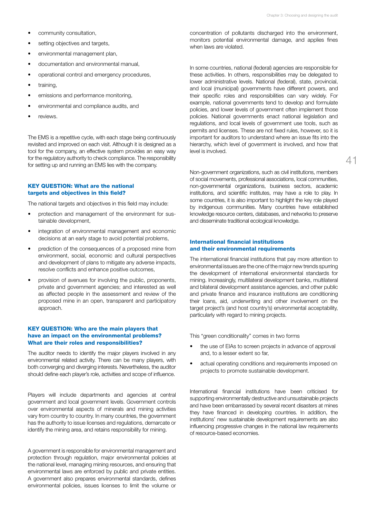- setting objectives and targets,
- environmental management plan,
- • documentation and environmental manual,
- • operational control and emergency procedures,
- training,
- emissions and performance monitoring,
- environmental and compliance audits, and
- reviews.

The EMS is a repetitive cycle, with each stage being continuously revisited and improved on each visit. Although it is designed as a tool for the company, an effective system provides an easy way for the regulatory authority to check compliance. The responsibility for setting up and running an EMS lies with the company.

# KEY QUESTION: What are the national targets and objectives in this field?

The national targets and objectives in this field may include:

- protection and management of the environment for sustainable development,
- • integration of environmental management and economic decisions at an early stage to avoid potential problems,
- prediction of the consequences of a proposed mine from environment, social, economic and cultural perspectives and development of plans to mitigate any adverse impacts, resolve conflicts and enhance positive outcomes,
- provision of avenues for involving the public, proponents, private and government agencies; and interested as well as affected people in the assessment and review of the proposed mine in an open, transparent and participatory approach.

# KEY QUESTION: Who are the main players that have an impact on the environmental problems? What are their roles and responsibilities?

The auditor needs to identify the major players involved in any environmental related activity. There can be many players, with both converging and diverging interests. Nevertheless, the auditor should define each player's role, activities and scope of influence.

Players will include departments and agencies at central government and local government levels. Government controls over environmental aspects of minerals and mining activities vary from country to country. In many countries, the government has the authority to issue licenses and regulations, demarcate or identify the mining area, and retains responsibility for mining.

A government is responsible for environmental management and protection through regulation, major environmental policies at the national level, managing mining resources, and ensuring that environmental laws are enforced by public and private entities. A government also prepares environmental standards, defines environmental policies, issues licenses to limit the volume or concentration of pollutants discharged into the environment, monitors potential environmental damage, and applies fines when laws are violated.

In some countries, national (federal) agencies are responsible for these activities. In others, responsibilities may be delegated to lower administrative levels. National (federal), state, provincial, and local (municipal) governments have different powers, and their specific roles and responsibilities can vary widely. For example, national governments tend to develop and formulate policies, and lower levels of government often implement those policies. National governments enact national legislation and regulations, and local levels of government use tools, such as permits and licenses. These are not fixed rules, however, so it is important for auditors to understand where an issue fits into the hierarchy, which level of government is involved, and how that level is involved.

 $\Delta$ 1

Non-government organizations, such as civil institutions, members of social movements, professional associations, local communities, non-governmental organizations, business sectors, academic institutions, and scientific institutes, may have a role to play. In some countries, it is also important to highlight the key role played by indigenous communities. Many countries have established knowledge resource centers, databases, and networks to preserve and disseminate traditional ecological knowledge.

# International financial institutions and their environmental requirements

The international financial institutions that pay more attention to environmental issues are the one of the major new trends spurring the development of international environmental standards for mining. Increasingly, multilateral development banks, multilateral and bilateral development assistance agencies, and other public and private finance and insurance institutions are conditioning their loans, aid, underwriting and other involvement on the target project's (and host country's) environmental acceptability, particularly with regard to mining projects.

This "green conditionality" comes in two forms

- the use of EIAs to screen projects in advance of approval and, to a lesser extent so far,
- actual operating conditions and requirements imposed on projects to promote sustainable development.

International financial institutions have been criticised for supporting environmentally destructive and unsustainable projects and have been embarrassed by several recent disasters at mines they have financed in developing countries. In addition, the institutions' new sustainable development requirements are also influencing progressive changes in the national law requirements of resource-based economies.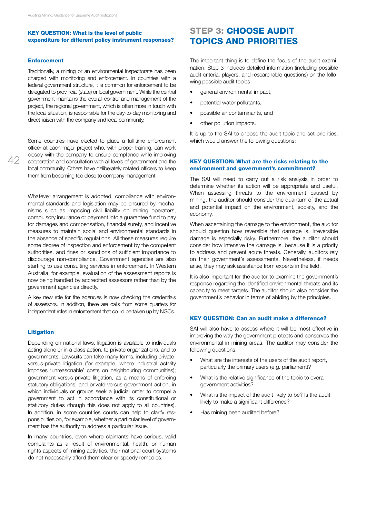# **KEY QUESTION: What is the level of public** expenditure for different policy instrument responses?

### **Enforcement**

 $\Delta$ 

Traditionally, a mining or an environmental inspectorate has been charged with monitoring and enforcement. In countries with a federal government structure, it is common for enforcement to be delegated to provincial (state) or local government. While the central government maintains the overall control and management of the project, the regional government, which is often more in touch with the local situation, is responsible for the day-to-day monitoring and direct liaison with the company and local community.

Some countries have elected to place a full-time enforcement officer at each major project who, with proper training, can work closely with the company to ensure compliance while improving cooperation and consultation with all levels of government and the local community. Others have deliberately rotated officers to keep them from becoming too close to company management.

Whatever arrangement is adopted, compliance with environmental standards and legislation may be ensured by mechanisms such as imposing civil liability on mining operators, compulsory insurance or payment into a guarantee fund to pay for damages and compensation, financial surety, and incentive measures to maintain social and environmental standards in the absence of specific regulations. All these measures require some degree of inspection and enforcement by the competent authorities, and fines or sanctions of sufficient importance to discourage non-compliance. Government agencies are also starting to use consulting services in enforcement. In Western Australia, for example, evaluation of the assessment reports is now being handled by accredited assessors rather than by the government agencies directly.

A key new role for the agencies is now checking the credentials of assessors. In addition, there are calls from some quarters for independent roles in enforcement that could be taken up by NGOs.

# Litigation

Depending on national laws, litigation is available to individuals acting alone or in a class action, to private organizations, and to governments. Lawsuits can take many forms, including privateversus-private litigation (for example, where industrial activity imposes 'unreasonable' costs on neighbouring communities); government-versus-private litigation, as a means of enforcing statutory obligations; and private-versus-government action, in which individuals or groups seek a judicial order to compel a government to act in accordance with its constitutional or statutory duties (though this does not apply to all countries). In addition, in some countries courts can help to clarify responsibilities on, for example, whether a particular level of government has the authority to address a particular issue.

In many countries, even where claimants have serious, valid complaints as a result of environmental, health, or human rights aspects of mining activities, their national court systems do not necessarily afford them clear or speedy remedies.

# STEP 3: CHOOSE AUDIT topics and priorities

The important thing is to define the focus of the audit examination. Step 3 includes detailed information (including possible audit criteria, players, and researchable questions) on the following possible audit topics

- general environmental impact,
- potential water pollutants,
- • possible air contaminants, and
- other pollution impacts.

It is up to the SAI to choose the audit topic and set priorities, which would answer the following questions:

# KEY QUESTION: What are the risks relating to the environment and government's commitment?

The SAI will need to carry out a risk analysis in order to determine whether its action will be appropriate and useful. When assessing threats to the environment caused by mining, the auditor should consider the quantum of the actual and potential impact on the environment, society, and the economy.

When ascertaining the damage to the environment, the auditor should question how reversible that damage is. Irreversible damage is especially risky. Furthermore, the auditor should consider how intensive the damage is, because it is a priority to address and prevent acute threats. Generally, auditors rely on their government's assessments. Nevertheless, if needs arise, they may ask assistance from experts in the field.

It is also important for the auditor to examine the government's response regarding the identified environmental threats and its capacity to meet targets. The auditor should also consider the government's behavior in terms of abiding by the principles.

# KEY QUESTION: Can an audit make a difference?

SAI will also have to assess where it will be most effective in improving the way the government protects and conserves the environmental in mining areas. The auditor may consider the following questions:

- What are the interests of the users of the audit report, particularly the primary users (e.g. parliament)?
- What is the relative significance of the topic to overall government activities?
- What is the impact of the audit likely to be? Is the audit likely to make a significant difference?
- Has mining been audited before?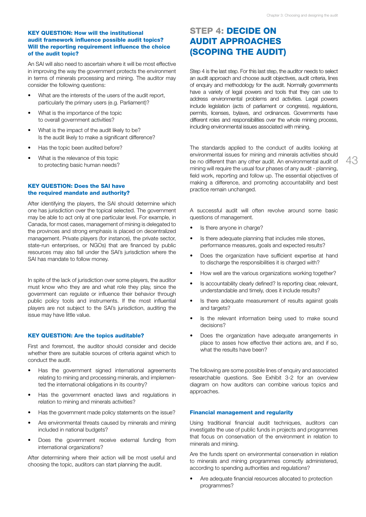43

# KEY QUESTION: How will the institutional audit framework influence possible audit topics? Will the reporting requirement influence the choice of the audit topic?

An SAI will also need to ascertain where it will be most effective in improving the way the government protects the environment in terms of minerals processing and mining. The auditor may consider the following questions:

- What are the interests of the users of the audit report, particularly the primary users (e.g. Parliament)?
- • What is the importance of the topic to overall government activities?
- What is the impact of the audit likely to be? Is the audit likely to make a significant difference?
- Has the topic been audited before?
- What is the relevance of this topic to protecting basic human needs?

# KEY QUESTION: Does the SAI have the required mandate and authority?

After identifying the players, the SAI should determine which one has jurisdiction over the topical selected. The government may be able to act only at one particular level. For example, in Canada, for most cases, management of mining is delegated to the provinces and strong emphasis is placed on decentralized management. Private players (for instance), the private sector, state-run enterprises, or NGOs) that are financed by public resources may also fall under the SAI's jurisdiction where the SAI has mandate to follow money.

In spite of the lack of jurisdiction over some players, the auditor must know who they are and what role they play, since the government can regulate or influence their behavior through public policy tools and instruments. If the most influential players are not subject to the SAI's jurisdiction, auditing the issue may have little value.

#### KEY QUESTION: Are the topics auditable?

First and foremost, the auditor should consider and decide whether there are suitable sources of criteria against which to conduct the audit.

- Has the government signed international agreements relating to mining and processing minerals, and implemented the international obligations in its country?
- • Has the government enacted laws and regulations in relation to mining and minerals activities?
- Has the government made policy statements on the issue?
- Are environmental threats caused by minerals and mining included in national budgets?
- Does the government receive external funding from international organizations?

After determining where their action will be most useful and choosing the topic, auditors can start planning the audit.

# STEP 4: DECIDE ON audit approaches (scoping the audit)

Step 4 is the last step. For this last step, the auditor needs to select an audit approach and choose audit objectives, audit criteria, lines of enquiry and methodology for the audit. Normally governments have a variety of legal powers and tools that they can use to address environmental problems and activities. Legal powers include legislation (acts of parliament or congress), regulations, permits, licenses, bylaws, and ordinances. Governments have different roles and responsibilities over the whole mining process, including environmental issues associated with mining.

The standards applied to the conduct of audits looking at environmental issues for mining and minerals activities should be no different than any other audit. An environmental audit of mining will require the usual four phases of any audit - planning, field work, reporting and follow up. The essential objectives of making a difference, and promoting accountability and best practice remain unchanged.

A successful audit will often revolve around some basic questions of management.

- Is there anyone in charge?
- Is there adequate planning that includes mile stones, performance measures, goals and expected results?
- Does the organization have sufficient expertise at hand to discharge the responsibilities it is charged with?
- How well are the various organizations working together?
- Is accountability clearly defined? Is reporting clear, relevant, understandable and timely, does it include results?
- Is there adequate measurement of results against goals and targets?
- Is the relevant information being used to make sound decisions?
- Does the organization have adequate arrangements in place to asses how effective their actions are, and if so, what the results have been?

The following are some possible lines of enquiry and associated researchable questions. See Exhibit 3-2 for an overview diagram on how auditors can combine various topics and approaches.

# Financial management and regularity

Using traditional financial audit techniques, auditors can investigate the use of public funds in projects and programmes that focus on conservation of the environment in relation to minerals and mining.

Are the funds spent on environmental conservation in relation to minerals and mining programmes correctly administered, according to spending authorities and regulations?

Are adequate financial resources allocated to protection programmes?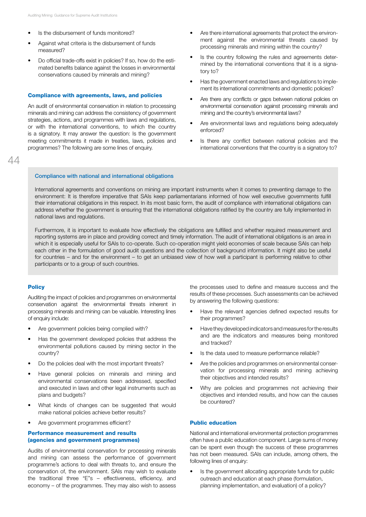- Is the disbursement of funds monitored?
- Against what criteria is the disbursement of funds measured?
- Do official trade-offs exist in policies? If so, how do the estimated benefits balance against the losses in environmental conservations caused by minerals and mining?

#### Compliance with agreements, laws, and policies

An audit of environmental conservation in relation to processing minerals and mining can address the consistency of government strategies, actions, and programmes with laws and regulations, or with the international conventions, to which the country is a signatory. It may answer the question: Is the government meeting commitments it made in treaties, laws, policies and programmes? The following are some lines of enquiry.

- Are there international agreements that protect the environment against the environmental threats caused by processing minerals and mining within the country?
- Is the country following the rules and agreements determined by the international conventions that it is a signatory to?
- Has the government enacted laws and regulations to implement its international commitments and domestic policies?
- Are there any conflicts or gaps between national policies on environmental conservation against processing minerals and mining and the country's environmental laws?
- Are environmental laws and regulations being adequately enforced?
- Is there any conflict between national policies and the international conventions that the country is a signatory to?

# $\Delta\Delta$

## Compliance with national and international obligations

International agreements and conventions on mining are important instruments when it comes to preventing damage to the environment: It is therefore imperative that SAIs keep parliamentarians informed of how well executive governments fulfill their international obligations in this respect. In its most basic form, the audit of compliance with international obligations can address whether the government is ensuring that the international obligations ratified by the country are fully implemented in national laws and regulations.

Furthermore, it is important to evaluate how effectively the obligations are fulfilled and whether required measurement and reporting systems are in place and providing correct and timely information. The audit of international obligations is an area in which it is especially useful for SAIs to co-operate. Such co-operation might yield economies of scale because SAIs can help each other in the formulation of good audit questions and the collection of background information. It might also be useful for countries – and for the environment – to get an unbiased view of how well a participant is performing relative to other participants or to a group of such countries.

# **Policy**

Auditing the impact of policies and programmes on environmental conservation against the environmental threats inherent in processing minerals and mining can be valuable. Interesting lines of enquiry include:

- Are government policies being complied with?
- Has the government developed policies that address the environmental pollutions caused by mining sector in the country?
- Do the policies deal with the most important threats?
- Have general policies on minerals and mining and environmental conservations been addressed, specified and executed in laws and other legal instruments such as plans and budgets?
- What kinds of changes can be suggested that would make national policies achieve better results?
- Are government programmes efficient?

# Performance measurement and results (agencies and government programmes)

Audits of environmental conservation for processing minerals and mining can assess the performance of government programme's actions to deal with threats to, and ensure the conservation of, the environment. SAIs may wish to evaluate the traditional three "E"s – effectiveness, efficiency, and economy – of the programmes. They may also wish to assess

the processes used to define and measure success and the results of these processes. Such assessments can be achieved by answering the following questions:

- Have the relevant agencies defined expected results for their programmes?
- Have they developed indicators and measures for the results and are the indicators and measures being monitored and tracked?
- Is the data used to measure performance reliable?
- Are the policies and programmes on environmental conservation for processing minerals and mining achieving their objectives and intended results?
- Why are policies and programmes not achieving their objectives and intended results, and how can the causes be countered?

# Public education

National and international environmental protection programmes often have a public education component. Large sums of money can be spent even though the success of these programmes has not been measured. SAIs can include, among others, the following lines of enquiry:

Is the government allocating appropriate funds for public outreach and education at each phase (formulation, planning implementation, and evaluation) of a policy?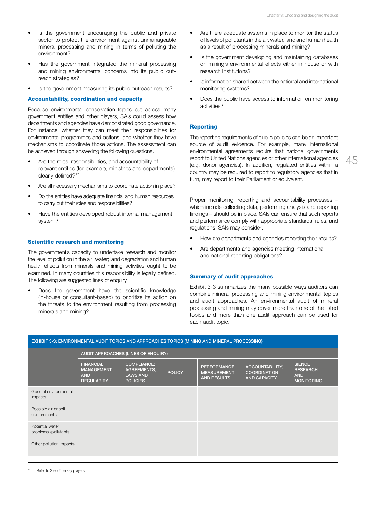- Is the government encouraging the public and private sector to protect the environment against unmanageable mineral processing and mining in terms of polluting the environment?
- Has the government integrated the mineral processing and mining environmental concerns into its public outreach strategies?
- Is the government measuring its public outreach results?

# Accountability, coordination and capacity

Because environmental conservation topics cut across many government entities and other players, SAIs could assess how departments and agencies have demonstrated good governance. For instance, whether they can meet their responsibilities for environmental programmes and actions, and whether they have mechanisms to coordinate those actions. The assessment can be achieved through answering the following questions.

- Are the roles, responsibilities, and accountability of relevant entities (for example, ministries and departments) clearly defined?<sup>17</sup>
- Are all necessary mechanisms to coordinate action in place?
- Do the entities have adequate financial and human resources to carry out their roles and responsibilities?
- Have the entities developed robust internal management system?

# Scientific research and monitoring

The government's capacity to undertake research and monitor the level of pollution in the air; water; land degradation and human health effects from minerals and mining activities ought to be examined. In many countries this responsibility is legally defined. The following are suggested lines of enquiry.

Does the government have the scientific knowledge (in-house or consultant-based) to prioritize its action on the threats to the environment resulting from processing minerals and mining?

- Are there adequate systems in place to monitor the status of levels of pollutants in the air, water, land and human health as a result of processing minerals and mining?
- Is the government developing and maintaining databases on mining's environmental effects either in house or with research Institutions?
- Is information shared between the national and international monitoring systems?
- Does the public have access to information on monitoring activities?

# Reporting

The reporting requirements of public policies can be an important source of audit evidence. For example, many international environmental agreements require that national governments report to United Nations agencies or other international agencies (e.g. donor agencies). In addition, regulated entities within a country may be required to report to regulatory agencies that in turn, may report to their Parliament or equivalent.

Proper monitoring, reporting and accountability processes – which include collecting data, performing analysis and reporting findings – should be in place. SAIs can ensure that such reports and performance comply with appropriate standards, rules, and regulations. SAIs may consider:

- How are departments and agencies reporting their results?
- Are departments and agencies meeting international and national reporting obligations?

#### Summary of audit approaches

Exhibit 3-3 summarizes the many possible ways auditors can combine mineral processing and mining environmental topics and audit approaches. An environmental audit of mineral processing and mining may cover more than one of the listed topics and more than one audit approach can be used for each audit topic.

| EXHIBIT 3-3: ENVIRONMENTAL AUDIT TOPICS AND APPROACHES TOPICS (MINING AND MINERAL PROCESSING) |                                                                          |                                                                                |               |                                                                |                                                                      |                                                                     |
|-----------------------------------------------------------------------------------------------|--------------------------------------------------------------------------|--------------------------------------------------------------------------------|---------------|----------------------------------------------------------------|----------------------------------------------------------------------|---------------------------------------------------------------------|
|                                                                                               |                                                                          | AUDIT APPROACHES (LINES OF ENQUIRY)                                            |               |                                                                |                                                                      |                                                                     |
|                                                                                               | <b>FINANCIAL</b><br><b>MANAGEMENT</b><br><b>AND</b><br><b>REGULARITY</b> | <b>COMPLIANCE:</b><br><b>AGREEMENTS,</b><br><b>LAWS AND</b><br><b>POLICIES</b> | <b>POLICY</b> | <b>PERFORMANCE</b><br><b>MEASUREMENT</b><br><b>AND RESULTS</b> | <b>ACCOUNTABILITY,</b><br><b>COORDINATION</b><br><b>AND CAPACITY</b> | <b>SIENCE</b><br><b>RESEARCH</b><br><b>AND</b><br><b>MONITORING</b> |
| General environmental<br>impacts                                                              |                                                                          |                                                                                |               |                                                                |                                                                      |                                                                     |
| Possible air or soil<br>contaminants                                                          |                                                                          |                                                                                |               |                                                                |                                                                      |                                                                     |
| Potential water<br>problems /pollutants                                                       |                                                                          |                                                                                |               |                                                                |                                                                      |                                                                     |
| Other pollution impacts                                                                       |                                                                          |                                                                                |               |                                                                |                                                                      |                                                                     |

Refer to Step 2 on key players.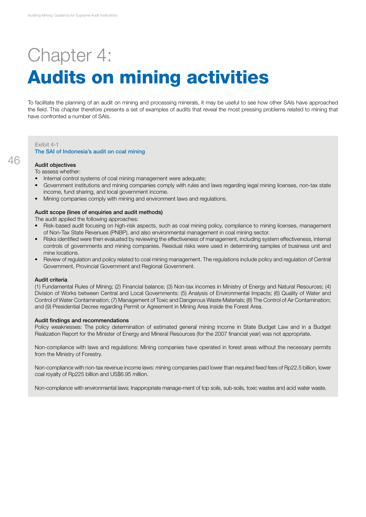# Chapter 4: Audits on mining activities

To facilitate the planning of an audit on mining and processing minerals, it may be useful to see how other SAIs have approached the field. This chapter therefore presents a set of examples of audits that reveal the most pressing problems related to mining that have confronted a number of SAIs.

# Exibit 4-1

# The SAI of Indonesia's audit on coal mining

# Audit objectives

To assess whether:

- Internal control systems of coal mining management were adequate;
- • Government institutions and mining companies comply with rules and laws regarding legal mining licenses, non-tax state income, fund sharing, and local government income.
- Mining companies comply with mining and environment laws and regulations.

# Audit scope (lines of enquiries and audit methods)

The audit applied the following approaches:

- Risk-based audit focusing on high-risk aspects, such as coal mining policy, compliance to mining licenses, management of Non-Tax State Revenues (PNBP), and also environmental management in coal mining sector.
- Risks identified were then evaluated by reviewing the effectiveness of management, including system effectiveness, internal controls of governments and mining companies. Residual risks were used in determining samples of business unit and mine locations.
- Review of regulation and policy related to coal mining management. The regulations include policy and regulation of Central Government, Provincial Government and Regional Government.

# Audit criteria

(1) Fundamental Rules of Mining; (2) Financial balance; (3) Non-tax incomes in Ministry of Energy and Natural Resources; (4) Division of Works between Central and Local Governments: (5) Analysis of Environmental Impacts; (6) Quality of Water and Control of Water Contamination; (7) Management of Toxic and Dangerous Waste Materials; (8) The Control of Air Contamination; and (9) Presidential Decree regarding Permit or Agreement in Mining Area inside the Forest Area.

# Audit findings and recommendations

Policy weaknesses: The policy determination of estimated general mining income in State Budget Law and in a Budget Realization Report for the Minister of Energy and Mineral Resources (for the 2007 financial year) was not appropriate.

Non-compliance with laws and regulations: Mining companies have operated in forest areas without the necessary permits from the Ministry of Forestry.

Non-compliance with non-tax revenue income laws: mining companies paid lower than required fixed fees of Rp22.5 billion, lower coal royalty of Rp225 billion and US\$6.95 million.

Non-compliance with environmental laws: Inappropriate manage-ment of top soils, sub-soils, toxic wastes and acid water waste.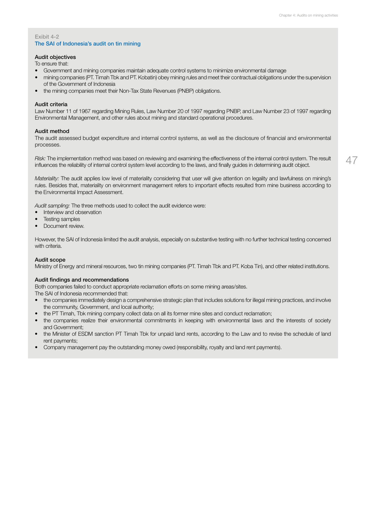# Exibit 4-2 The SAI of Indonesia's audit on tin mining

## Audit objectives

To ensure that:

- • Government and mining companies maintain adequate control systems to minimize environmental damage
- mining companies (PT. Timah Tbk and PT. Kobatin) obey mining rules and meet their contractual obligations under the supervision of the Government of Indonesia
- the mining companies meet their Non-Tax State Revenues (PNBP) obligations.

## Audit criteria

Law Number 11 of 1967 regarding Mining Rules, Law Number 20 of 1997 regarding PNBP, and Law Number 23 of 1997 regarding Environmental Management, and other rules about mining and standard operational procedures.

## Audit method

The audit assessed budget expenditure and internal control systems, as well as the disclosure of financial and environmental processes.

*Risk:* The implementation method was based on reviewing and examining the effectiveness of the internal control system. The result influences the reliability of internal control system level according to the laws, and finally guides in determining audit object.

*Materiality:* The audit applies low level of materiality considering that user will give attention on legality and lawfulness on mining's rules. Besides that, materiality on environment management refers to important effects resulted from mine business according to the Environmental Impact Assessment.

*Audit sampling:* The three methods used to collect the audit evidence were:

- Interview and observation
- Testing samples
- Document review.

However, the SAI of Indonesia limited the audit analysis, especially on substantive testing with no further technical testing concerned with criteria.

#### Audit scope

Ministry of Energy and mineral resources, two tin mining companies (PT. Timah Tbk and PT. Koba Tin), and other related institutions.

#### Audit findings and recommendations

Both companies failed to conduct appropriate reclamation efforts on some mining areas/sites.

The SAI of Indonesia recommended that:

- the companies immediately design a comprehensive strategic plan that includes solutions for illegal mining practices, and involve the community, Government, and local authority;
- the PT Timah, Tbk mining company collect data on all its former mine sites and conduct reclamation;
- the companies realize their environmental commitments in keeping with environmental laws and the interests of society and Government;
- the Minister of ESDM sanction PT Timah Tbk for unpaid land rents, according to the Law and to revise the schedule of land rent payments;
- • Company management pay the outstanding money owed (responsibility, royalty and land rent payments).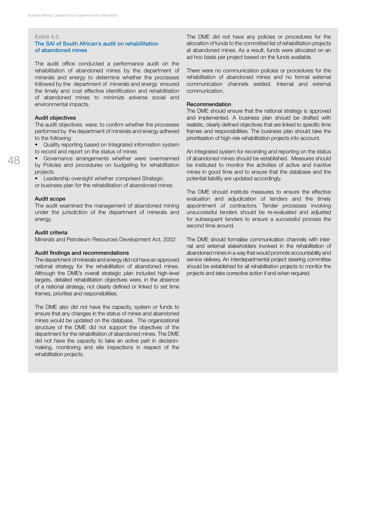### Exibit 4.3.

## The SAI of South African's audit on rehabilitation of abandoned mines

The audit office conducted a performance audit on the rehabilitation of abandoned mines by the department of minerals and energy to determine whether the processes followed by the department of minerals and energy ensured the timely and cost effective identification and rehabilitation of abandoned mines to minimize adverse social and environmental impacts.

# Audit objectives

The audit objectives were; to confirm whether the processes performed by the department of minerals and energy adhered to the following

- Quality reporting based on Integrated information system to record and report on the status of mines
- Governance arrangements whether were overmanned by Policies and procedures on budgeting for rehabilitation projects

Leadership oversight whether comprised Strategic or business plan for the rehabilitation of abandoned mines

#### Audit scope

The audit examined the management of abandoned mining under the jurisdiction of the department of minerals and energy.

#### Audit criteria

Minerals and Petroleum Resources Development Act, 2002

#### Audit findings and recommendations

The department of minerals and energy did not have an approved national strategy for the rehabilitation of abandoned mines. Although the DME's overall strategic plan included high-level targets, detailed rehabilitation objectives were, in the absence of a national strategy, not clearly defined or linked to set time frames, priorities and responsibilities.

The DME also did not have the capacity, system or funds to ensure that any changes in the status of mines and abandoned mines would be updated on the database. The organizational structure of the DME did not support the objectives of the department for the rehabilitation of abandoned mines. The DME did not have the capacity to take an active part in decisionmaking, monitoring and site inspections in respect of the rehabilitation projects.

The DME did not have any policies or procedures for the allocation of funds to the committed list of rehabilitation projects at abandoned mines. As a result, funds were allocated on an ad hoc basis per project based on the funds available.

There were no communication policies or procedures for the rehabilitation of abandoned mines and no formal external communication channels existed. Internal and external communication.

# Recommendation

The DME should ensure that the national strategy is approved and implemented. A business plan should be drafted with realistic, clearly defined objectives that are linked to specific time frames and responsibilities. The business plan should take the prioritisation of high-risk rehabilitation projects into account.

An integrated system for recording and reporting on the status of abandoned mines should be established. Measures should be instituted to monitor the activities of active and inactive mines in good time and to ensure that the database and the potential liability are updated accordingly.

The DME should institute measures to ensure the effective evaluation and adjudication of tenders and the timely appointment of contractors. Tender processes involving unsuccessful tenders should be re-evaluated and adjusted for subsequent tenders to ensure a successful process the second time around.

The DME should formalise communication channels with internal and external stakeholders involved in the rehabilitation of abandoned mines in a way that would promote accountability and service delivery. An interdepartmental project steering committee should be established for all rehabilitation projects to monitor the projects and take corrective action if and when required.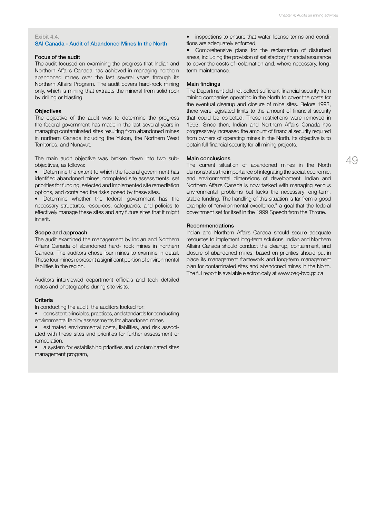# SAI Canada - Audit of Abandoned Mines In the North

#### Focus of the audit

The audit focused on examining the progress that Indian and Northern Affairs Canada has achieved in managing northern abandoned mines over the last several years through its Northern Affairs Program. The audit covers hard-rock mining only, which is mining that extracts the mineral from solid rock by drilling or blasting.

### **Objectives**

The objective of the audit was to determine the progress the federal government has made in the last several years in managing contaminated sites resulting from abandoned mines in northern Canada including the Yukon, the Northern West Territories, and Nunavut.

The main audit objective was broken down into two subobjectives, as follows:

• Determine the extent to which the federal government has identified abandoned mines, completed site assessments, set priorities for funding, selected and implemented site remediation options, and contained the risks posed by these sites.

• Determine whether the federal government has the necessary structures, resources, safeguards, and policies to effectively manage these sites and any future sites that it might inherit.

#### Scope and approach

The audit examined the management by Indian and Northern Affairs Canada of abandoned hard- rock mines in northern Canada. The auditors chose four mines to examine in detail. These four mines represent a significant portion of environmental liabilities in the region.

Auditors interviewed department officials and took detailed notes and photographs during site visits.

## **Criteria**

In conducting the audit, the auditors looked for:

consistent principles, practices, and standards for conducting environmental liability assessments for abandoned mines

estimated environmental costs, liabilities, and risk associated with these sites and priorities for further assessment or remediation,

• a system for establishing priorities and contaminated sites management program,

• inspections to ensure that water license terms and conditions are adequately enforced,

• Comprehensive plans for the reclamation of disturbed areas, including the provision of satisfactory financial assurance to cover the costs of reclamation and, where necessary, longterm maintenance.

# Main findings

The Department did not collect sufficient financial security from mining companies operating in the North to cover the costs for the eventual cleanup and closure of mine sites. Before 1993, there were legislated limits to the amount of financial security that could be collected. These restrictions were removed in 1993. Since then, Indian and Northern Affairs Canada has progressively increased the amount of financial security required from owners of operating mines in the North. Its objective is to obtain full financial security for all mining projects.

## Main conclusions

The current situation of abandoned mines in the North demonstrates the importance of integrating the social, economic, and environmental dimensions of development. Indian and Northern Affairs Canada is now tasked with managing serious environmental problems but lacks the necessary long-term, stable funding. The handling of this situation is far from a good example of "environmental excellence," a goal that the federal government set for itself in the 1999 Speech from the Throne.

## Recommendations

Indian and Northern Affairs Canada should secure adequate resources to implement long-term solutions. Indian and Northern Affairs Canada should conduct the cleanup, containment, and closure of abandoned mines, based on priorities should put in place its management framework and long-term management plan for contaminated sites and abandoned mines in the North. The full report is available electronically at www.oag-bvg.gc.ca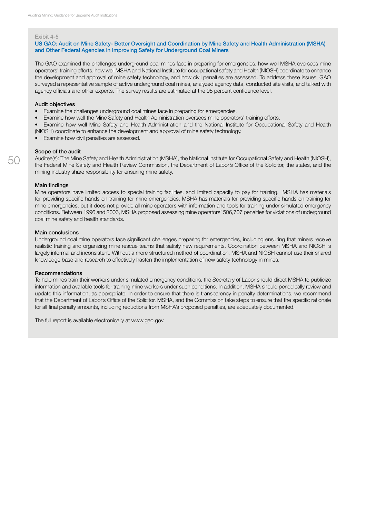# Exibit 4-5

# US GAO: Audit on Mine Safety- Better Oversight and Coordination by Mine Safety and Health Administration (MSHA) and Other Federal Agencies in Improving Safety for Underground Coal Miners

The GAO examined the challenges underground coal mines face in preparing for emergencies, how well MSHA oversees mine operators' training efforts, how well MSHA and National Institute for occupational safety and Health (NIOSH) coordinate to enhance the development and approval of mine safety technology, and how civil penalties are assessed. To address these issues, GAO surveyed a representative sample of active underground coal mines, analyzed agency data, conducted site visits, and talked with agency officials and other experts. The survey results are estimated at the 95 percent confidence level.

## Audit objectives

- Examine the challenges underground coal mines face in preparing for emergencies.
- • Examine how well the Mine Safety and Health Administration oversees mine operators' training efforts.
- Examine how well Mine Safety and Health Administration and the National Institute for Occupational Safety and Health (NIOSH) coordinate to enhance the development and approval of mine safety technology.
- Examine how civil penalties are assessed.

#### Scope of the audit

Auditee(s): The Mine Safety and Health Administration (MSHA), the National Institute for Occupational Safety and Health (NIOSH), the Federal Mine Safety and Health Review Commission, the Department of Labor's Office of the Solicitor, the states, and the mining industry share responsibility for ensuring mine safety.

#### Main findings

Mine operators have limited access to special training facilities, and limited capacity to pay for training. MSHA has materials for providing specific hands-on training for mine emergencies. MSHA has materials for providing specific hands-on training for mine emergencies, but it does not provide all mine operators with information and tools for training under simulated emergency conditions. Between 1996 and 2006, MSHA proposed assessing mine operators' 506,707 penalties for violations of underground coal mine safety and health standards.

## Main conclusions

Underground coal mine operators face significant challenges preparing for emergencies, including ensuring that miners receive realistic training and organizing mine rescue teams that satisfy new requirements. Coordination between MSHA and NIOSH is largely informal and inconsistent. Without a more structured method of coordination, MSHA and NIOSH cannot use their shared knowledge base and research to effectively hasten the implementation of new safety technology in mines.

#### Recommendations

To help mines train their workers under simulated emergency conditions, the Secretary of Labor should direct MSHA to publicize information and available tools for training mine workers under such conditions. In addition, MSHA should periodically review and update this information, as appropriate. In order to ensure that there is transparency in penalty determinations, we recommend that the Department of Labor's Office of the Solicitor, MSHA, and the Commission take steps to ensure that the specific rationale for all final penalty amounts, including reductions from MSHA's proposed penalties, are adequately documented.

The full report is available electronically at www.gao.gov.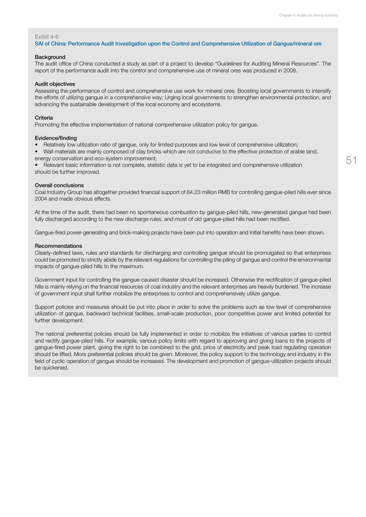# Exibit 4-6

# SAI of China: Performance Audit Investigation upon the Control and Comprehensive Utilization of Gangue/mineral ore

## **Background**

The audit office of China conducted a study as part of a project to develop "Guidelines for Auditing Mineral Resources". The report of the performance audit into the control and comprehensive use of mineral ores was produced in 2008.

## Audit objectives

Assessing the performance of control and comprehensive use work for mineral ores. Boosting local governments to intensify the efforts of utilizing gangue in a comprehensive way; Urging local governments to strengthen environmental protection, and advancing the sustainable development of the local economy and ecosystems.

# **Criteria**

Promoting the effective implementation of national comprehensive utilization policy for gangue.

### Evidence/finding

- Relatively low utilization ratio of gangue, only for limited purposes and low level of comprehensive utilization;
- Wall materials are mainly composed of clay bricks which are not conducive to the effective protection of arable land, energy conservation and eco-system improvement;

Relevant basic information is not complete, statistic data is yet to be integrated and comprehensive utilization should be further improved.

# Overall conclusions

Coal Industry Group has altogether provided financial support of 84.23 million RMB for controlling gangue-piled hills ever since 2004 and made obvious effects.

At the time of the audit, there had been no spontaneous combustion by gangue-piled hills, new-generated gangue had been fully discharged according to the new discharge rules, and most of old gangue-piled hills had been rectified.

Gangue-fired power-generating and brick-making projects have been put into operation and initial benefits have been shown.

#### Recommendations

Clearly-defined laws, rules and standards for discharging and controlling gangue should be promulgated so that enterprises could be promoted to strictly abide by the relevant regulations for controlling the piling of gangue and control the environmental impacts of gangue-piled hills to the maximum.

Government input for controlling the gangue-caused disaster should be increased. Otherwise the rectification of gangue-piled hills is mainly relying on the financial resources of coal industry and the relevant enterprises are heavily burdened. The increase of government input shall further mobilize the enterprises to control and comprehensively utilize gangue.

Support policies and measures should be put into place in order to solve the problems such as low level of comprehensive utilization of gangue, backward technical facilities, small-scale production, poor competitive power and limited potential for further development.

The national preferential policies should be fully implemented in order to mobilize the initiatives of various parties to control and rectify gangue-piled hills. For example, various policy limits with regard to approving and giving loans to the projects of gangue-fired power plant, giving the right to be combined to the grid, price of electricity and peak load regulating operation should be lifted. More preferential policies should be given. Moreover, the policy support to the technology and industry in the field of cyclic operation of gangue should be increased. The development and promotion of gangue-utilization projects should be quickened.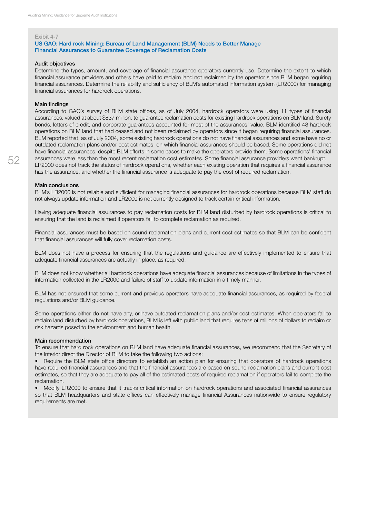#### Exibit 4-7

# US GAO: Hard rock Mining: Bureau of Land Management (BLM) Needs to Better Manage Financial Assurances to Guarantee Coverage of Reclamation Costs

## Audit objectives

Determine the types, amount, and coverage of financial assurance operators currently use. Determine the extent to which financial assurance providers and others have paid to reclaim land not reclaimed by the operator since BLM began requiring financial assurances. Determine the reliability and sufficiency of BLM's automated information system (LR2000) for managing financial assurances for hardrock operations.

#### Main findings

According to GAO's survey of BLM state offices, as of July 2004, hardrock operators were using 11 types of financial assurances, valued at about \$837 million, to guarantee reclamation costs for existing hardrock operations on BLM land. Surety bonds, letters of credit, and corporate guarantees accounted for most of the assurances' value. BLM identified 48 hardrock operations on BLM land that had ceased and not been reclaimed by operators since it began requiring financial assurances. BLM reported that, as of July 2004, some existing hardrock operations do not have financial assurances and some have no or outdated reclamation plans and/or cost estimates, on which financial assurances should be based. Some operations did not have financial assurances, despite BLM efforts in some cases to make the operators provide them. Some operations' financial assurances were less than the most recent reclamation cost estimates. Some financial assurance providers went bankrupt. LR2000 does not track the status of hardrock operations, whether each existing operation that requires a financial assurance has the assurance, and whether the financial assurance is adequate to pay the cost of required reclamation.

#### Main conclusions

BLM's LR2000 is not reliable and sufficient for managing financial assurances for hardrock operations because BLM staff do not always update information and LR2000 is not currently designed to track certain critical information.

Having adequate financial assurances to pay reclamation costs for BLM land disturbed by hardrock operations is critical to ensuring that the land is reclaimed if operators fail to complete reclamation as required.

Financial assurances must be based on sound reclamation plans and current cost estimates so that BLM can be confident that financial assurances will fully cover reclamation costs.

BLM does not have a process for ensuring that the regulations and guidance are effectively implemented to ensure that adequate financial assurances are actually in place, as required.

BLM does not know whether all hardrock operations have adequate financial assurances because of limitations in the types of information collected in the LR2000 and failure of staff to update information in a timely manner.

BLM has not ensured that some current and previous operators have adequate financial assurances, as required by federal regulations and/or BLM guidance.

Some operations either do not have any, or have outdated reclamation plans and/or cost estimates. When operators fail to reclaim land disturbed by hardrock operations, BLM is left with public land that requires tens of millions of dollars to reclaim or risk hazards posed to the environment and human health.

#### Main recommendation

To ensure that hard rock operations on BLM land have adequate financial assurances, we recommend that the Secretary of the Interior direct the Director of BLM to take the following two actions:

Require the BLM state office directors to establish an action plan for ensuring that operators of hardrock operations have required financial assurances and that the financial assurances are based on sound reclamation plans and current cost estimates, so that they are adequate to pay all of the estimated costs of required reclamation if operators fail to complete the reclamation.

Modify LR2000 to ensure that it tracks critical information on hardrock operations and associated financial assurances so that BLM headquarters and state offices can effectively manage financial Assurances nationwide to ensure regulatory requirements are met.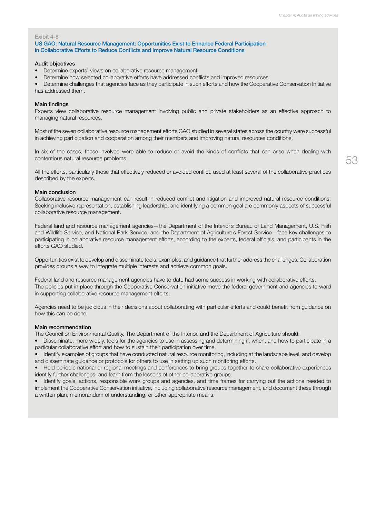# Exibit 4-8 US GAO: Natural Resource Management: Opportunities Exist to Enhance Federal Participation in Collaborative Efforts to Reduce Conflicts and Improve Natural Resource Conditions

#### Audit objectives

- Determine experts' views on collaborative resource management
- Determine how selected collaborative efforts have addressed conflicts and improved resources

Determine challenges that agencies face as they participate in such efforts and how the Cooperative Conservation Initiative has addressed them.

#### Main findings

Experts view collaborative resource management involving public and private stakeholders as an effective approach to managing natural resources.

Most of the seven collaborative resource management efforts GAO studied in several states across the country were successful in achieving participation and cooperation among their members and improving natural resources conditions.

In six of the cases, those involved were able to reduce or avoid the kinds of conflicts that can arise when dealing with contentious natural resource problems.

All the efforts, particularly those that effectively reduced or avoided conflict, used at least several of the collaborative practices described by the experts.

#### Main conclusion

Collaborative resource management can result in reduced conflict and litigation and improved natural resource conditions. Seeking inclusive representation, establishing leadership, and identifying a common goal are commonly aspects of successful collaborative resource management.

Federal land and resource management agencies—the Department of the Interior's Bureau of Land Management, U.S. Fish and Wildlife Service, and National Park Service, and the Department of Agriculture's Forest Service—face key challenges to participating in collaborative resource management efforts, according to the experts, federal officials, and participants in the efforts GAO studied.

Opportunities exist to develop and disseminate tools, examples, and guidance that further address the challenges. Collaboration provides groups a way to integrate multiple interests and achieve common goals.

Federal land and resource management agencies have to date had some success in working with collaborative efforts. The policies put in place through the Cooperative Conservation initiative move the federal government and agencies forward in supporting collaborative resource management efforts.

Agencies need to be judicious in their decisions about collaborating with particular efforts and could benefit from guidance on how this can be done.

### Main recommendation

The Council on Environmental Quality, The Department of the Interior, and the Department of Agriculture should:

Disseminate, more widely, tools for the agencies to use in assessing and determining if, when, and how to participate in a particular collaborative effort and how to sustain their participation over time.

Identify examples of groups that have conducted natural resource monitoring, including at the landscape level, and develop and disseminate guidance or protocols for others to use in setting up such monitoring efforts.

Hold periodic national or regional meetings and conferences to bring groups together to share collaborative experiences identify further challenges, and learn from the lessons of other collaborative groups.

Identify goals, actions, responsible work groups and agencies, and time frames for carrying out the actions needed to implement the Cooperative Conservation initiative, including collaborative resource management, and document these through a written plan, memorandum of understanding, or other appropriate means.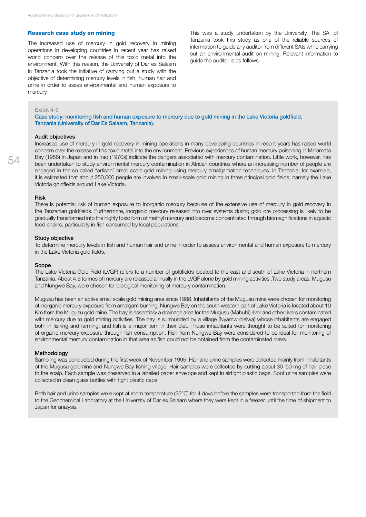#### Research case study on mining

The increased use of mercury in gold recovery in mining operations in developing countries in recent year has raised world concern over the release of this toxic metal into the environment. With this reason, the University of Dar es Salaam in Tanzania took the initiative of carrying out a study with the objective of determining mercury levels in fish, human hair and urine in order to asses environmental and human exposure to mercury.

This was a study undertaken by the University. The SAI of Tanzania took this study as one of the reliable sources of information to guide any auditor from different SAIs while carrying out an environmental audit on mining. Relevant information to guide the auditor is as follows.

#### Exibit 4-9

Case study: monitoring fish and human exposure to mercury due to gold mining in the Lake Victoria goldfield, Tanzania (University of Dar Es Salaam, Tanzania).

#### Audit objectives

Increased use of mercury in gold recovery in mining operations in many developing countries in recent years has raised world concern over the release of this toxic metal into the environment. Previous experiences of human mercury poisoning in Minamata Bay (1956) in Japan and in Iraq (1970s) indicate the dangers associated with mercury contamination. Little work, however, has been undertaken to study environmental mercury contamination in African countries where an increasing number of people are engaged in the so called "artisan" small scale gold mining using mercury amalgamation techniques. In Tanzania, for example, it is estimated that about 250,000 people are involved in small-scale gold mining in three principal gold fields, namely the Lake Victoria goldfields around Lake Victoria.

#### Risk

There is potential risk of human exposure to inorganic mercury because of the extensive use of mercury in gold recovery in the Tanzanian goldfields. Furthermore, inorganic mercury released into river systems during gold ore processing is likely to be gradually transformed into the highly toxic form of methyl mercury and become concentrated through biomagnifications in aquatic food chains, particularly in fish consumed by local populations.

### Study objective

To determine mercury levels in fish and human hair and urine in order to assess environmental and human exposure to mercury in the Lake Victoria gold fields.

#### Scope

The Lake Victoria Gold Field (LVGF) refers to a number of goldfields located to the east and south of Lake Victoria in northern Tanzania. About 4.5 tonnes of mercury are released annually in the LVGF alone by gold mining activities .Two study areas, Mugusu and Nungwe Bay, were chosen for biological monitoring of mercury contamination.

Mugusu has been an active small scale gold mining area since 1988. Inhabitants of the Mugusu mine were chosen for monitoring of inorganic mercury exposure from amalgam burning. Nungwe Bay on the south western part of Lake Victoria is located about 10 Km from the Mugusu gold mine. The bay is essentially a drainage area for the Mugusu (Mabubi) river and other rivers contaminated with mercury due to gold mining activities. The bay is surrounded by a village (Nyamwilolelwa) whose inhabitants are engaged both in fishing and farming, and fish is a major item in their diet. Those inhabitants were thought to be suited for monitoring of organic mercury exposure through fish consumption. Fish from Nungwe Bay were considered to be ideal for monitoring of environmental mercury contamination in that area as fish could not be obtained from the contaminated rivers.

#### Methodology

Sampling was conducted during the first week of November 1995. Hair and urine samples were collected mainly from inhabitants of the Mugusu goldmine and Nungwe Bay fishing village. Hair samples were collected by cutting about 30–50 mg of hair close to the scalp. Each sample was preserved in a labelled paper envelope and kept in airtight plastic bags. Spot urine samples were collected in clean glass bottles with tight plastic caps.

Both hair and urine samples were kept at room temperature (25°C) for 4 days before the samples were transported from the field to the Geochemical Laboratory at the University of Dar es Salaam where they were kept in a freezer until the time of shipment to Japan for analysis.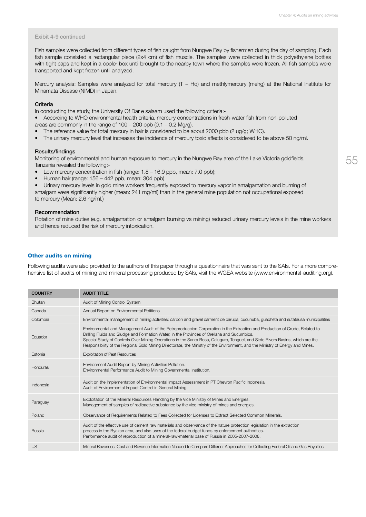#### Exibit 4-9 continued

Fish samples were collected from different types of fish caught from Nungwe Bay by fishermen during the day of sampling. Each fish sample consisted a rectangular piece (2x4 cm) of fish muscle. The samples were collected in thick polyethylene bottles with tight caps and kept in a cooler box until brought to the nearby town where the samples were frozen. All fish samples were transported and kept frozen until analyzed.

Mercury analysis: Samples were analyzed for total mercury  $(T - Hq)$  and methlymercury (mehg) at the National Institute for Minamata Disease (NIMD) in Japan.

#### **Criteria**

In conducting the study, the University Of Dar e salaam used the following criteria:-

- According to WHO environmental health criteria, mercury concentrations in fresh-water fish from non-polluted
- areas are commonly in the range of  $100 200$  ppb  $(0.1 0.2$  Mg/g).
- The reference value for total mercury in hair is considered to be about 2000 pbb (2 ug/g; WHO).
- • The urinary mercury level that increases the incidence of mercury toxic affects is considered to be above 50 ng/ml.

#### Results/findings

Monitoring of environmental and human exposure to mercury in the Nungwe Bay area of the Lake Victoria goldfields, Tanzania revealed the following:-

- Low mercury concentration in fish (range:  $1.8 16.9$  ppb, mean:  $7.0$  ppb);
- Human hair (range:  $156 442$  ppb, mean: 304 ppb)
- Urinary mercury levels in gold mine workers frequently exposed to mercury vapor in amalgamation and burning of amalgam were significantly higher (mean: 241 mg/ml) than in the general mine population not occupational exposed to mercury (Mean: 2.6 hg/ml.)

# Recommendation

Rotation of mine duties (e.g. amalgamation or amalgam burning vs mining) reduced urinary mercury levels in the mine workers and hence reduced the risk of mercury intoxication.

# Other audits on mining

Following audits were also provided to the authors of this paper through a questionnaire that was sent to the SAIs. For a more comprehensive list of audits of mining and mineral processing produced by SAIs, visit the WGEA website (www.environmental-auditing.org).

| <b>COUNTRY</b> | <b>AUDIT TITLE</b>                                                                                                                                                                                                                                                                                                                                                                                                                                                                            |
|----------------|-----------------------------------------------------------------------------------------------------------------------------------------------------------------------------------------------------------------------------------------------------------------------------------------------------------------------------------------------------------------------------------------------------------------------------------------------------------------------------------------------|
| Bhutan         | Audit of Mining Control System                                                                                                                                                                                                                                                                                                                                                                                                                                                                |
| Canada         | Annual Report on Environmental Petitions                                                                                                                                                                                                                                                                                                                                                                                                                                                      |
| Colombia       | Environmental management of mining activities: carbon and gravel carment de carupa, cucunuba, quacheta and sutatausa municipalities                                                                                                                                                                                                                                                                                                                                                           |
| Equador        | Environmental and Management Audit of the Petroproduccion Corporation in the Extraction and Production of Crude, Related to<br>Drilling Fluids and Sludge and Formation Water, in the Provinces of Orellana and Sucumbios.<br>Special Study of Controls Over Mining Operations in the Santa Rosa, Caluguro, Tenguel, and Siete Rivers Basins, which are the<br>Responsibility of the Regional Gold Mining Directorate, the Ministry of the Environment, and the Ministry of Energy and Mines. |
| Estonia        | <b>Exploitation of Peat Resources</b>                                                                                                                                                                                                                                                                                                                                                                                                                                                         |
| Honduras       | Environment Audit Report by Mining Activities Pollution.<br>Environmental Performance Audit to Mining Governmental Institution.                                                                                                                                                                                                                                                                                                                                                               |
| Indonesia      | Audit on the Implementation of Environmental Impact Assessment in PT Chevron Pacific Indonesia.<br>Audit of Environmental Impact Control in General Mining.                                                                                                                                                                                                                                                                                                                                   |
| Paraguay       | Exploitation of the Mineral Resources Handling by the Vice Ministry of Mines and Energies.<br>Management of samples of radioactive substance by the vice ministry of mines and energies.                                                                                                                                                                                                                                                                                                      |
| Poland         | Observance of Requirements Related to Fees Collected for Licenses to Extract Selected Common Minerals.                                                                                                                                                                                                                                                                                                                                                                                        |
| Russia         | Audit of the effective use of cement raw materials and observance of the nature protection legislation in the extraction<br>process in the Ryazan area, and also uses of the federal budget funds by enforcement authorities.<br>Performance audit of reproduction of a mineral-raw-material base of Russia in 2005-2007-2008.                                                                                                                                                                |
| <b>US</b>      | Mineral Revenues: Cost and Revenue Information Needed to Compare Different Approaches for Collecting Federal Oil and Gas Royalties                                                                                                                                                                                                                                                                                                                                                            |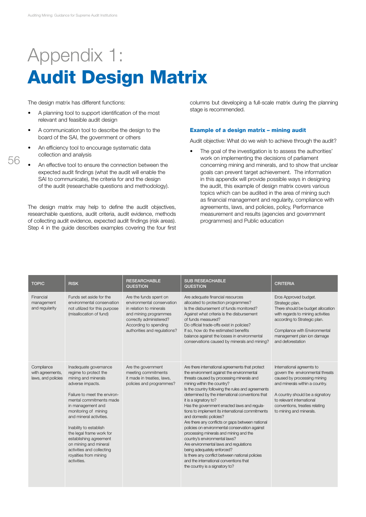# Appendix 1: Audit Design Matrix

The design matrix has different functions:

56

- A planning tool to support identification of the most relevant and feasible audit design
- A communication tool to describe the design to the board of the SAI, the government or others
- An efficiency tool to encourage systematic data collection and analysis
- An effective tool to ensure the connection between the expected audit findings (what the audit will enable the SAI to communicate), the criteria for and the design of the audit (researchable questions and methodology).

The design matrix may help to define the audit objectives, researchable questions, audit criteria, audit evidence, methods of collecting audit evidence, expected audit findings (risk areas). Step 4 in the guide describes examples covering the four first columns but developing a full-scale matrix during the planning stage is recommended.

#### Example of a design matrix – mining audit

Audit objective: What do we wish to achieve through the audit?

The goal of the investigation is to assess the authorities' work on implementing the decisions of parliament concerning mining and minerals, and to show that unclear goals can prevent target achievement. The information in this appendix will provide possible ways in designing the audit, this example of design matrix covers various topics which can be audited in the area of mining such as financial management and regularity, compliance with agreements, laws, and policies, policy, Performance measurement and results (agencies and government programmes) and Public education

| <b>TOPIC</b>                                         | <b>RISK</b>                                                                                                                                                                                                                                                                                                                                                                                                | <b>RESEARCHABLE</b><br><b>QUESTION</b>                                                                                                                                                       | <b>SUB RESEACHABLE</b><br><b>QUESTION</b>                                                                                                                                                                                                                                                                                                                                                                                                                                                                                                                                                                                                                                                                                                                                                                                      | <b>CRITERIA</b>                                                                                                                                                                                                                                             |
|------------------------------------------------------|------------------------------------------------------------------------------------------------------------------------------------------------------------------------------------------------------------------------------------------------------------------------------------------------------------------------------------------------------------------------------------------------------------|----------------------------------------------------------------------------------------------------------------------------------------------------------------------------------------------|--------------------------------------------------------------------------------------------------------------------------------------------------------------------------------------------------------------------------------------------------------------------------------------------------------------------------------------------------------------------------------------------------------------------------------------------------------------------------------------------------------------------------------------------------------------------------------------------------------------------------------------------------------------------------------------------------------------------------------------------------------------------------------------------------------------------------------|-------------------------------------------------------------------------------------------------------------------------------------------------------------------------------------------------------------------------------------------------------------|
| Financial<br>management<br>and regularity            | Funds set aside for the<br>environmental conservation<br>not utilized for this purpose<br>(misallocation of fund)                                                                                                                                                                                                                                                                                          | Are the funds spent on<br>environmental conservation<br>in relation to minerals<br>and mining programmes<br>correctly administered?<br>According to spending<br>authorities and regulations? | Are adequate financial resources<br>allocated to protection programmes?<br>Is the disbursement of funds monitored?<br>Against what criteria is the disbursement<br>of funds measured?<br>Do official trade-offs exist in policies?<br>If so, how do the estimated benefits<br>balance against the losses in environmental<br>conservations caused by minerals and mining?                                                                                                                                                                                                                                                                                                                                                                                                                                                      | Eros Approved budget.<br>Strategic plan.<br>There should be budget allocation<br>with regards to mining activities<br>according to Strategic plan.<br>Compliance with Environmental<br>management plan ion damage<br>and deforestation                      |
| Compliance<br>with agreements,<br>laws, and policies | Inadequate governance<br>regime to protect the<br>mining and minerals<br>adverse impacts.<br>Failure to meet the environ-<br>mental commitments made<br>in management and<br>monitoring of mining<br>and mineral activities.<br>Inability to establish<br>the legal frame work for<br>establishing agreement<br>on mining and mineral<br>activities and collecting<br>royalties from mining<br>activities. | Are the government<br>meeting commitments<br>it made in treaties, laws,<br>policies and programmes?                                                                                          | Are there international agreements that protect<br>the environment against the environmental<br>threats caused by processing minerals and<br>mining within the country?<br>Is the country following the rules and agreements<br>determined by the international conventions that<br>it is a signatory to?<br>Has the government enacted laws and regula-<br>tions to implement its international commitments<br>and domestic policies?<br>Are there any conflicts or gaps between national<br>policies on environmental conservation against<br>processing minerals and mining and the<br>country's environmental laws?<br>Are environmental laws and regulations<br>being adequately enforced?<br>Is there any conflict between national policies<br>and the international conventions that<br>the country is a signatory to? | International agreemts to<br>govern the environmental threats<br>caused by processing mining<br>and minerals within a country.<br>A country should be a signatory<br>to relevant international<br>conventions, treaties relating<br>to mining and minerals. |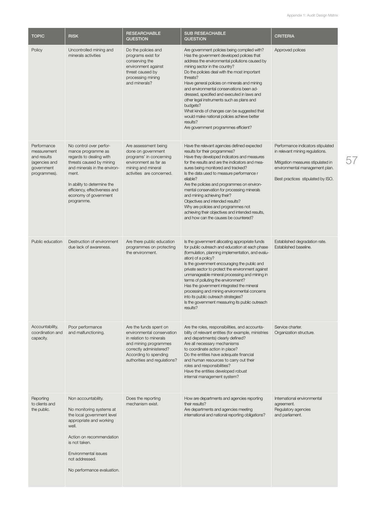| <b>TOPIC</b>                                                                             | <b>RISK</b>                                                                                                                                                                                                                                          | <b>RESEARCHABLE</b><br><b>QUESTION</b>                                                                                                                                                       | <b>SUB RESEACHABLE</b><br><b>QUESTION</b>                                                                                                                                                                                                                                                                                                                                                                                                                                                                                                                                                       | <b>CRITERIA</b>                                                                                                                                                                  |
|------------------------------------------------------------------------------------------|------------------------------------------------------------------------------------------------------------------------------------------------------------------------------------------------------------------------------------------------------|----------------------------------------------------------------------------------------------------------------------------------------------------------------------------------------------|-------------------------------------------------------------------------------------------------------------------------------------------------------------------------------------------------------------------------------------------------------------------------------------------------------------------------------------------------------------------------------------------------------------------------------------------------------------------------------------------------------------------------------------------------------------------------------------------------|----------------------------------------------------------------------------------------------------------------------------------------------------------------------------------|
| Policy                                                                                   | Uncontrolled mining and<br>minerals activities                                                                                                                                                                                                       | Do the policies and<br>programs exist for<br>conserving the<br>environment against<br>threat caused by<br>processing mining<br>and minerals?                                                 | Are government policies being complied with?<br>Has the government developed policies that<br>address the environmental pollutions caused by<br>mining sector in the country?<br>Do the policies deal with the most important<br>threats?<br>Have general policies on minerals and mining<br>and environmental conservations been ad-<br>dressed, specified and executed in laws and<br>other legal instruments such as plans and<br>budgets?<br>What kinds of changes can be suggested that<br>would make national policies achieve better<br>results?<br>Are government programmes efficient? | Approved polices                                                                                                                                                                 |
| Performance<br>measurement<br>and results<br>(agencies and<br>government<br>programmes). | No control over perfor-<br>mance programme as<br>regards to dealing with<br>threats caused by mining<br>and minerals in the environ-<br>ment.<br>In ability to determine the<br>efficiency, effectiveness and<br>economy of government<br>programme. | Are assessment being<br>done on government<br>programs' in concerning<br>environment as far as<br>mining and mineral<br>activities are concerned.                                            | Have the relevant agencies defined expected<br>results for their programmes?<br>Have they developed indicators and measures<br>for the results and are the indicators and mea-<br>sures being monitored and tracked?<br>Is the data used to measure performance r<br>eliable?<br>Are the policies and programmes on environ-<br>mental conservation for processing minerals<br>and mining achieving their?<br>Objectives and intended results?<br>Why are policies and programmes not<br>achieving their objectives and intended results,<br>and how can the causes be countered?               | Performance indicators stipulated<br>in relevant mining regulations.<br>Mitigation measures stipulated in<br>environmental management plan.<br>Best practices stipulated by ISO. |
| Public education                                                                         | Destruction of environment<br>due lack of awareness.                                                                                                                                                                                                 | Are there public education<br>programmes on protecting<br>the environment.                                                                                                                   | Is the government allocating appropriate funds<br>for public outreach and education at each phase<br>(formulation, planning implementation, and evalu-<br>ation) of a policy?<br>Is the government encouraging the public and<br>private sector to protect the environment against<br>unmanageable mineral processing and mining in<br>terms of polluting the environment?<br>Has the government integrated the mineral<br>processing and mining environmental concerns<br>into its public outreach strategies?<br>Is the government measuring its public outreach<br>results?                  | Established degradation rate.<br>Established baseline.                                                                                                                           |
| Accountability,<br>coordination and<br>capacity.                                         | Poor performance<br>and malfunctioning.                                                                                                                                                                                                              | Are the funds spent on<br>environmental conservation<br>in relation to minerals<br>and mining programmes<br>correctly administered?<br>According to spending<br>authorities and regulations? | Are the roles, responsibilities, and accounta-<br>bility of relevant entities (for example, ministries<br>and departments) clearly defined?<br>Are all necessary mechanisms<br>to coordinate action in place?<br>Do the entities have adequate financial<br>and human resources to carry out their<br>roles and responsibilities?<br>Have the entities developed robust<br>internal management system?                                                                                                                                                                                          | Service charter.<br>Organization structure.                                                                                                                                      |
| Reporting<br>to clients and<br>the public.                                               | Non accountability.<br>No monitoring systems at<br>the local government level<br>appropriate and working<br>well.<br>Action on recommendation<br>is not taken.<br>Environmental issues<br>not addressed.<br>No performance evaluation.               | Does the reporting<br>mechanism exist.                                                                                                                                                       | How are departments and agencies reporting<br>their results?<br>Are departments and agencies meeting<br>international and national reporting obligations?                                                                                                                                                                                                                                                                                                                                                                                                                                       | International environmental<br>agreement.<br>Regulatory agencies<br>and parliament.                                                                                              |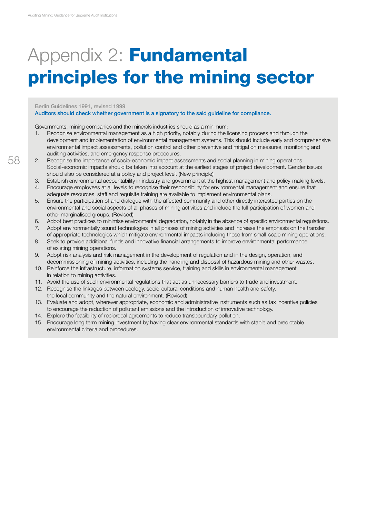# Appendix 2: Fundamental principles for the mining sector

Berlin Guidelines 1991, revised 1999

Auditors should check whether government is a signatory to the said guideline for compliance.

Governments, mining companies and the minerals industries should as a minimum:

- 1. Recognise environmental management as a high priority, notably during the licensing process and through the development and implementation of environmental management systems. This should include early and comprehensive environmental impact assessments, pollution control and other preventive and mitigation measures, monitoring and auditing activities, and emergency response procedures.
- 2. Recognise the importance of socio-economic impact assessments and social planning in mining operations. Social-economic impacts should be taken into account at the earliest stages of project development. Gender issues should also be considered at a policy and project level. (New principle)
- 3. Establish environmental accountability in industry and government at the highest management and policy-making levels. 4. Encourage employees at all levels to recognise their responsibility for environmental management and ensure that
- adequate resources, staff and requisite training are available to implement environmental plans. 5. Ensure the participation of and dialogue with the affected community and other directly interested parties on the environmental and social aspects of all phases of mining activities and include the full participation of women and other marginalised groups. (Revised)
- 6. Adopt best practices to minimise environmental degradation, notably in the absence of specific environmental regulations.
- 7. Adopt environmentally sound technologies in all phases of mining activities and increase the emphasis on the transfer of appropriate technologies which mitigate environmental impacts including those from small-scale mining operations.
- 8. Seek to provide additional funds and innovative financial arrangements to improve environmental performance of existing mining operations.
- 9. Adopt risk analysis and risk management in the development of regulation and in the design, operation, and decommissioning of mining activities, including the handling and disposal of hazardous mining and other wastes.
- 10. Reinforce the infrastructure, information systems service, training and skills in environmental management in relation to mining activities.
- 11. Avoid the use of such environmental regulations that act as unnecessary barriers to trade and investment.
- 12. Recognise the linkages between ecology, socio-cultural conditions and human health and safety, the local community and the natural environment. (Revised)
- 13. Evaluate and adopt, wherever appropriate, economic and administrative instruments such as tax incentive policies to encourage the reduction of pollutant emissions and the introduction of innovative technology.
- 14. Explore the feasibility of reciprocal agreements to reduce transboundary pollution.
- 15. Encourage long term mining investment by having clear environmental standards with stable and predictable environmental criteria and procedures.

58